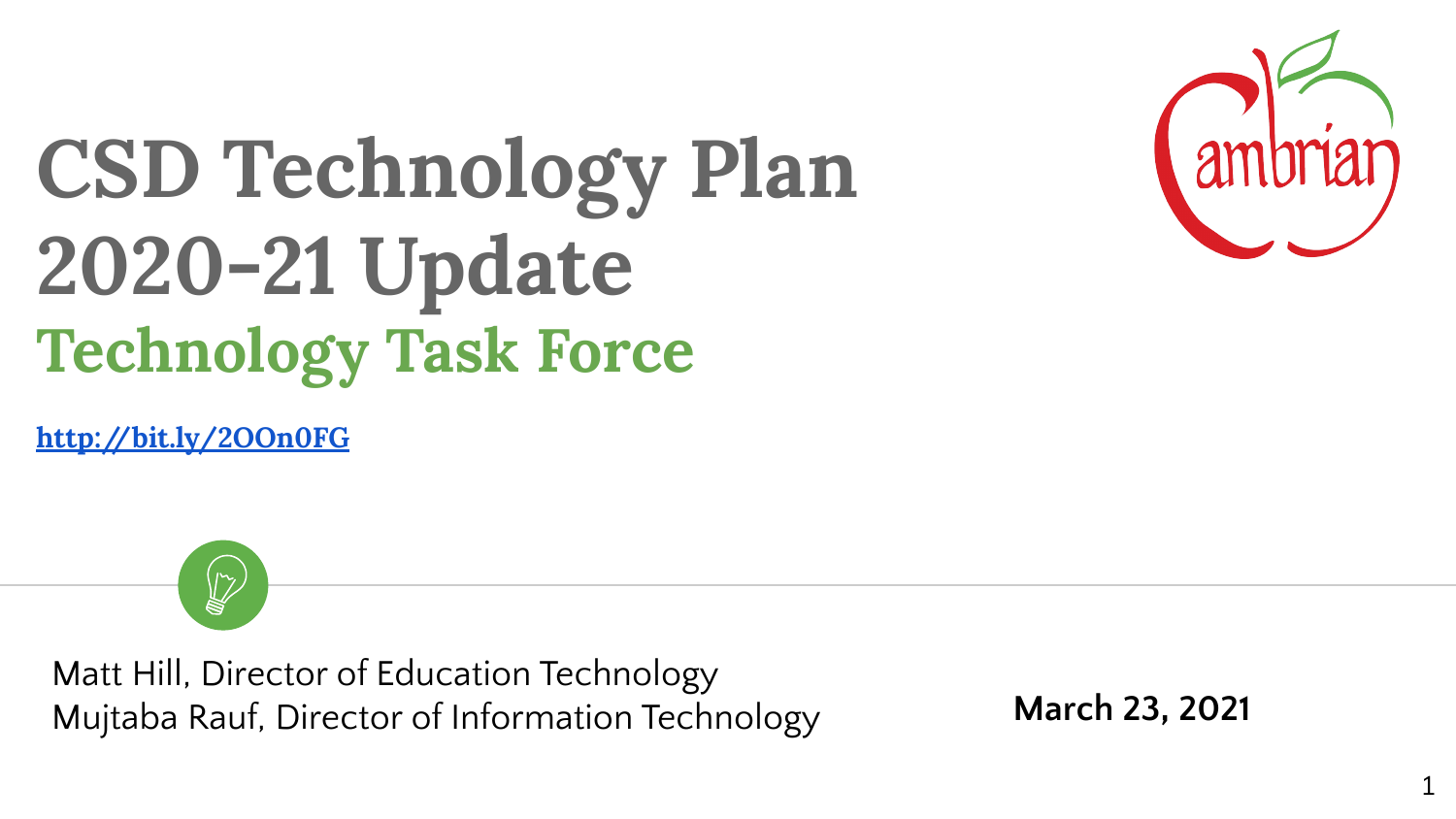

# **CSD Technology Plan 2020-21 Update Technology Task Force**

**<http://bit.ly/2OOn0FG>**



Matt Hill, Director of Education Technology Mujtaba Rauf, Director of Information Technology **March 23, 2021**

1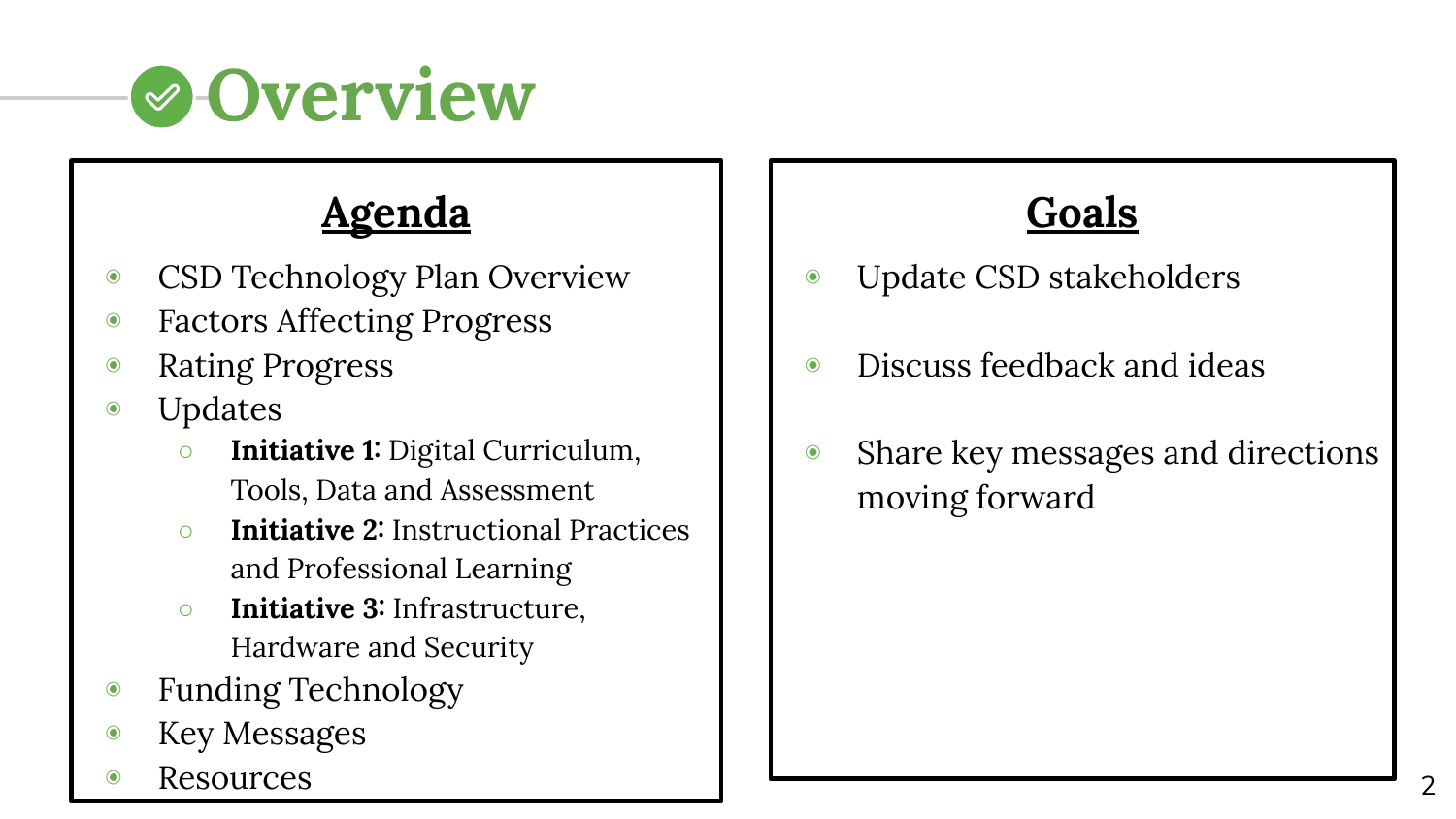

# **Agenda**

- ◉ CSD Technology Plan Overview
- ◉ Factors Affecting Progress
- ◉ Rating Progress
- ◉ Updates
	- **Initiative 1:** Digital Curriculum, Tools, Data and Assessment
	- **Initiative 2:** Instructional Practices and Professional Learning
	- **Initiative 3:** Infrastructure, Hardware and Security
- ◉ Funding Technology
- ◉ Key Messages
- **Resources**



- ◉ Update CSD stakeholders
- ◉ Discuss feedback and ideas
- ◉ Share key messages and directions moving forward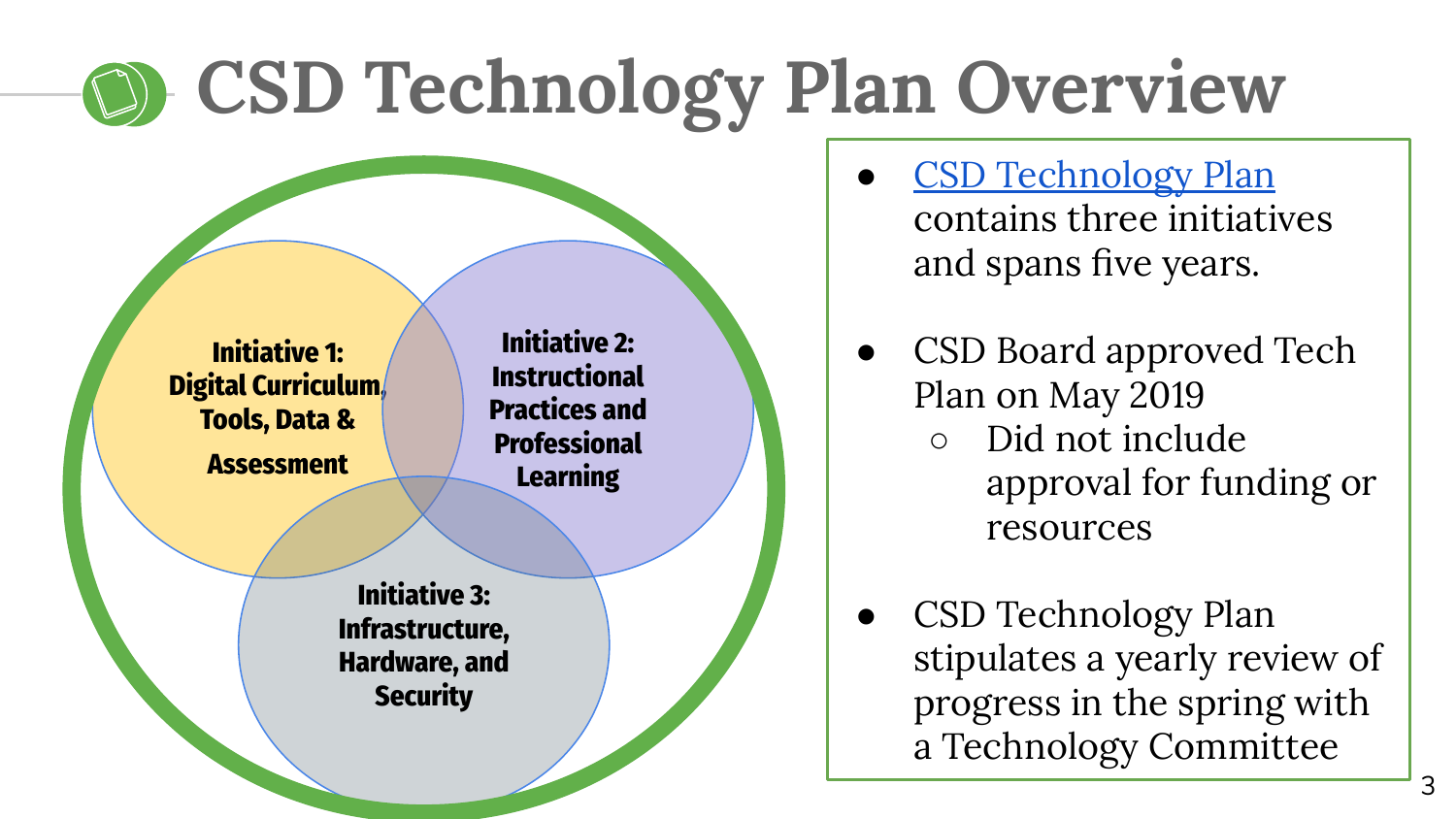# **CSD Technology Plan Overview**

**Initiative 1: Digital Curriculum, Tools, Data & Assessment**

**Initiative 2: Instructional Practices and Professional Learning**

**Initiative 3: Infrastructure, Hardware, and Security**

- [CSD Technology Plan](https://www.cambriansd.org/cms/lib/CA01902282/Centricity/Domain/272/Cambrian%20TTF%20Tech%20Plan%202019-24.pdf) contains three initiatives and spans five years.
- CSD Board approved Tech Plan on May 2019
	- Did not include approval for funding or resources
- CSD Technology Plan stipulates a yearly review of progress in the spring with a Technology Committee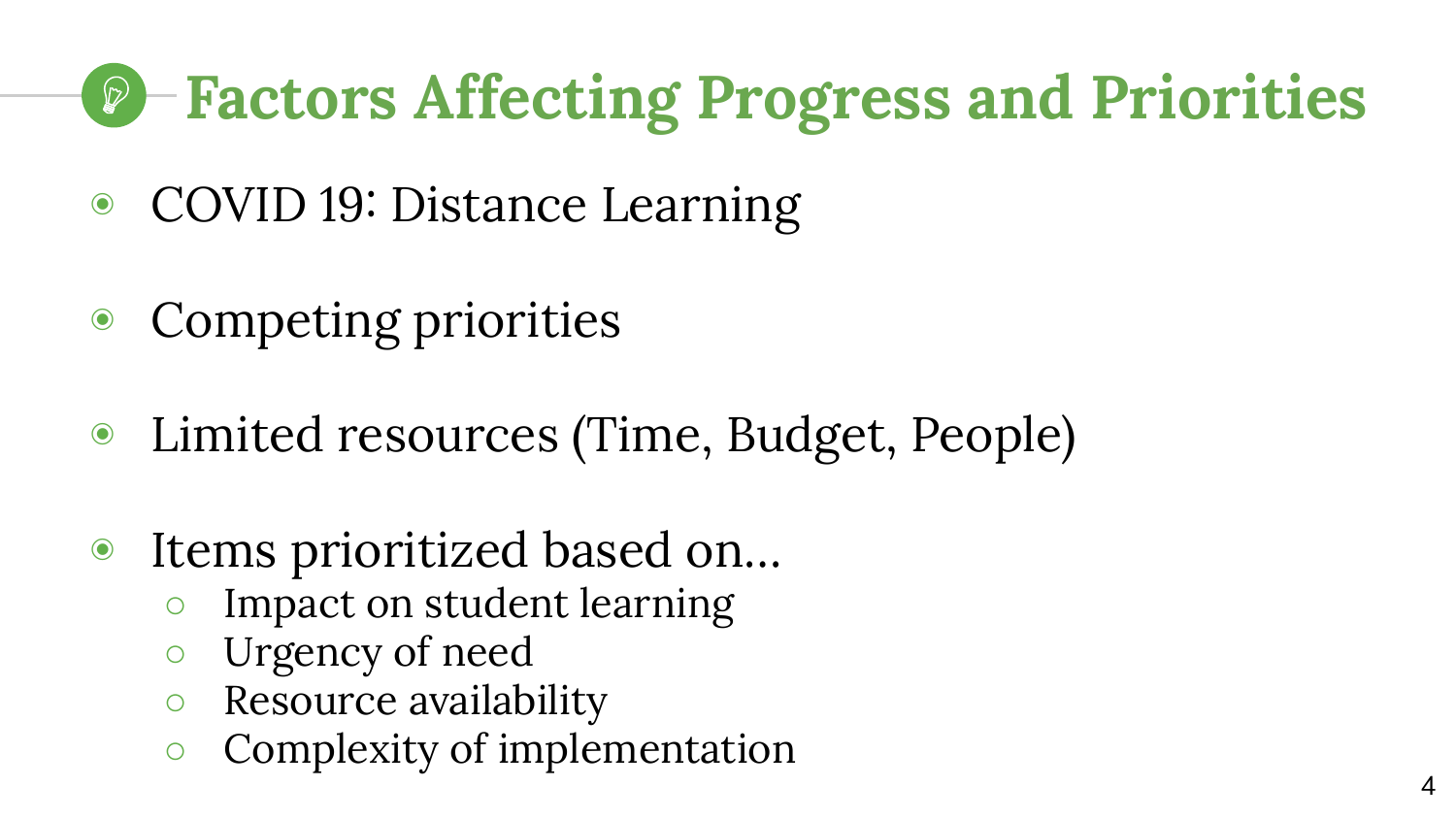# **Factors Affecting Progress and Priorities**

- ◉ COVID 19: Distance Learning
- ◉ Competing priorities
- ◉ Limited resources (Time, Budget, People)
- ◉ Items prioritized based on…
	- Impact on student learning
	- Urgency of need
	- Resource availability
	- Complexity of implementation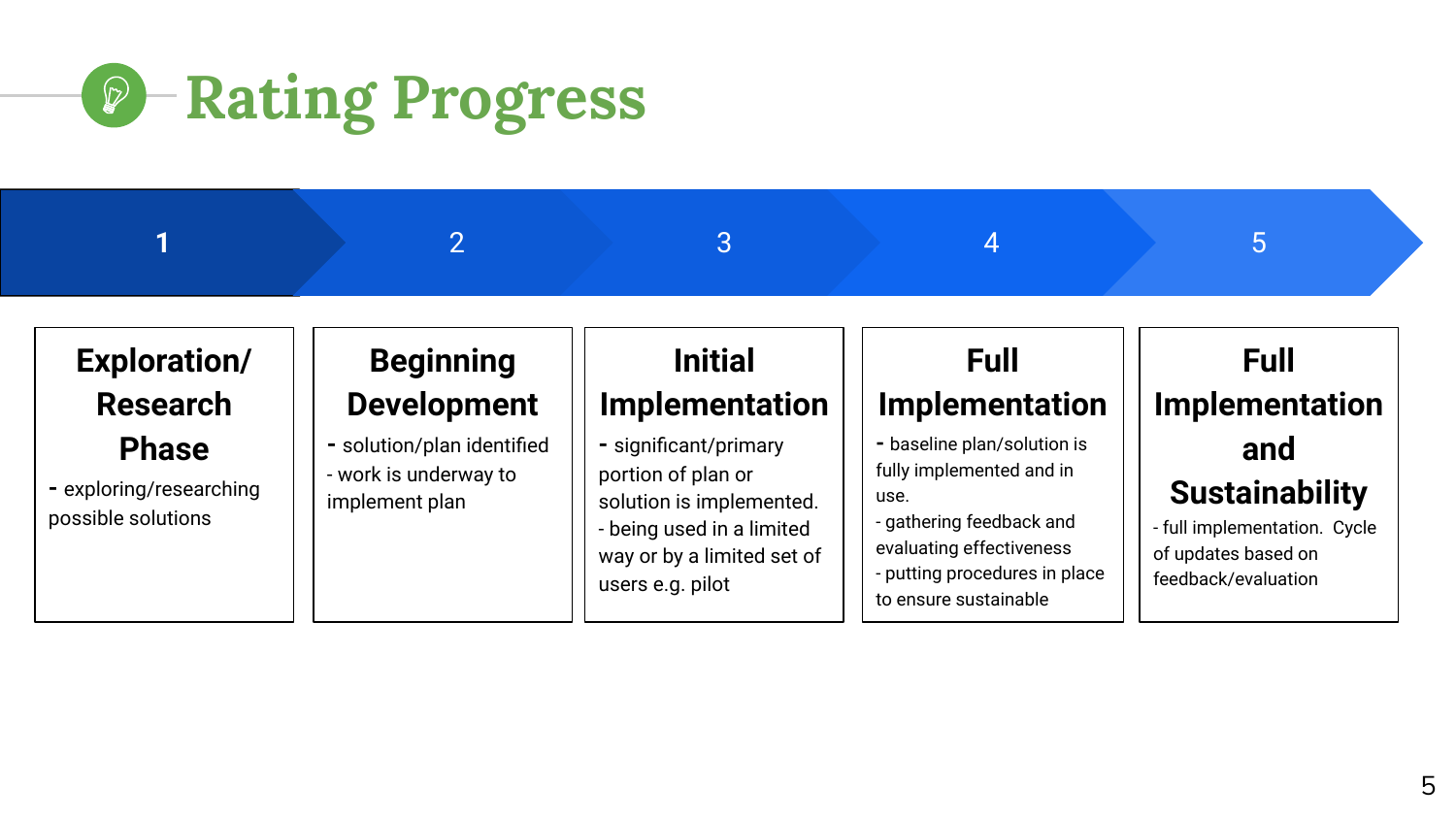

|                                                               |                                                                       | 3                                                                                                                                                      |                                                                                                                                                                                   | b                                                                                                          |
|---------------------------------------------------------------|-----------------------------------------------------------------------|--------------------------------------------------------------------------------------------------------------------------------------------------------|-----------------------------------------------------------------------------------------------------------------------------------------------------------------------------------|------------------------------------------------------------------------------------------------------------|
| <b>Exploration/</b><br><b>Research</b>                        | <b>Beginning</b><br><b>Development</b>                                | <b>Initial</b><br>Implementation                                                                                                                       | <b>Full</b><br>Implementation                                                                                                                                                     | <b>Full</b><br>Implementation                                                                              |
| <b>Phase</b><br>- exploring/researching<br>possible solutions | - solution/plan identified<br>- work is underway to<br>implement plan | - significant/primary<br>portion of plan or<br>solution is implemented.<br>- being used in a limited<br>way or by a limited set of<br>users e.g. pilot | - baseline plan/solution is<br>fully implemented and in<br>use.<br>- gathering feedback and<br>evaluating effectiveness<br>- putting procedures in place<br>to ensure sustainable | and<br><b>Sustainability</b><br>- full implementation. Cycle<br>of updates based on<br>feedback/evaluation |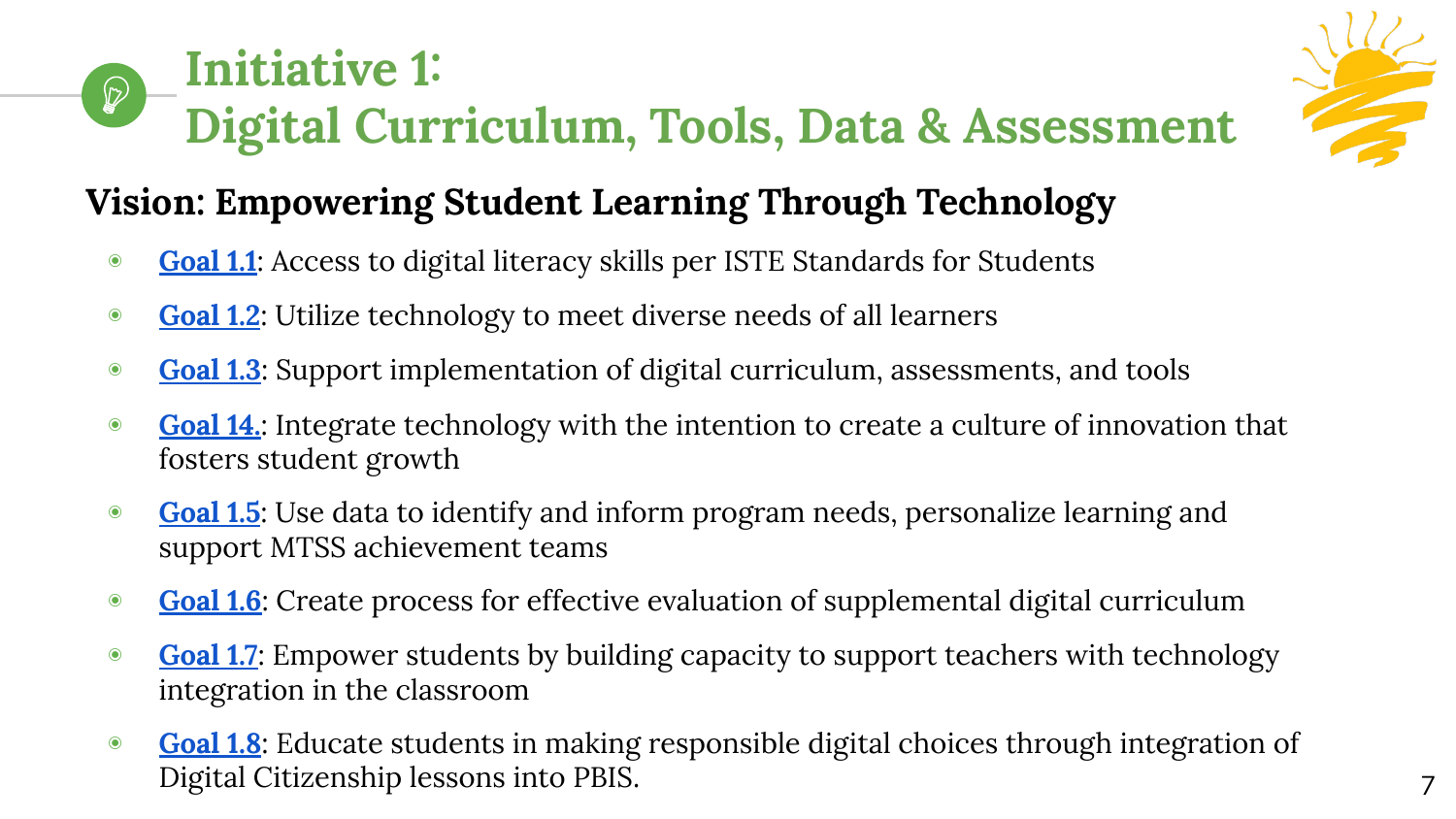#### **Initiative 1:**   $\bigcirc$ **Digital Curriculum, Tools, Data & Assessment**



# **Vision: Empowering Student Learning Through Technology**

- ◉ **[Goal 1.1](https://www.cambriansd.org/cms/lib/CA01902282/Centricity/Domain/272/Cambrian%20TTF%20Tech%20Plan%202019-24.pdf#page=22)**: Access to digital literacy skills per ISTE Standards for Students
- ◉ **[Goal 1.2](https://www.cambriansd.org/cms/lib/CA01902282/Centricity/Domain/272/Cambrian%20TTF%20Tech%20Plan%202019-24.pdf#page=22)**: Utilize technology to meet diverse needs of all learners
- ◉ **[Goal 1.3](https://www.cambriansd.org/cms/lib/CA01902282/Centricity/Domain/272/Cambrian%20TTF%20Tech%20Plan%202019-24.pdf#page=23)**: Support implementation of digital curriculum, assessments, and tools
- ◉ **[Goal 14.](https://www.cambriansd.org/cms/lib/CA01902282/Centricity/Domain/272/Cambrian%20TTF%20Tech%20Plan%202019-24.pdf#page=24)**: Integrate technology with the intention to create a culture of innovation that fosters student growth
- ◉ **[Goal 1.5](https://www.cambriansd.org/cms/lib/CA01902282/Centricity/Domain/272/Cambrian%20TTF%20Tech%20Plan%202019-24.pdf#page=24)**: Use data to identify and inform program needs, personalize learning and support MTSS achievement teams
- ◉ **[Goal 1.6](https://www.cambriansd.org/cms/lib/CA01902282/Centricity/Domain/272/Cambrian%20TTF%20Tech%20Plan%202019-24.pdf#page=24)**: Create process for effective evaluation of supplemental digital curriculum
- **[Goal 1.7](https://www.cambriansd.org/cms/lib/CA01902282/Centricity/Domain/272/Cambrian%20TTF%20Tech%20Plan%202019-24.pdf#page=25):** Empower students by building capacity to support teachers with technology integration in the classroom
- ◉ **[Goal 1.8](https://www.cambriansd.org/cms/lib/CA01902282/Centricity/Domain/272/Cambrian%20TTF%20Tech%20Plan%202019-24.pdf#page=25)**: Educate students in making responsible digital choices through integration of Digital Citizenship lessons into PBIS.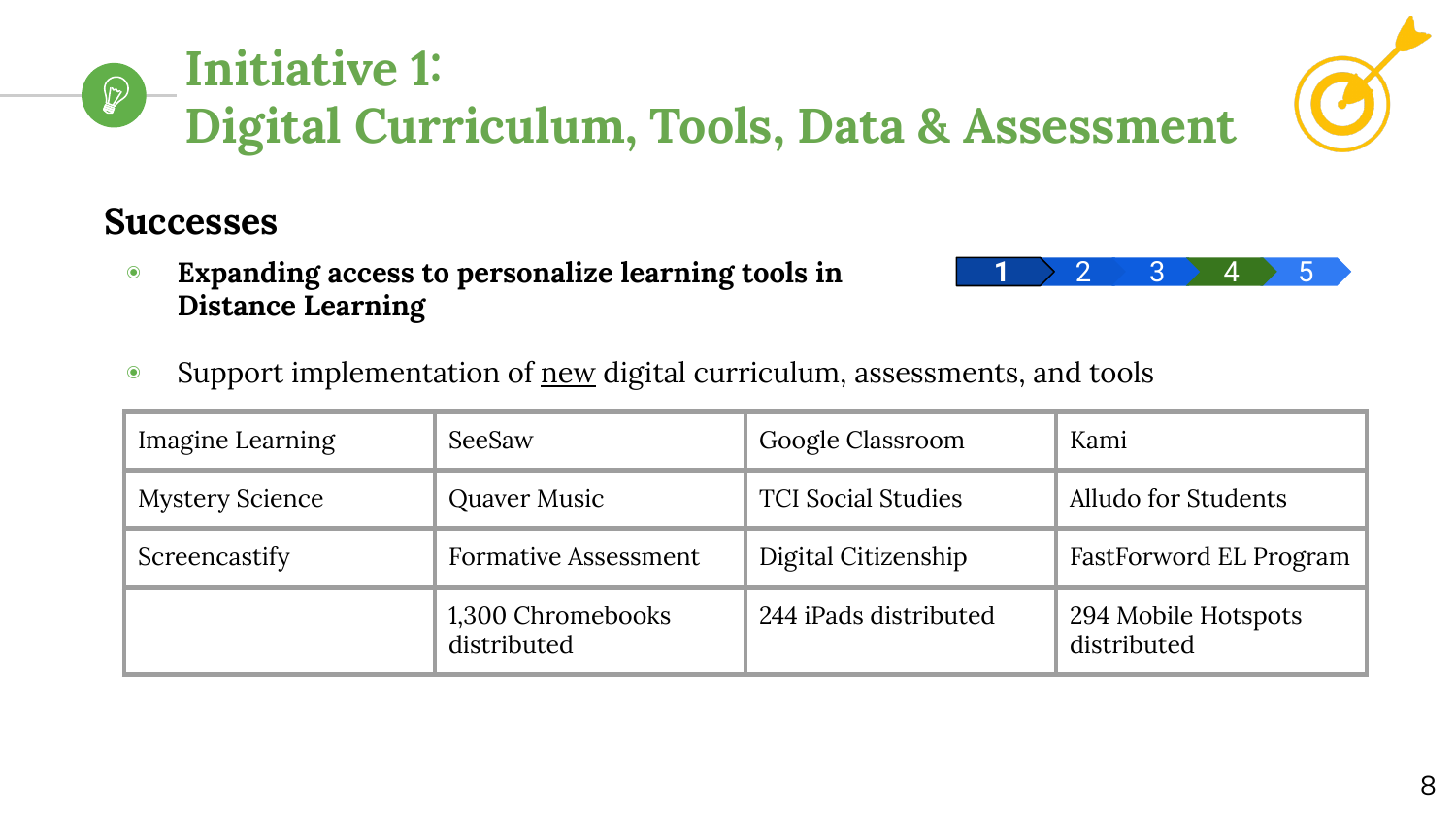

#### **Initiative 1:**   $\mathcal{D}$ **Digital Curriculum, Tools, Data & Assessment**

## **Successes**

- ◉ **Expanding access to personalize learning tools in Distance Learning**
- Support implementation of <u>new</u> digital curriculum, assessments, and tools

| Imagine Learning       | SeeSaw                           | Google Classroom          | Kami                               |
|------------------------|----------------------------------|---------------------------|------------------------------------|
| <b>Mystery Science</b> | Quaver Music                     | <b>TCI Social Studies</b> | Alludo for Students                |
| Screencastify          | <b>Formative Assessment</b>      | Digital Citizenship       | FastForword EL Program             |
|                        | 1,300 Chromebooks<br>distributed | 244 iPads distributed     | 294 Mobile Hotspots<br>distributed |



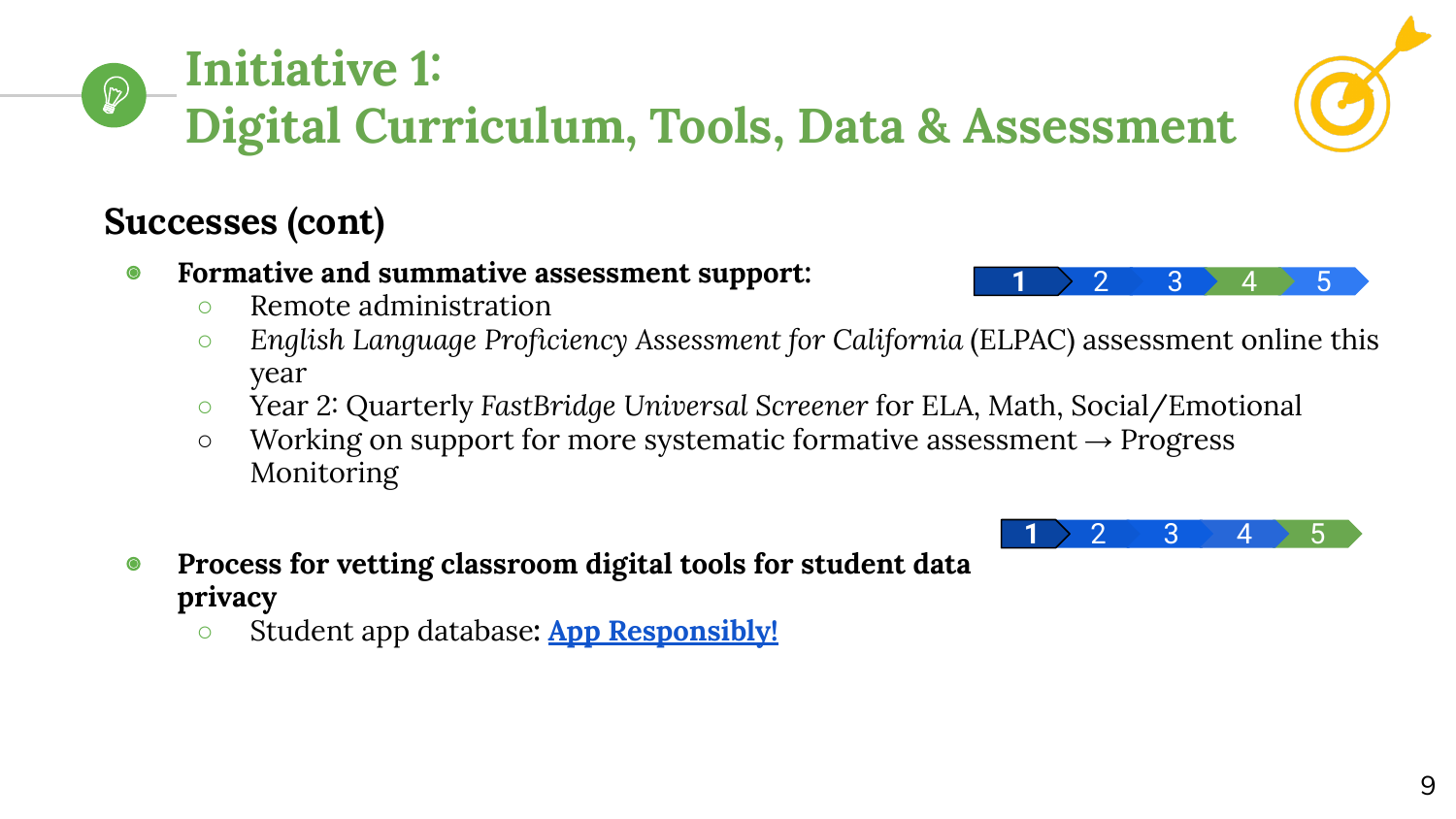#### **Initiative 1:**   $\mathcal{D}$ **Digital Curriculum, Tools, Data & Assessment**

# **Successes (cont)**

- ◉ **Formative and summative assessment support:** 
	- Remote administration
	- *English Language Proficiency Assessment for California* (ELPAC) assessment online this year
	- Year 2: Quarterly *FastBridge Universal Screener* for ELA, Math, Social/Emotional
	- $\circ$  Working on support for more systematic formative assessment  $\rightarrow$  Progress Monitoring
- ◉ **Process for vetting classroom digital tools for student data privacy**
	- **○** Student app database**: [App Responsibly!](https://www.cambriansd.org/Page/3483)**





 $\begin{array}{c|c|c|c|c} \textbf{1} & \textbf{2} & \textbf{3} & \textbf{4} & \textbf{5} \end{array}$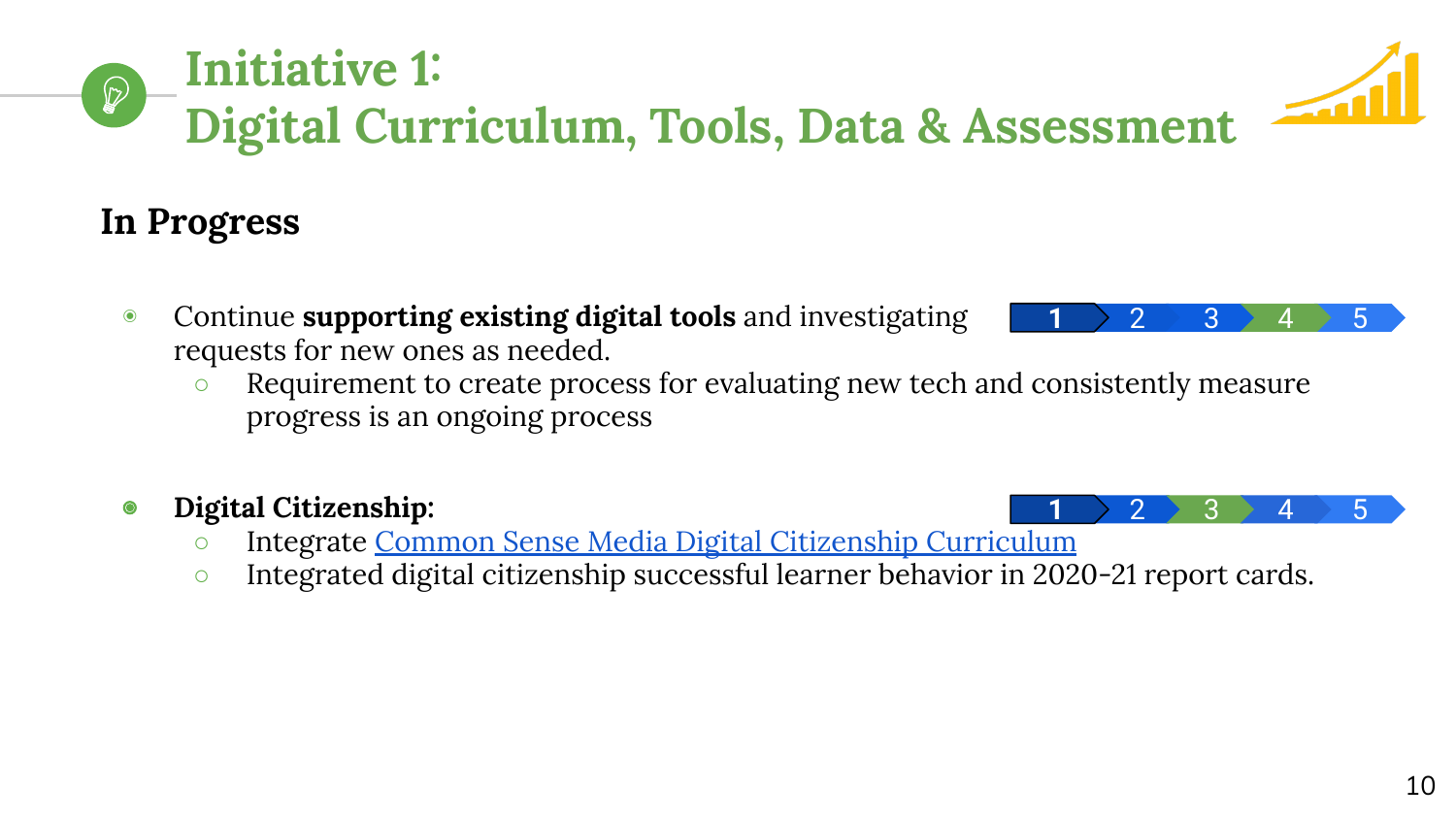10

# **Initiative 1: Digital Curriculum, Tools, Data & Assessment**

# **In Progress**

- ◉ Continue **supporting existing digital tools** and investigating requests for new ones as needed.
	- Requirement to create process for evaluating new tech and consistently measure progress is an ongoing process

#### ◉ **Digital Citizenship:**

- o Integrate [Common Sense Media Digital Citizenship Curriculum](https://www.commonsense.org/education/digital-citizenship)
- Integrated digital citizenship successful learner behavior in 2020-21 report cards.



 $\begin{array}{c|c|c|c|c} \textbf{1} & \textbf{2} & \textbf{3} & \textbf{4} & \textbf{5} \end{array}$ 

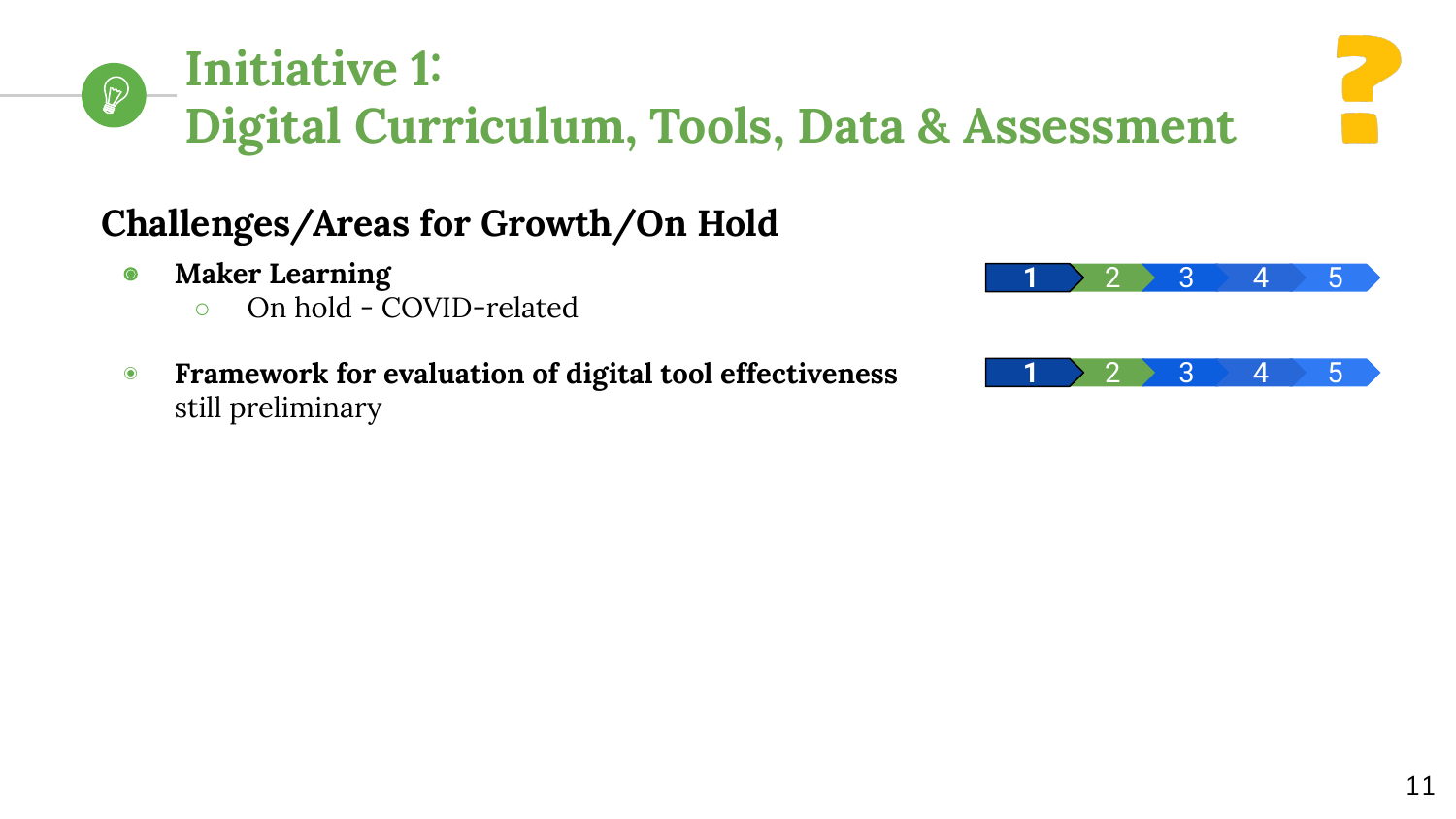#### **Initiative 1:**   $\mathcal{D}$ **Digital Curriculum, Tools, Data & Assessment**

# **Challenges/Areas for Growth/On Hold**

- ◉ **Maker Learning** 
	- On hold COVID-related
- ◉ **Framework for evaluation of digital tool effectiveness** still preliminary

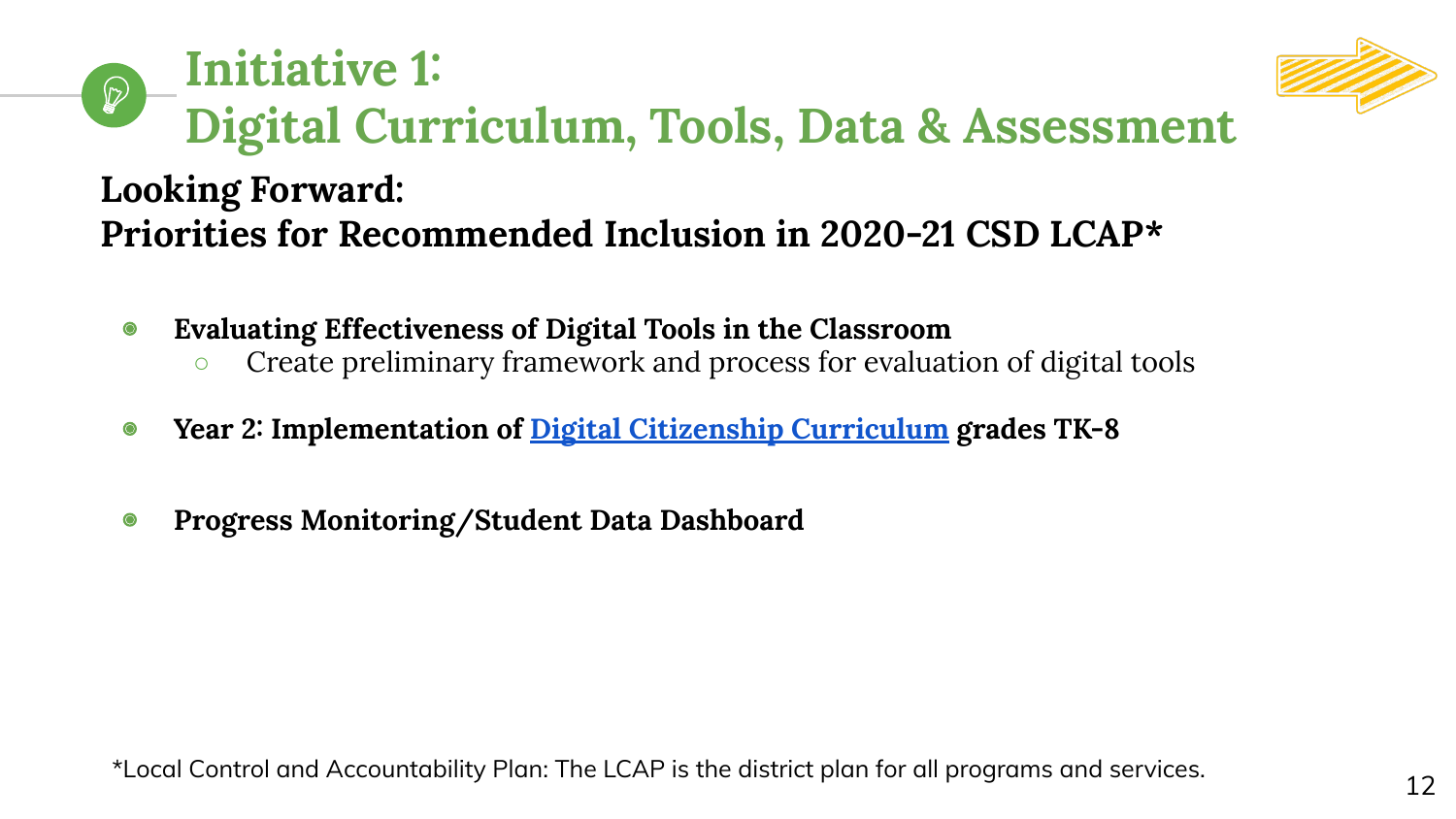#### **Initiative 1:**   $\mathcal{D}$ **Digital Curriculum, Tools, Data & Assessment Looking Forward: Priorities for Recommended Inclusion in 2020-21 CSD LCAP\***

- ◉ **Evaluating Effectiveness of Digital Tools in the Classroom**
	- Create preliminary framework and process for evaluation of digital tools
- ◉ **Year 2: Implementation of [Digital Citizenship Curriculum](https://www.commonsense.org/education/digital-citizenship) grades TK-8**
- ◉ **Progress Monitoring/Student Data Dashboard**

\*Local Control and Accountability Plan: The LCAP is the district plan for all programs and services.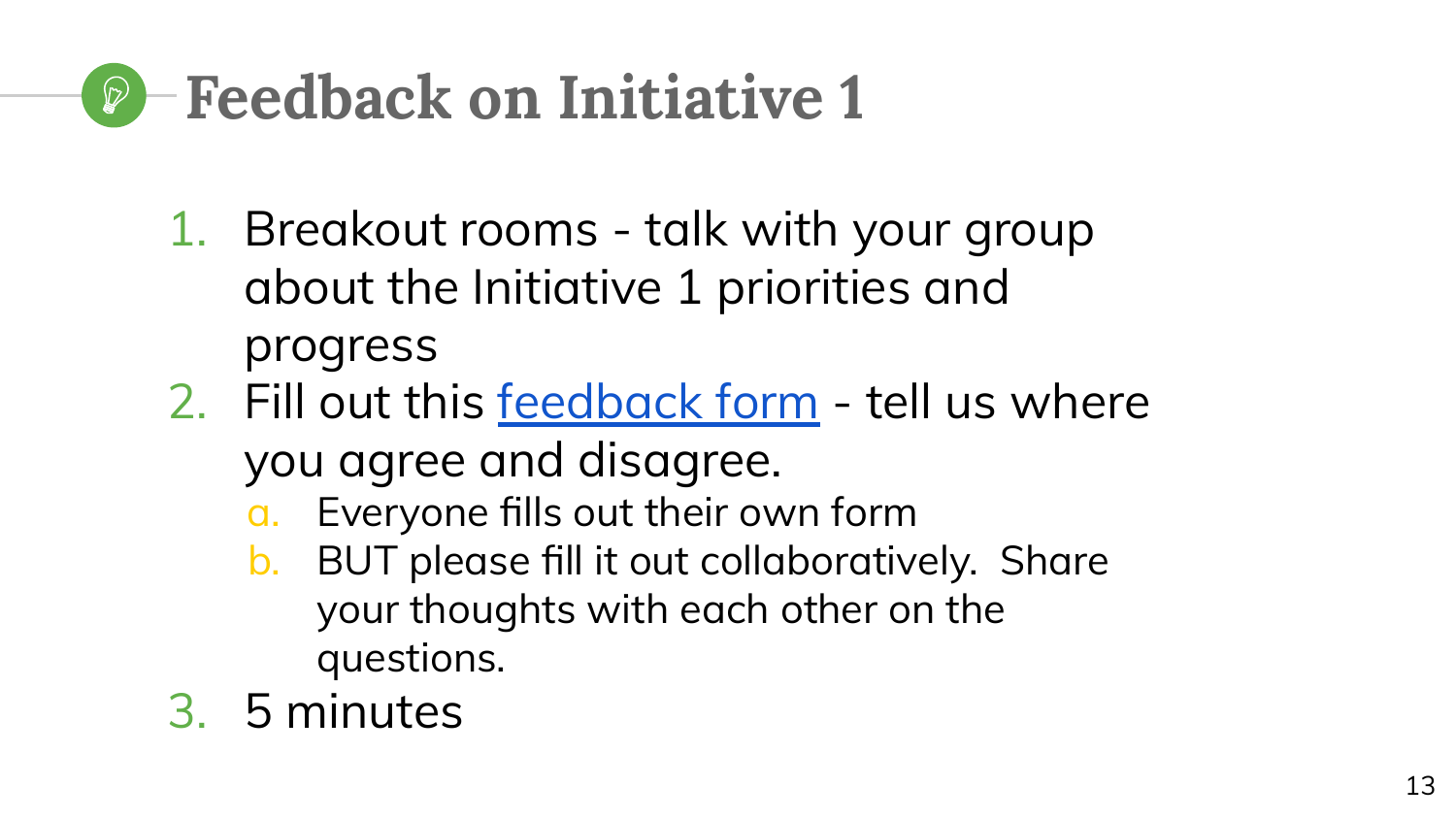# **Feedback on Initiative 1**

- 1. Breakout rooms talk with your group about the Initiative 1 priorities and progress
- 2. Fill out this [feedback form](https://docs.google.com/forms/d/e/1FAIpQLSeD8tvRIo3SILmRJNmPmQ1yj1Xl8JdXdEyG0DzELwxIK33VFQ/viewform) tell us where you agree and disagree.
	- a. Everyone fills out their own form
	- b. BUT please fill it out collaboratively. Share your thoughts with each other on the questions.
- 3. 5 minutes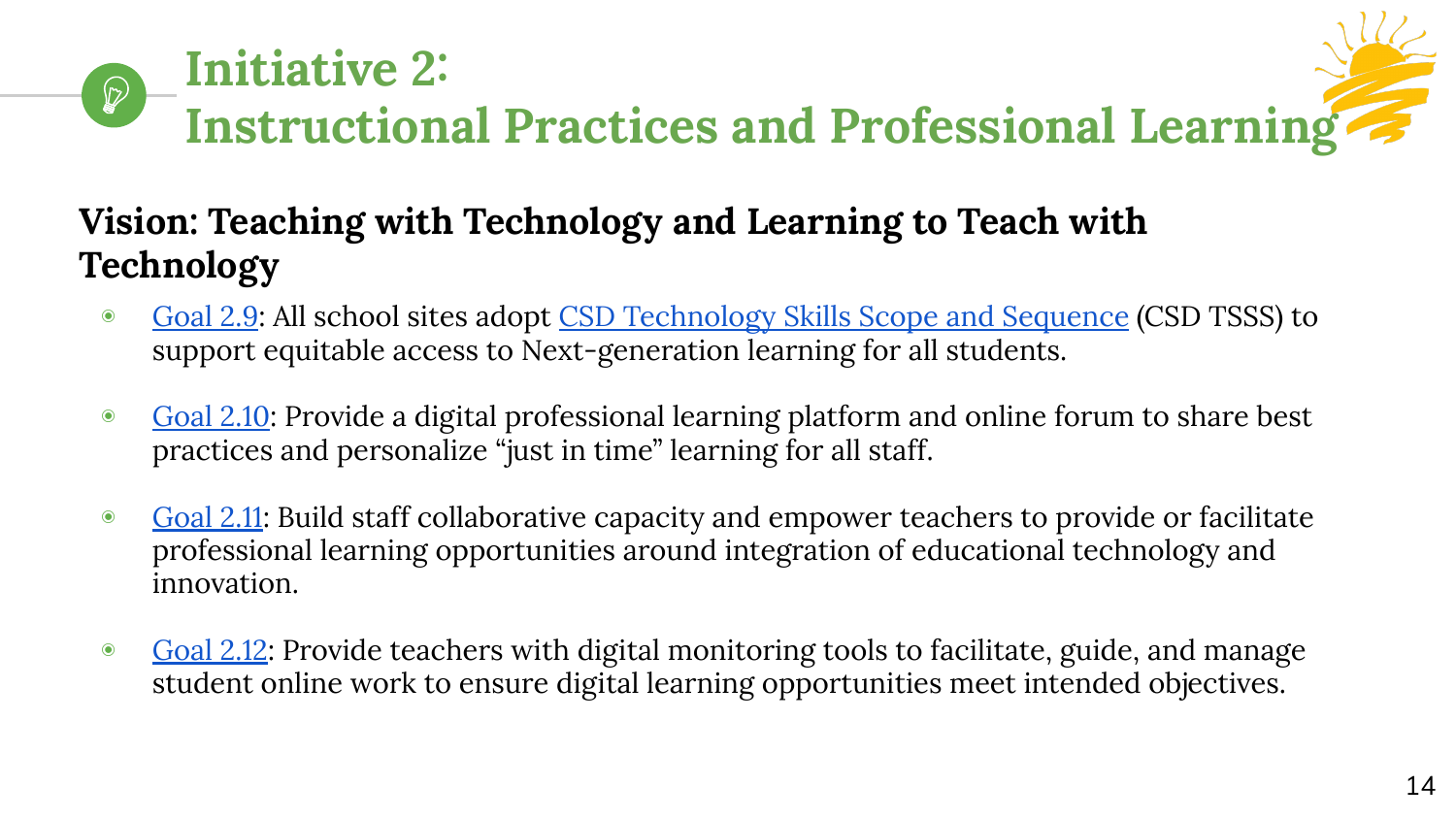# **Initiative 2:**   $\mathcal{D}$ **Instructional Practices and Professional Learning**

# **Vision: Teaching with Technology and Learning to Teach with Technology**

- ◉ [Goal 2.9:](https://www.cambriansd.org/cms/lib/CA01902282/Centricity/Domain/272/Cambrian%20TTF%20Tech%20Plan%202019-24.pdf#page=31) All school sites adopt [CSD Technology Skills Scope and Sequence](https://docs.google.com/document/d/1FgzxRRD1SDAcVKqJWNir8Im_lcMsaOdtp68Q-TfZfkw/edit?usp=sharing) (CSD TSSS) to support equitable access to Next-generation learning for all students.
- [Goal 2.10:](https://www.cambriansd.org/cms/lib/CA01902282/Centricity/Domain/272/Cambrian%20TTF%20Tech%20Plan%202019-24.pdf#page=32) Provide a digital professional learning platform and online forum to share best practices and personalize "just in time" learning for all staff.
- [Goal 2.11:](https://www.cambriansd.org/cms/lib/CA01902282/Centricity/Domain/272/Cambrian%20TTF%20Tech%20Plan%202019-24.pdf#page=32) Build staff collaborative capacity and empower teachers to provide or facilitate professional learning opportunities around integration of educational technology and innovation.
- [Goal 2.12](https://www.cambriansd.org/cms/lib/CA01902282/Centricity/Domain/272/Cambrian%20TTF%20Tech%20Plan%202019-24.pdf#page=34): Provide teachers with digital monitoring tools to facilitate, guide, and manage student online work to ensure digital learning opportunities meet intended objectives.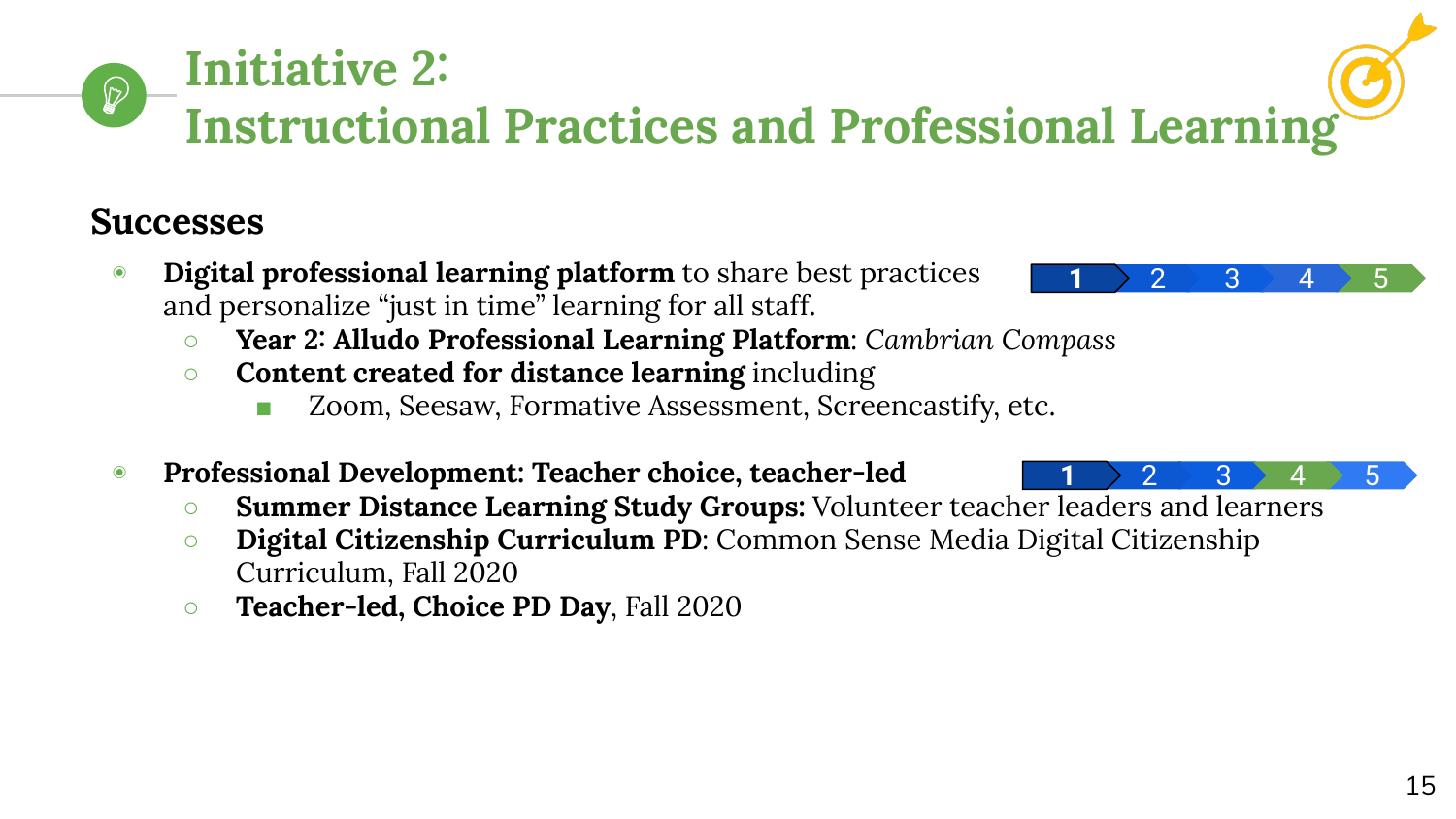# **Initiative 2: Instructional Practices and Professional Learning**

# **Successes**

 $\bigcirc$ 

- ◉ **Digital professional learning platform** to share best practices and personalize "just in time" learning for all staff.
	- **Year 2: Alludo Professional Learning Platform**: *Cambrian Compass*
	- **Content created for distance learning** including
		- Zoom, Seesaw, Formative Assessment, Screencastify, etc.
- ◉ **Professional Development: Teacher choice, teacher-led**
	- **Summer Distance Learning Study Groups:** Volunteer teacher leaders and learners
	- *O* **Digital Citizenship Curriculum PD**: Common Sense Media Digital Citizenship Curriculum, Fall 2020
	- **Teacher-led, Choice PD Day**, Fall 2020



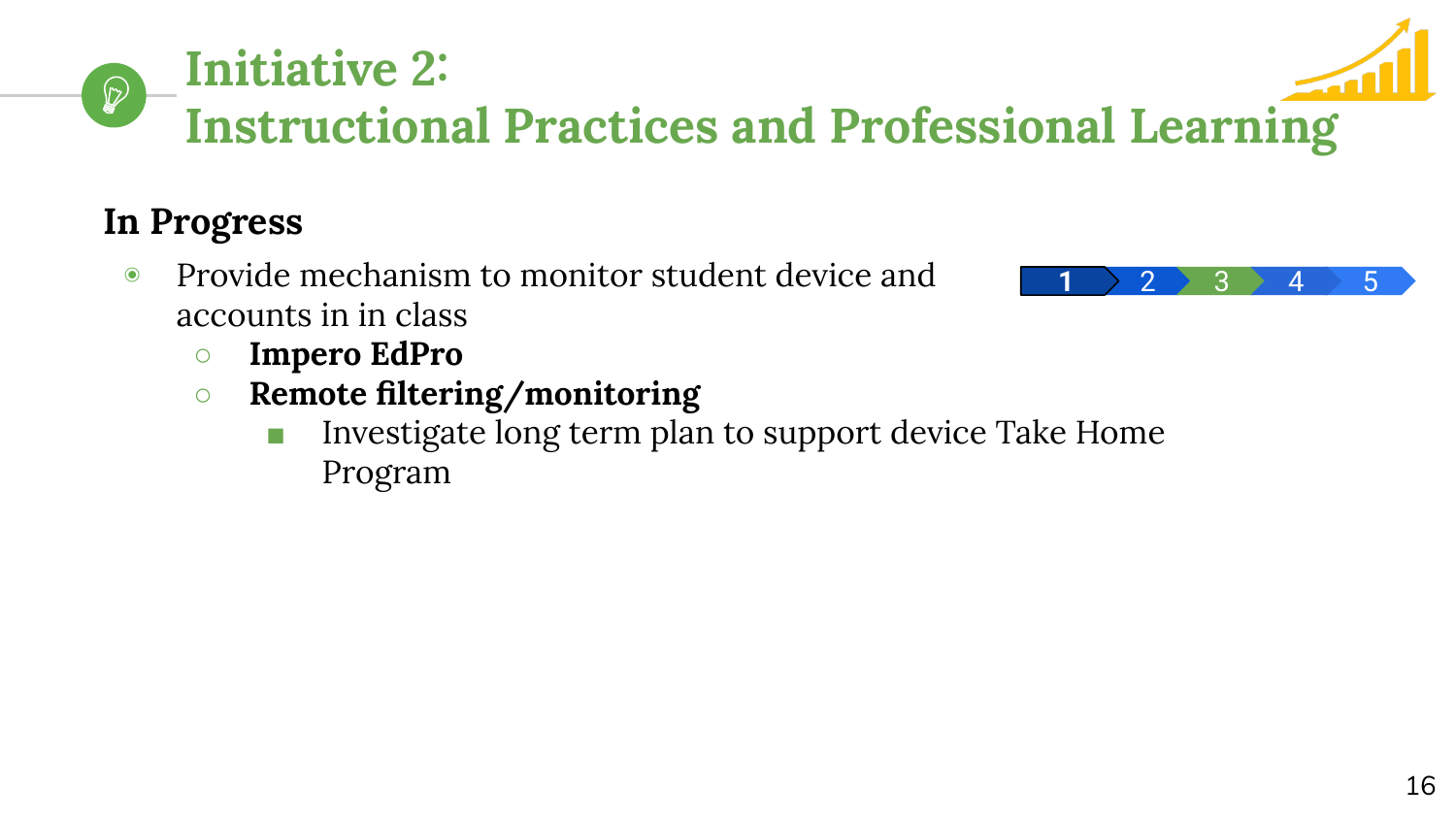# **Instructional Practices and Professional Learning**

# **In Progress**

 $\mathcal{D}$ 

- ◉ Provide mechanism to monitor student device and accounts in in class
	- **○ Impero EdPro**

**Initiative 2:** 

- **○ Remote filtering/monitoring**
	- Investigate long term plan to support device Take Home Program



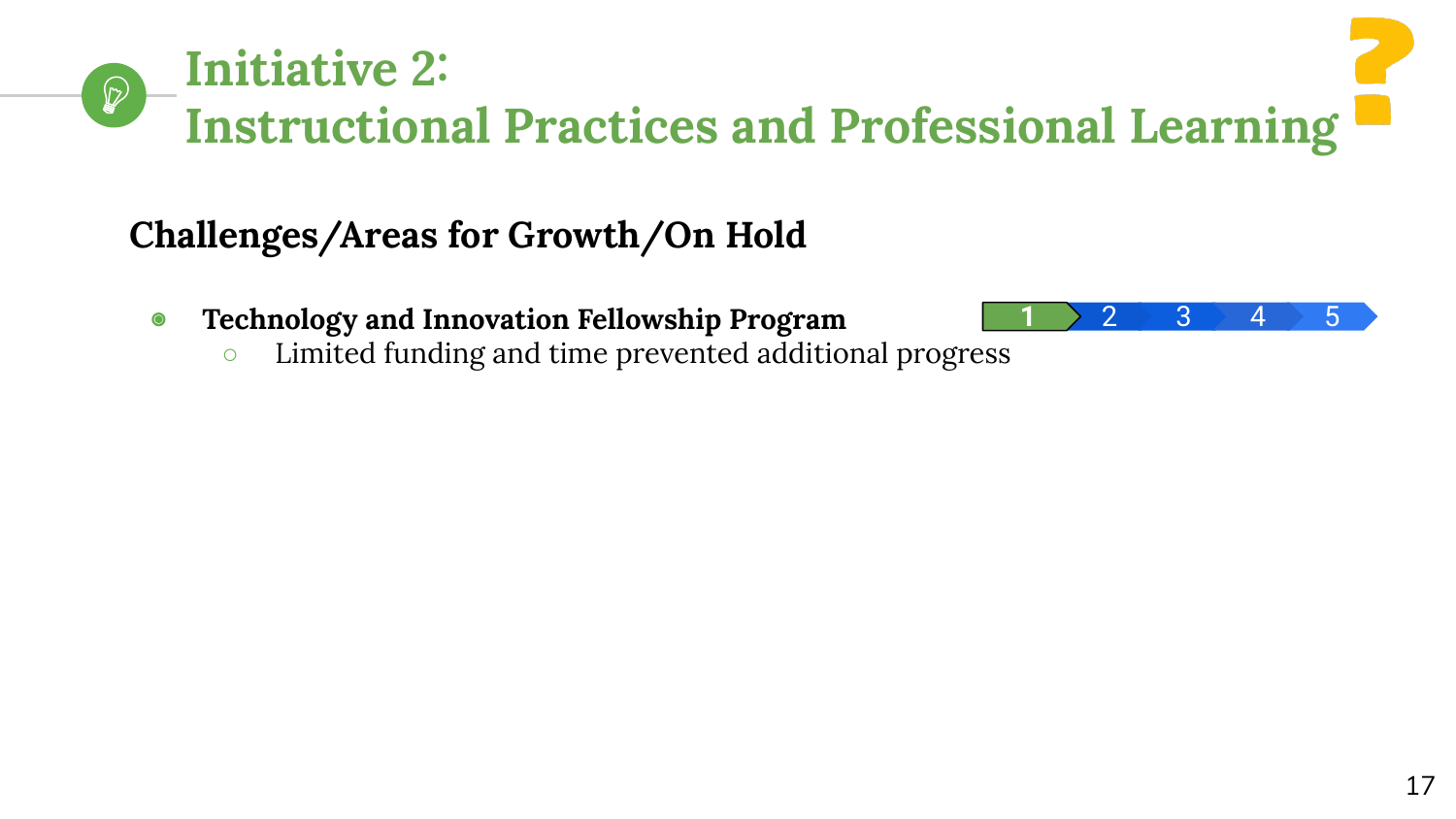## **Initiative 2:**   $\mathcal{D}$ **Instructional Practices and Professional Learning**

# **Challenges/Areas for Growth/On Hold**

- ◉ **Technology and Innovation Fellowship Program**
	- Limited funding and time prevented additional progress

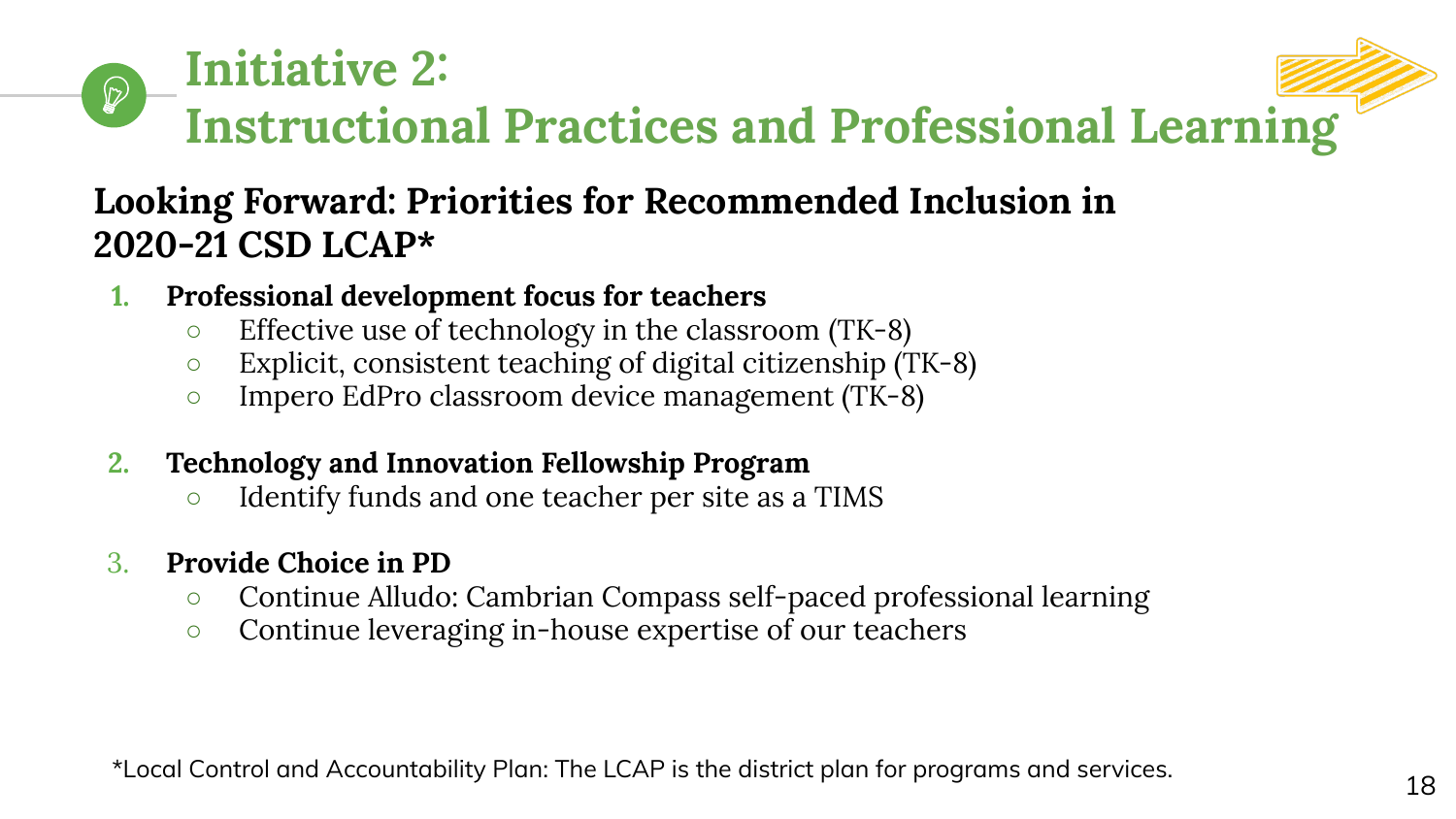

## **Looking Forward: Priorities for Recommended Inclusion in 2020-21 CSD LCAP\***

- **1. Professional development focus for teachers**
	- Effective use of technology in the classroom (TK-8)
	- Explicit, consistent teaching of digital citizenship (TK-8)
	- Impero EdPro classroom device management (TK-8)
- **2. Technology and Innovation Fellowship Program**
	- Identify funds and one teacher per site as a TIMS
- 3. **Provide Choice in PD**
	- Continue Alludo: Cambrian Compass self-paced professional learning
	- Continue leveraging in-house expertise of our teachers

\*Local Control and Accountability Plan: The LCAP is the district plan for programs and services.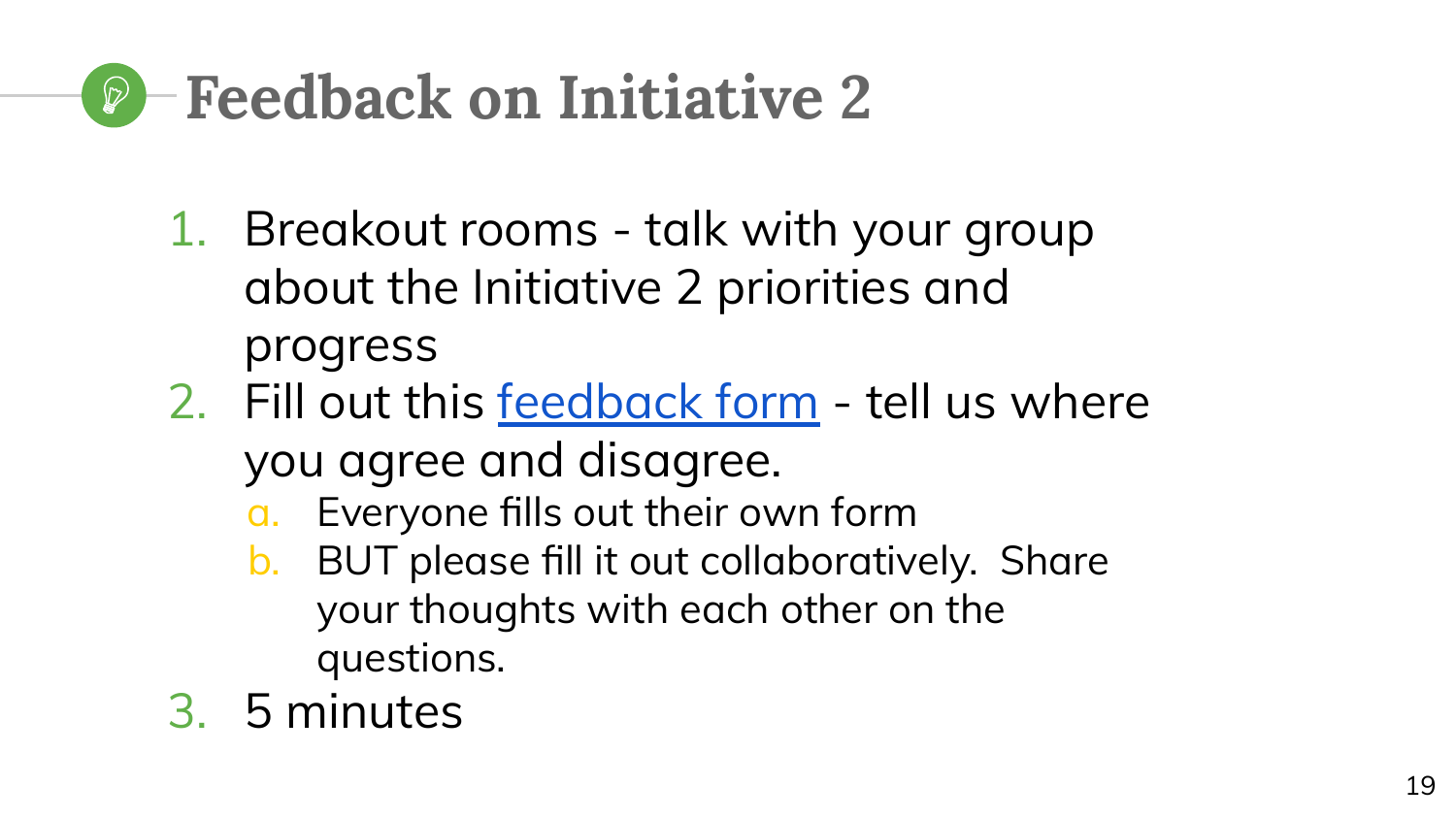# **Feedback on Initiative 2**

- 1. Breakout rooms talk with your group about the Initiative 2 priorities and progress
- 2. Fill out this [feedback form](https://docs.google.com/forms/d/e/1FAIpQLSeAb58NOBwg6Gxk5w2N61qQ2Y-xmZ1u251oQhrj2Y-zzEvi_w/viewform) tell us where you agree and disagree.
	- a. Everyone fills out their own form
	- b. BUT please fill it out collaboratively. Share your thoughts with each other on the questions.
- 3. 5 minutes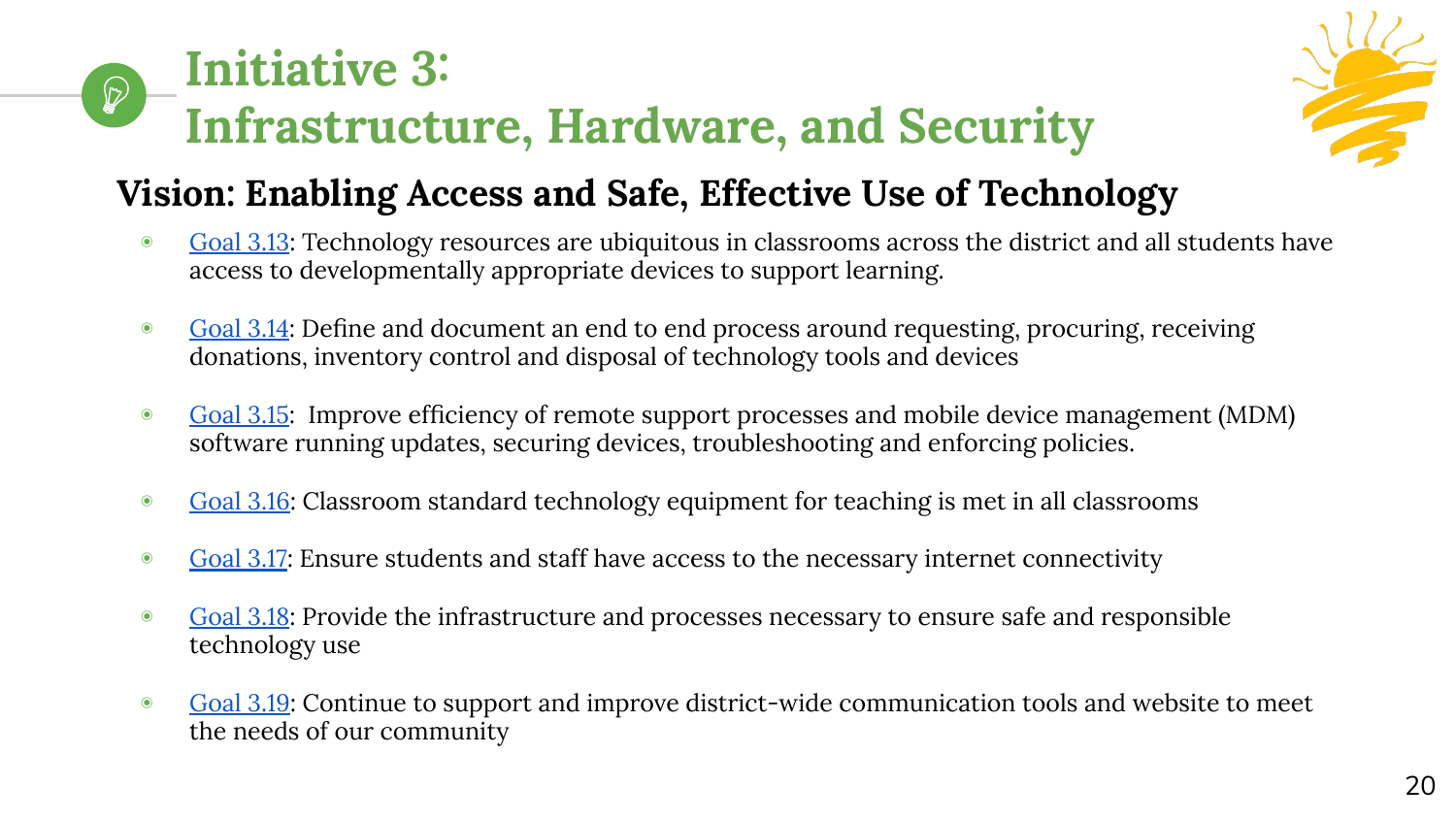#### **Initiative 3:**   $\mathcal{D}$ **Infrastructure, Hardware, and Security**



# **Vision: Enabling Access and Safe, Effective Use of Technology**

- ◉ [Goal 3.13](https://www.cambriansd.org/cms/lib/CA01902282/Centricity/Domain/272/Cambrian%20TTF%20Tech%20Plan%202019-24.pdf#page=39): Technology resources are ubiquitous in classrooms across the district and all students have access to developmentally appropriate devices to support learning.
- [Goal 3.14:](https://www.cambriansd.org/cms/lib/CA01902282/Centricity/Domain/272/Cambrian%20TTF%20Tech%20Plan%202019-24.pdf#page=39) Define and document an end to end process around requesting, procuring, receiving donations, inventory control and disposal of technology tools and devices
- [Goal 3.15](https://www.cambriansd.org/cms/lib/CA01902282/Centricity/Domain/272/Cambrian%20TTF%20Tech%20Plan%202019-24.pdf#page=40): Improve efficiency of remote support processes and mobile device management (MDM) software running updates, securing devices, troubleshooting and enforcing policies.
- [Goal 3.16](https://www.cambriansd.org/cms/lib/CA01902282/Centricity/Domain/272/Cambrian%20TTF%20Tech%20Plan%202019-24.pdf#page=40): Classroom standard technology equipment for teaching is met in all classrooms
- [Goal 3.17](https://www.cambriansd.org/cms/lib/CA01902282/Centricity/Domain/272/Cambrian%20TTF%20Tech%20Plan%202019-24.pdf#page=41): Ensure students and staff have access to the necessary internet connectivity
- [Goal 3.18](https://www.cambriansd.org/cms/lib/CA01902282/Centricity/Domain/272/Cambrian%20TTF%20Tech%20Plan%202019-24.pdf#page=41): Provide the infrastructure and processes necessary to ensure safe and responsible technology use
- [Goal 3.19](https://www.cambriansd.org/cms/lib/CA01902282/Centricity/Domain/272/Cambrian%20TTF%20Tech%20Plan%202019-24.pdf#page=42): Continue to support and improve district-wide communication tools and website to meet the needs of our community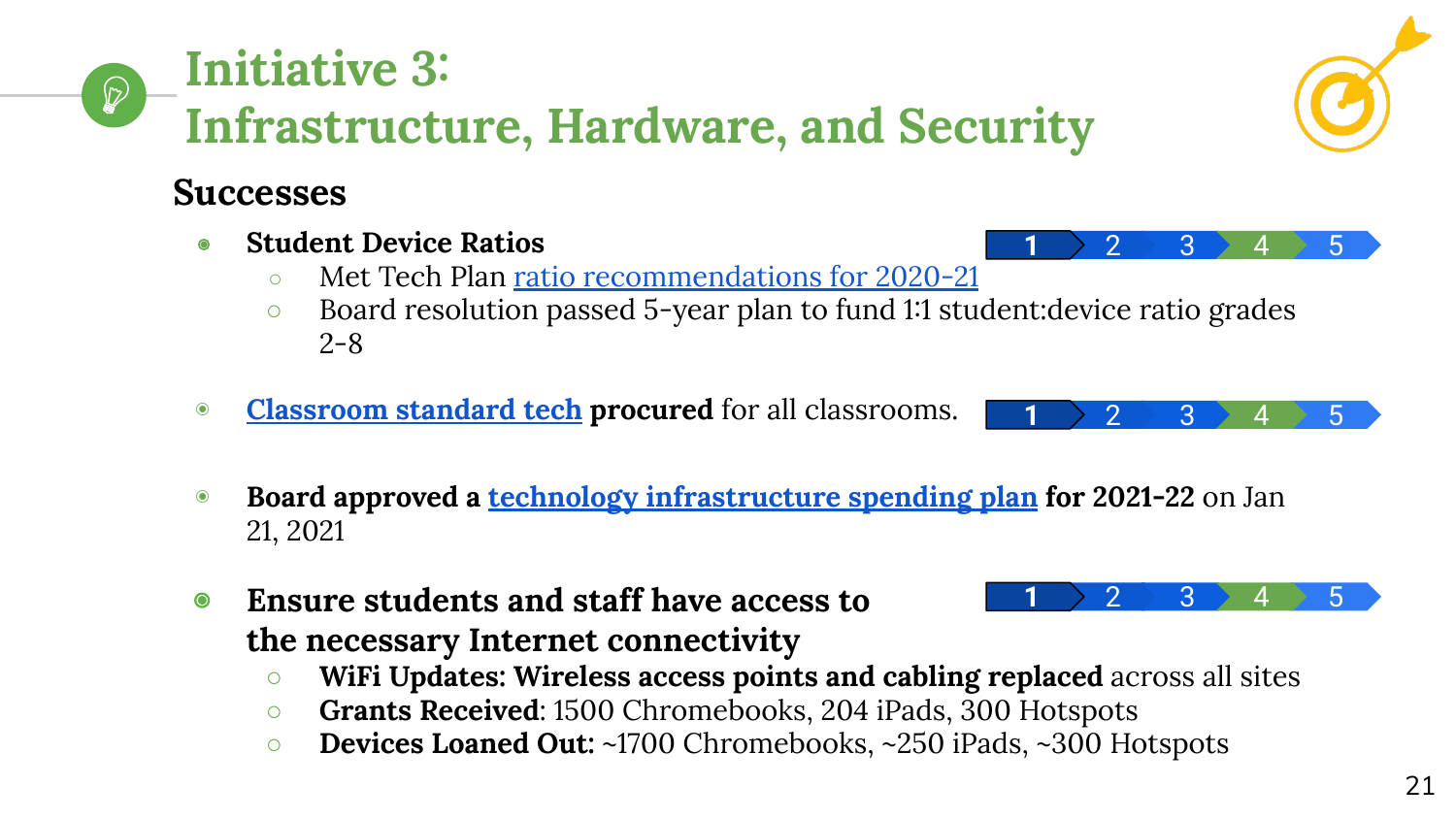#### **Initiative 3:**   $\mathscr{D}$ **Infrastructure, Hardware, and Security**

# **Successes**

- ◉ **Student Device Ratios**
	- **○** Met Tech Plan [ratio recommendations for 2020-21](https://www.cambriansd.org/cms/lib/CA01902282/Centricity/Domain/272/Cambrian%20TTF%20Tech%20Plan%202019-24.pdf#page=41)
	- Board resolution passed 5-year plan to fund 1:1 student:device ratio grades 2-8
- ◉ **[Classroom standard tech](https://www.cambriansd.org/cms/lib/CA01902282/Centricity/Domain/272/Cambrian%20TTF%20Tech%20Plan%202019-24.pdf#page=43) procured** for all classrooms.
- ◉ **Board approved a [technology infrastructure spending plan](https://cambrianpublic.ic-board.com/Attachments/674d63dc-ca28-4f29-8016-43bca60ab898.pdf) for 2021-22** on Jan 21, 2021
- ◉ **Ensure students and staff have access to the necessary Internet connectivity**
	- **WiFi Updates: Wireless access points and cabling replaced** across all sites
	- **Grants Received**: 1500 Chromebooks, 204 iPads, 300 Hotspots
	- **○ Devices Loaned Out:** ~1700 Chromebooks, ~250 iPads, ~300 Hotspots



 $\begin{array}{c|c|c|c|c} \textbf{1} & \textbf{2} & \textbf{3} & \textbf{4} & \textbf{5} \end{array}$ 



 $\begin{array}{c|c|c|c|c} \textbf{1} & \textbf{2} & \textbf{3} & \textbf{4} & \textbf{5} \end{array}$ 

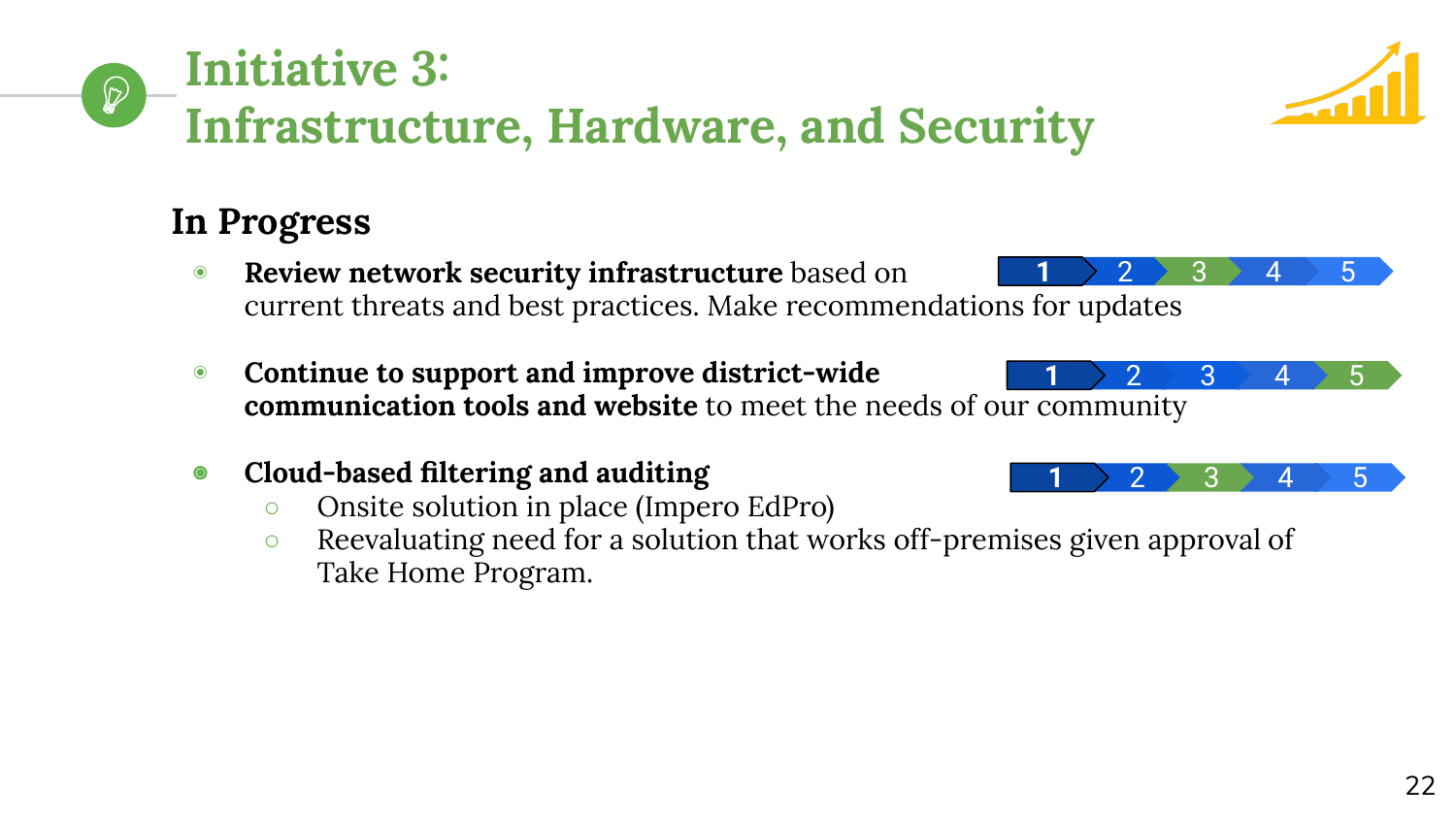# **Initiative 3: Infrastructure, Hardware, and Security**

# **In Progress**

 $\mathbb{Q}$ 

- ◉ **Review network security infrastructure** based on current threats and best practices. Make recommendations for updates  $\textbf{1} \rightarrow \textbf{2} \rightarrow \textbf{3} \rightarrow \textbf{4} \rightarrow \textbf{5}$
- ◉ **Continue to support and improve district-wide communication tools and website** to meet the needs of our community
- ◉ **Cloud-based filtering and auditing**
	- Onsite solution in place (Impero EdPro)
	- Reevaluating need for a solution that works off-premises given approval of Take Home Program.





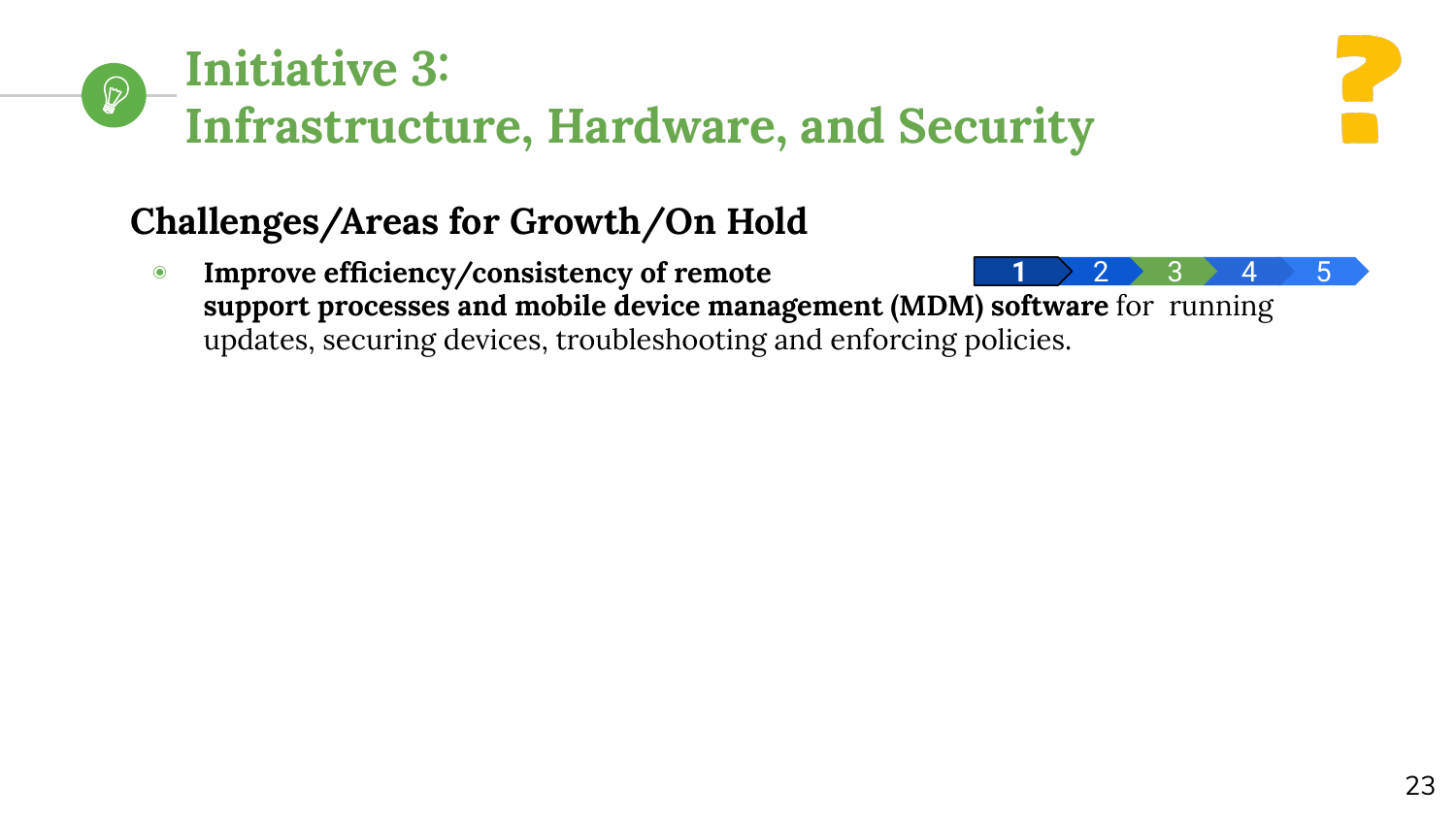

# **Challenges/Areas for Growth/On Hold**

◉ **Improve efficiency/consistency of remote support processes and mobile device management (MDM) software** for running updates, securing devices, troubleshooting and enforcing policies. <mark>1 > 2 > 3 > 4 > 5</mark>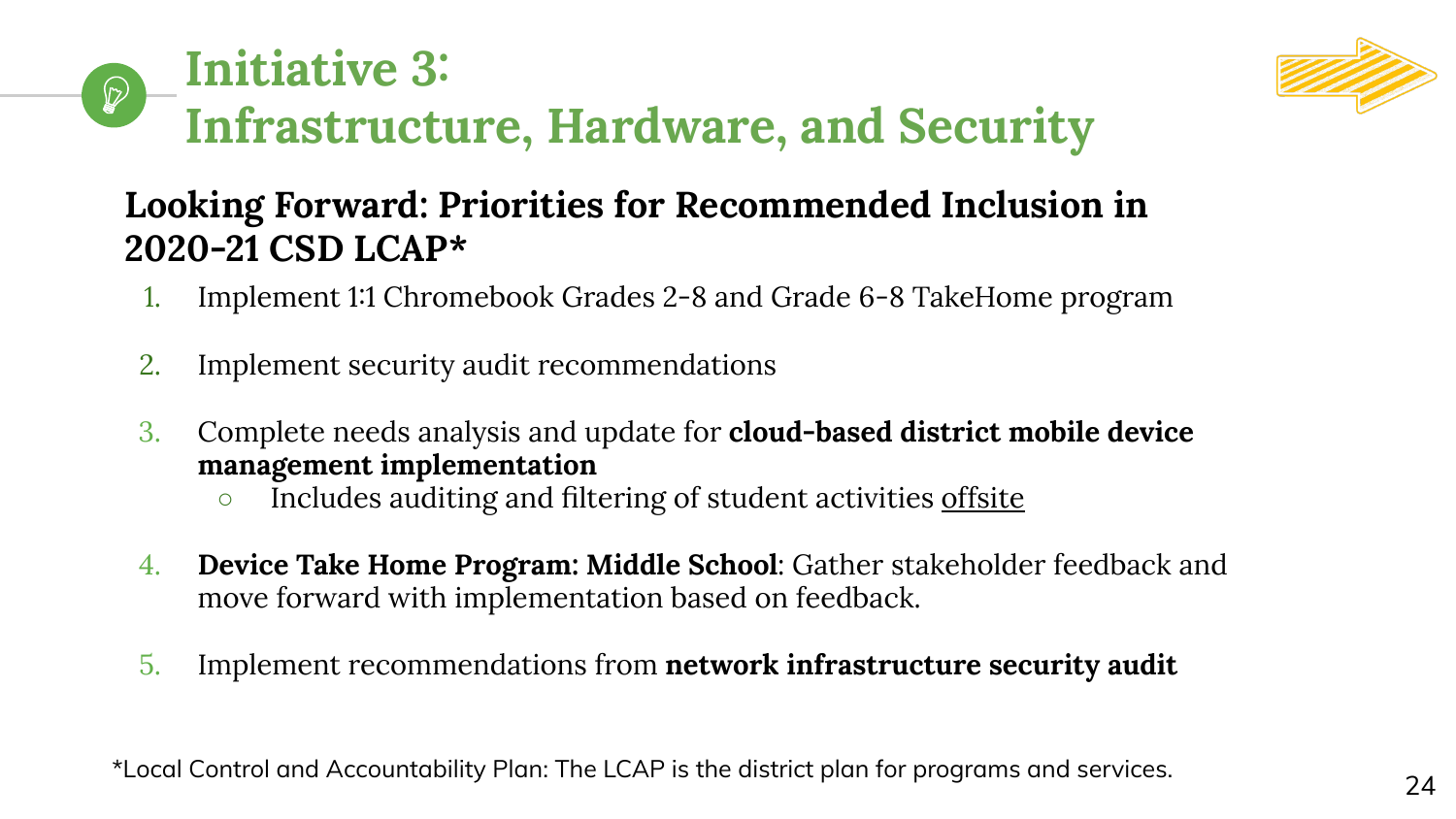



# **Looking Forward: Priorities for Recommended Inclusion in 2020-21 CSD LCAP\***

- 1. Implement 1:1 Chromebook Grades 2-8 and Grade 6-8 TakeHome program
- 2. Implement security audit recommendations
- 3. Complete needs analysis and update for **cloud-based district mobile device management implementation**
	- o Includes auditing and filtering of student activities offsite
- 4. **Device Take Home Program: Middle School**: Gather stakeholder feedback and move forward with implementation based on feedback.
- 5. Implement recommendations from **network infrastructure security audit**

\*Local Control and Accountability Plan: The LCAP is the district plan for programs and services.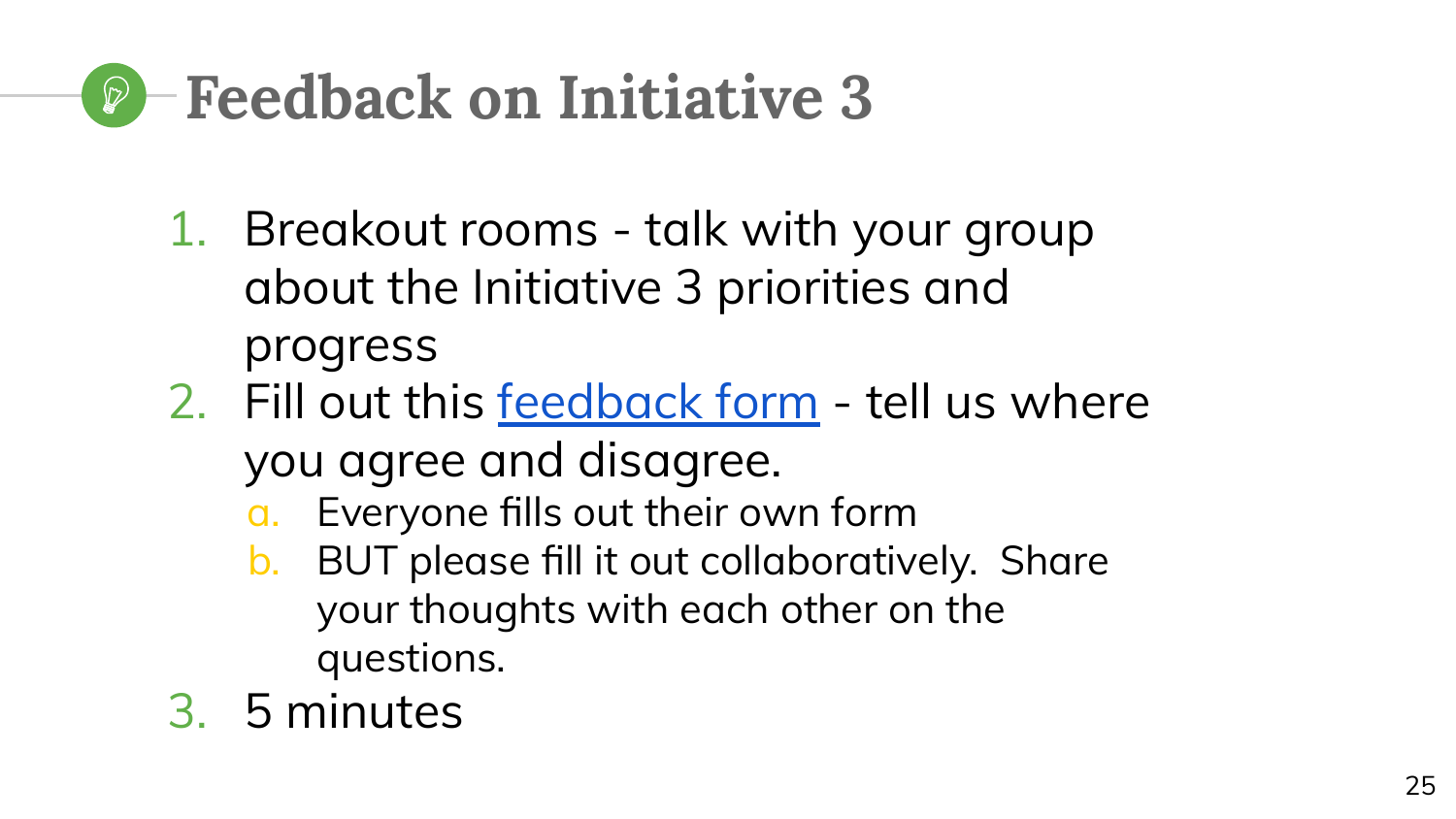# **Feedback on Initiative 3**

- 1. Breakout rooms talk with your group about the Initiative 3 priorities and progress
- 2. Fill out this [feedback form](https://docs.google.com/forms/d/e/1FAIpQLSeNmJCtZrIlhPEG5IIgpg9s1-mvO4L_QpHyoT1_GKm8r7ic5g/viewform) tell us where you agree and disagree.
	- a. Everyone fills out their own form
	- b. BUT please fill it out collaboratively. Share your thoughts with each other on the questions.
- 3. 5 minutes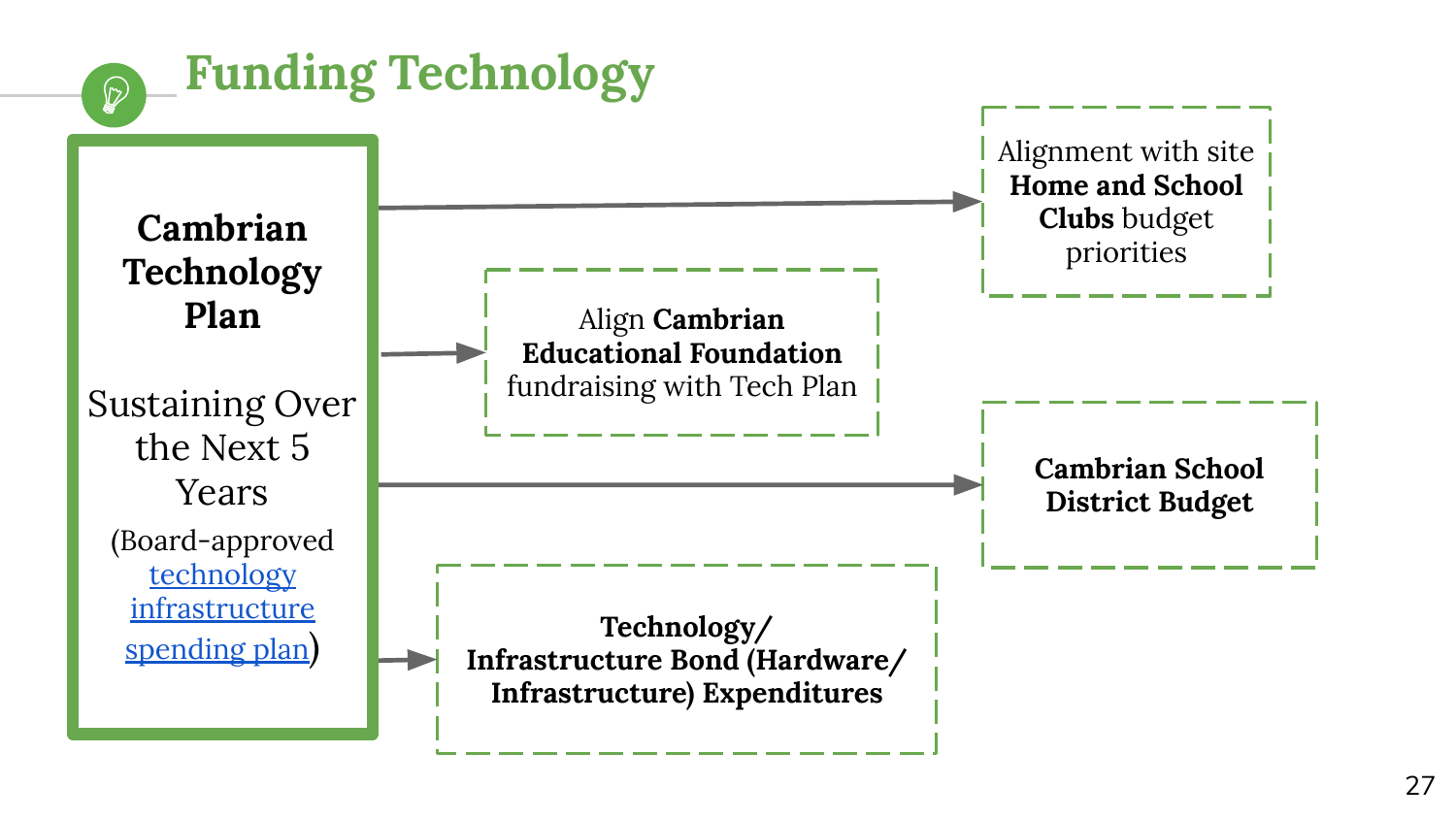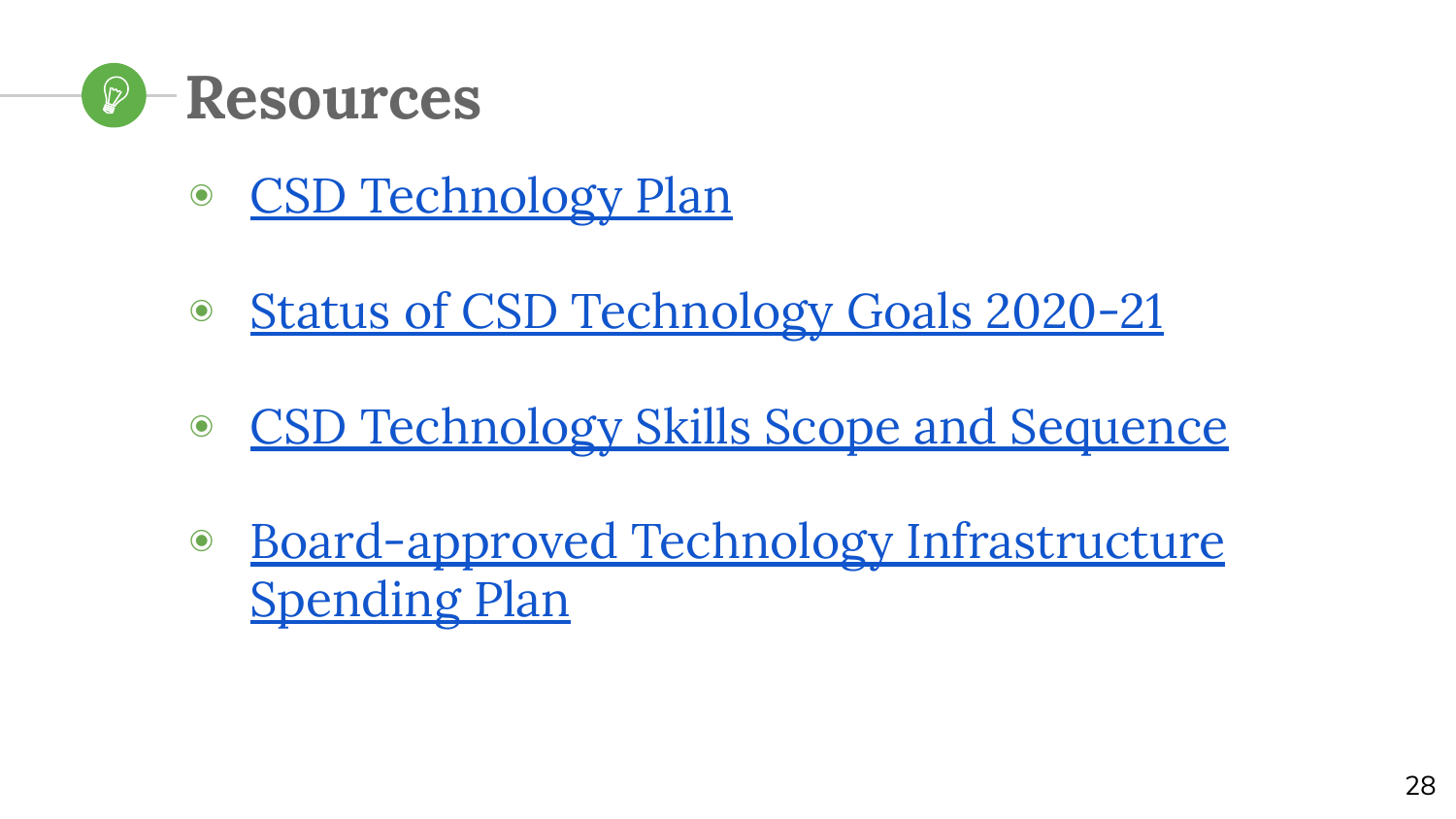

- ◉ [CSD Technology Plan](https://www.cambriansd.org/cms/lib/CA01902282/Centricity/Domain/272/Cambrian%20TTF%20Tech%20Plan%202019-24.pdf)
- ◉ [Status of CSD Technology Goals 2020-21](https://docs.google.com/spreadsheets/d/17Sa5iX7RythlO1StL18JoGV6B1AKsHJtJT8gjABpqLc/edit?usp=sharing)
- [CSD Technology Skills Scope and Sequence](https://drive.google.com/open?id=1FgzxRRD1SDAcVKqJWNir8Im_lcMsaOdtp68Q-TfZfkw)
- ◉ [Board-approved Technology Infrastructure](https://cambrianpublic.ic-board.com/Attachments/674d63dc-ca28-4f29-8016-43bca60ab898.pdf) [Spending Plan](https://cambrianpublic.ic-board.com/Attachments/674d63dc-ca28-4f29-8016-43bca60ab898.pdf)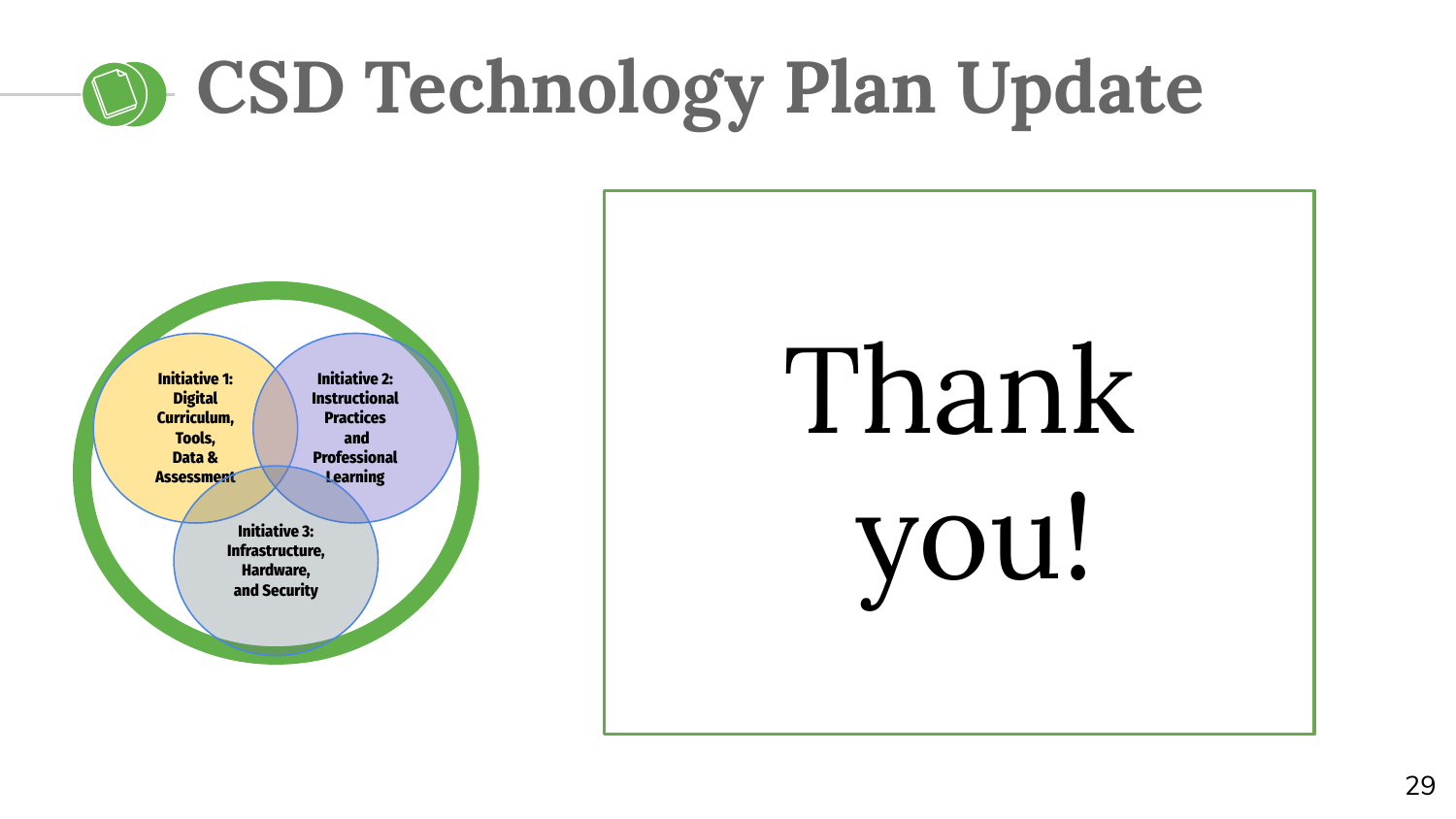# **CSD Technology Plan Update**



# Thank you!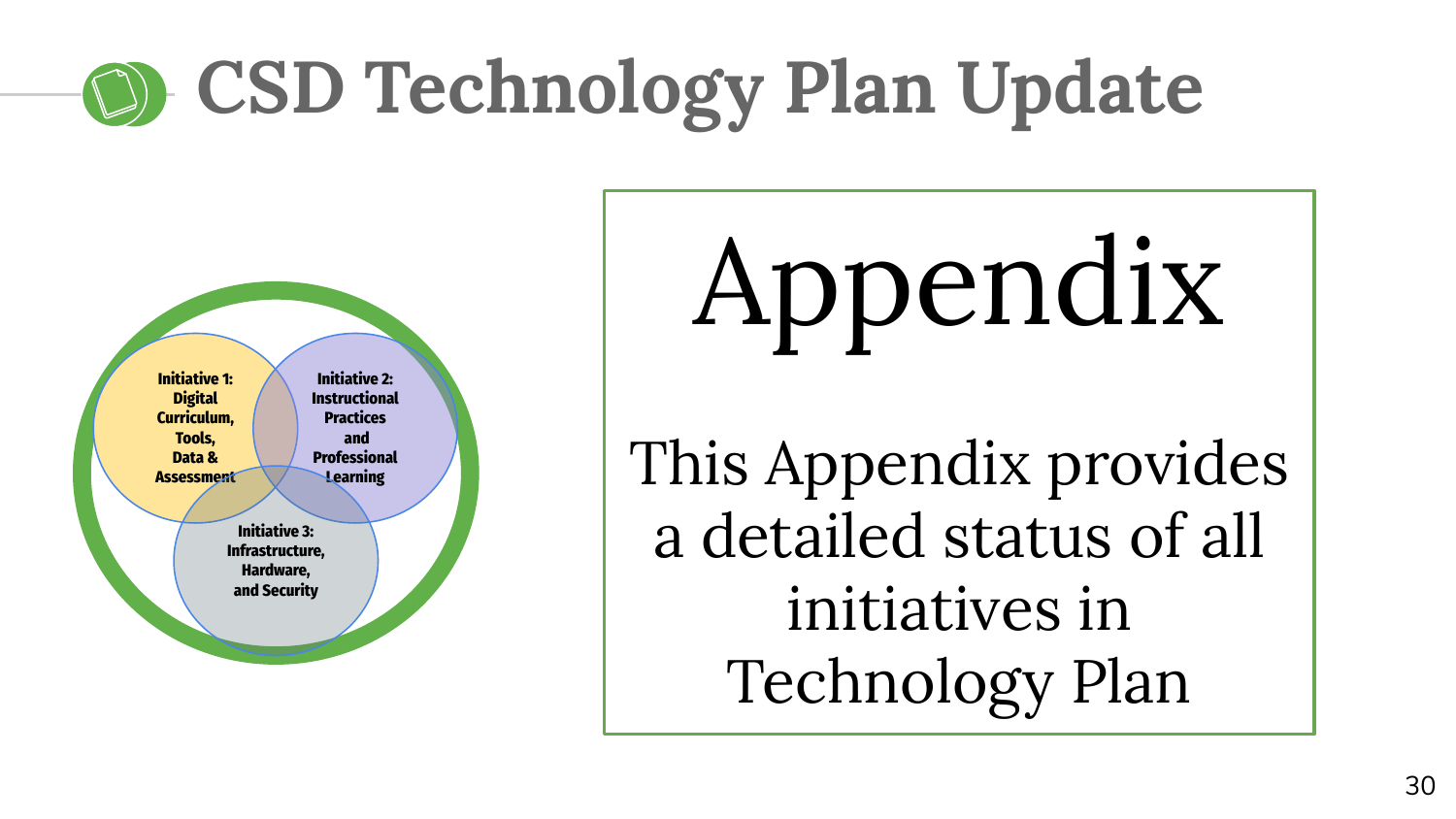# **CSD Technology Plan Update**



Appendix

This Appendix provides a detailed status of all initiatives in Technology Plan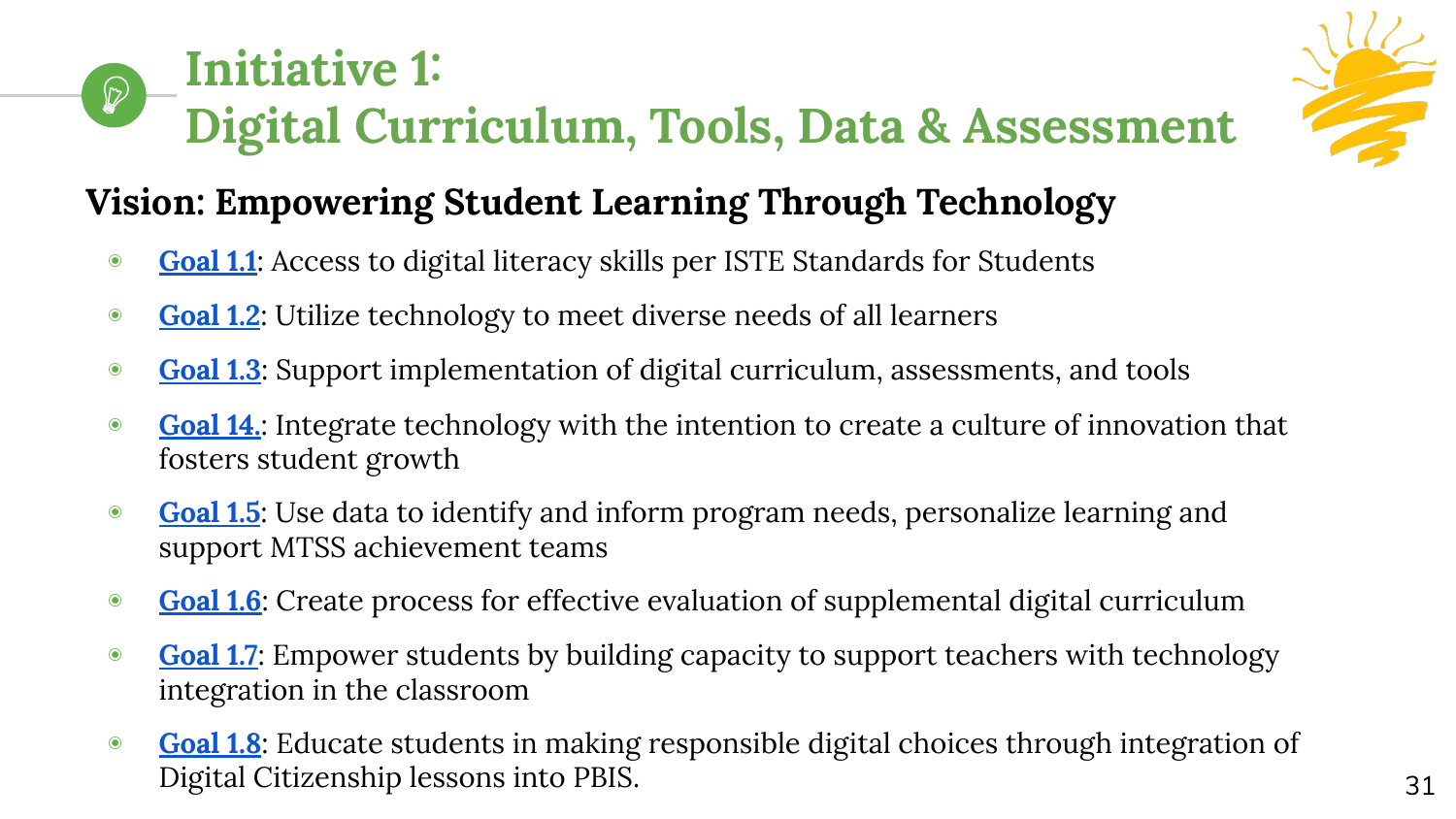#### **Initiative 1:**   $\bigcirc$ **Digital Curriculum, Tools, Data & Assessment**



# **Vision: Empowering Student Learning Through Technology**

- ◉ **[Goal 1.1](https://www.cambriansd.org/cms/lib/CA01902282/Centricity/Domain/272/Cambrian%20TTF%20Tech%20Plan%202019-24.pdf#page=22)**: Access to digital literacy skills per ISTE Standards for Students
- ◉ **[Goal 1.2](https://www.cambriansd.org/cms/lib/CA01902282/Centricity/Domain/272/Cambrian%20TTF%20Tech%20Plan%202019-24.pdf#page=22)**: Utilize technology to meet diverse needs of all learners
- ◉ **[Goal 1.3](https://www.cambriansd.org/cms/lib/CA01902282/Centricity/Domain/272/Cambrian%20TTF%20Tech%20Plan%202019-24.pdf#page=23)**: Support implementation of digital curriculum, assessments, and tools
- ◉ **[Goal 14.](https://www.cambriansd.org/cms/lib/CA01902282/Centricity/Domain/272/Cambrian%20TTF%20Tech%20Plan%202019-24.pdf#page=24)**: Integrate technology with the intention to create a culture of innovation that fosters student growth
- ◉ **[Goal 1.5](https://www.cambriansd.org/cms/lib/CA01902282/Centricity/Domain/272/Cambrian%20TTF%20Tech%20Plan%202019-24.pdf#page=24)**: Use data to identify and inform program needs, personalize learning and support MTSS achievement teams
- ◉ **[Goal 1.6](https://www.cambriansd.org/cms/lib/CA01902282/Centricity/Domain/272/Cambrian%20TTF%20Tech%20Plan%202019-24.pdf#page=24)**: Create process for effective evaluation of supplemental digital curriculum
- **[Goal 1.7](https://www.cambriansd.org/cms/lib/CA01902282/Centricity/Domain/272/Cambrian%20TTF%20Tech%20Plan%202019-24.pdf#page=25):** Empower students by building capacity to support teachers with technology integration in the classroom
- ◉ **[Goal 1.8](https://www.cambriansd.org/cms/lib/CA01902282/Centricity/Domain/272/Cambrian%20TTF%20Tech%20Plan%202019-24.pdf#page=25)**: Educate students in making responsible digital choices through integration of Digital Citizenship lessons into PBIS.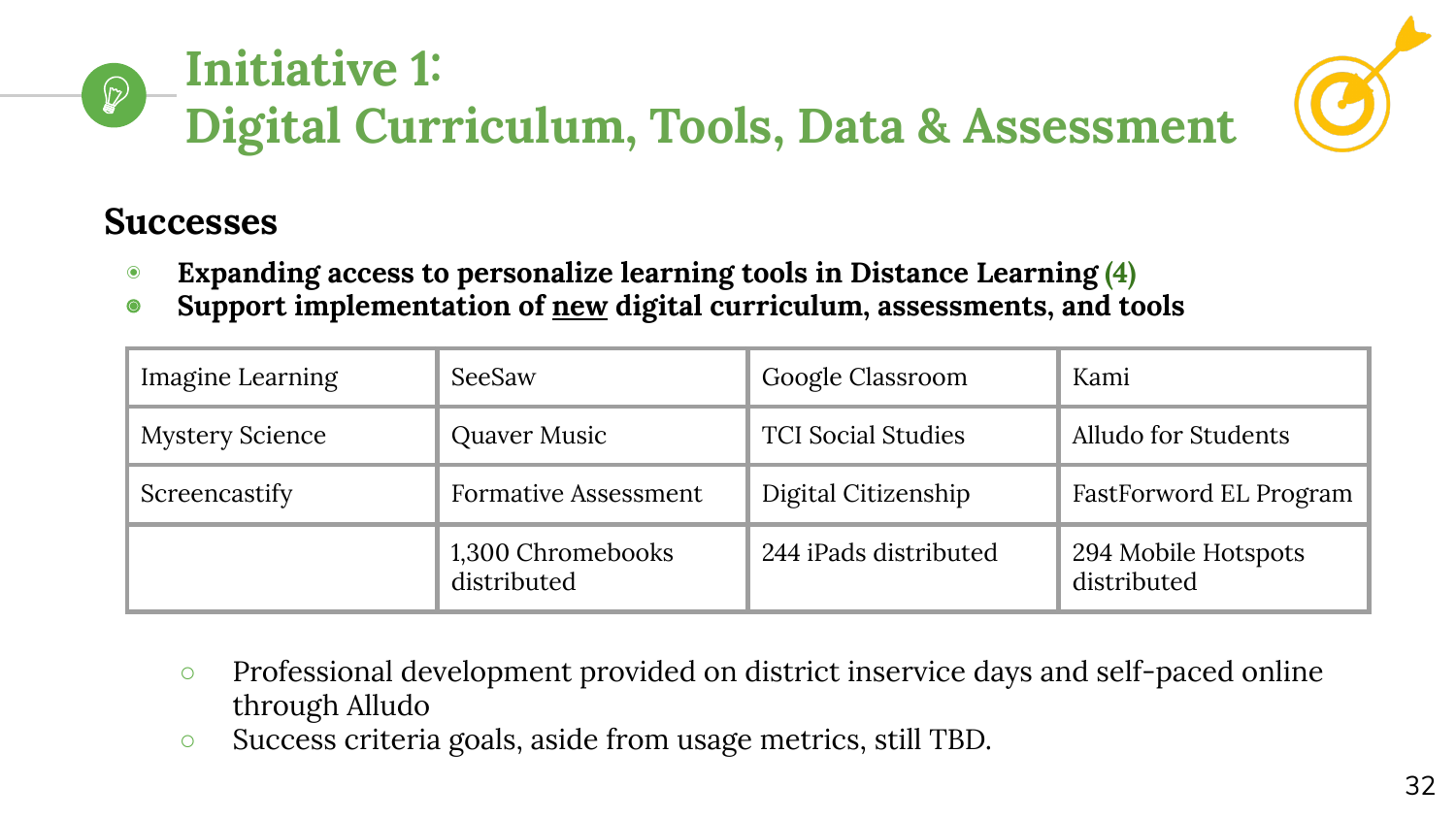# **Initiative 1: Digital Curriculum, Tools, Data & Assessment**



# **Successes**

- ◉ **Expanding access to personalize learning tools in Distance Learning (4)**
- ◉ **Support implementation of new digital curriculum, assessments, and tools**

| Imagine Learning       | SeeSaw                           | Google Classroom          | Kami                               |
|------------------------|----------------------------------|---------------------------|------------------------------------|
| <b>Mystery Science</b> | Quaver Music                     | <b>TCI Social Studies</b> | Alludo for Students                |
| Screencastify          | <b>Formative Assessment</b>      | Digital Citizenship       | FastForword EL Program             |
|                        | 1,300 Chromebooks<br>distributed | 244 iPads distributed     | 294 Mobile Hotspots<br>distributed |

- Professional development provided on district inservice days and self-paced online through Alludo
- Success criteria goals, aside from usage metrics, still TBD.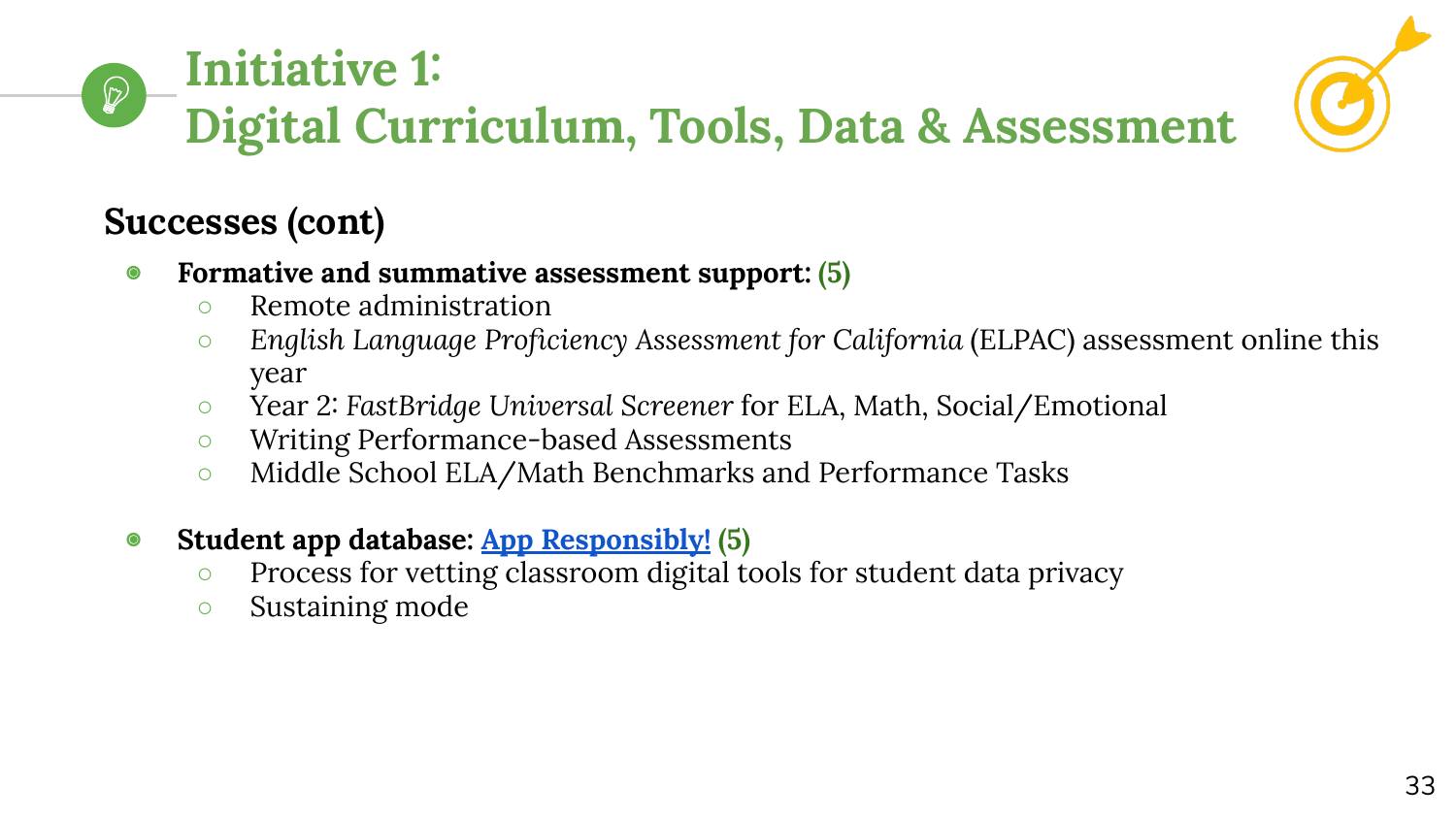#### **Initiative 1:**   $\mathbb{Z}$ **Digital Curriculum, Tools, Data & Assessment**



## **Successes (cont)**

- ◉ **Formative and summative assessment support: (5)**
	- Remote administration
	- *English Language Proficiency Assessment for California* (ELPAC) assessment online this year
	- Year 2: *FastBridge Universal Screener* for ELA, Math, Social/Emotional
	- Writing Performance-based Assessments
	- Middle School ELA/Math Benchmarks and Performance Tasks
- ◉ **Student app database: [App Responsibly!](https://www.cambriansd.org/Page/3483) (5)**
	- Process for vetting classroom digital tools for student data privacy
	- Sustaining mode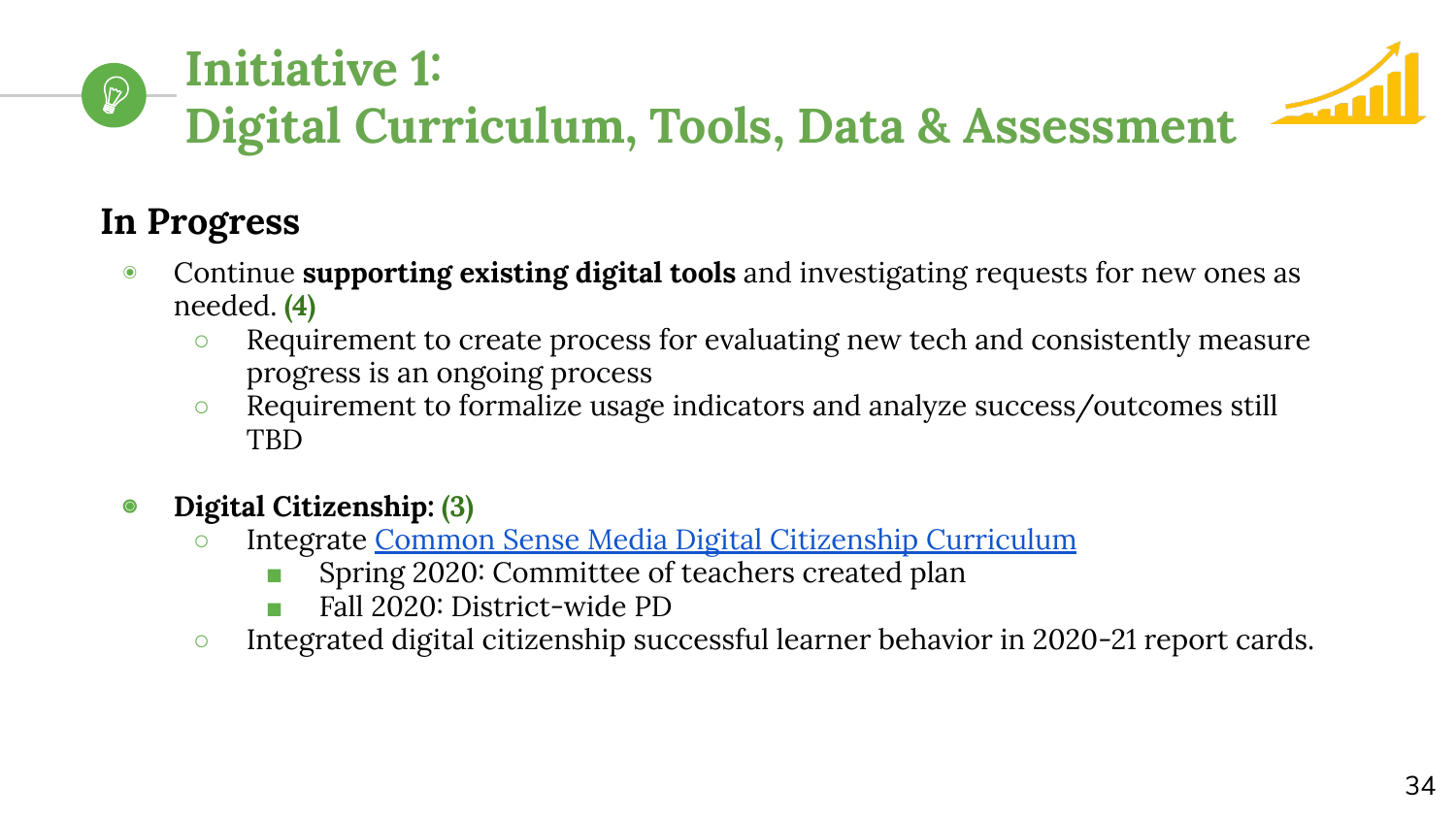#### **Initiative 1:**   $\bigcirc$ **Digital Curriculum, Tools, Data & Assessment**

# **In Progress**

- ◉ Continue **supporting existing digital tools** and investigating requests for new ones as needed. **(4)**
	- Requirement to create process for evaluating new tech and consistently measure progress is an ongoing process
	- Requirement to formalize usage indicators and analyze success/outcomes still TBD
- ◉ **Digital Citizenship: (3)**
	- o Integrate [Common Sense Media Digital Citizenship Curriculum](https://www.commonsense.org/education/digital-citizenship)
		- Spring 2020: Committee of teachers created plan
		- Fall 2020: District-wide PD
	- Integrated digital citizenship successful learner behavior in 2020-21 report cards.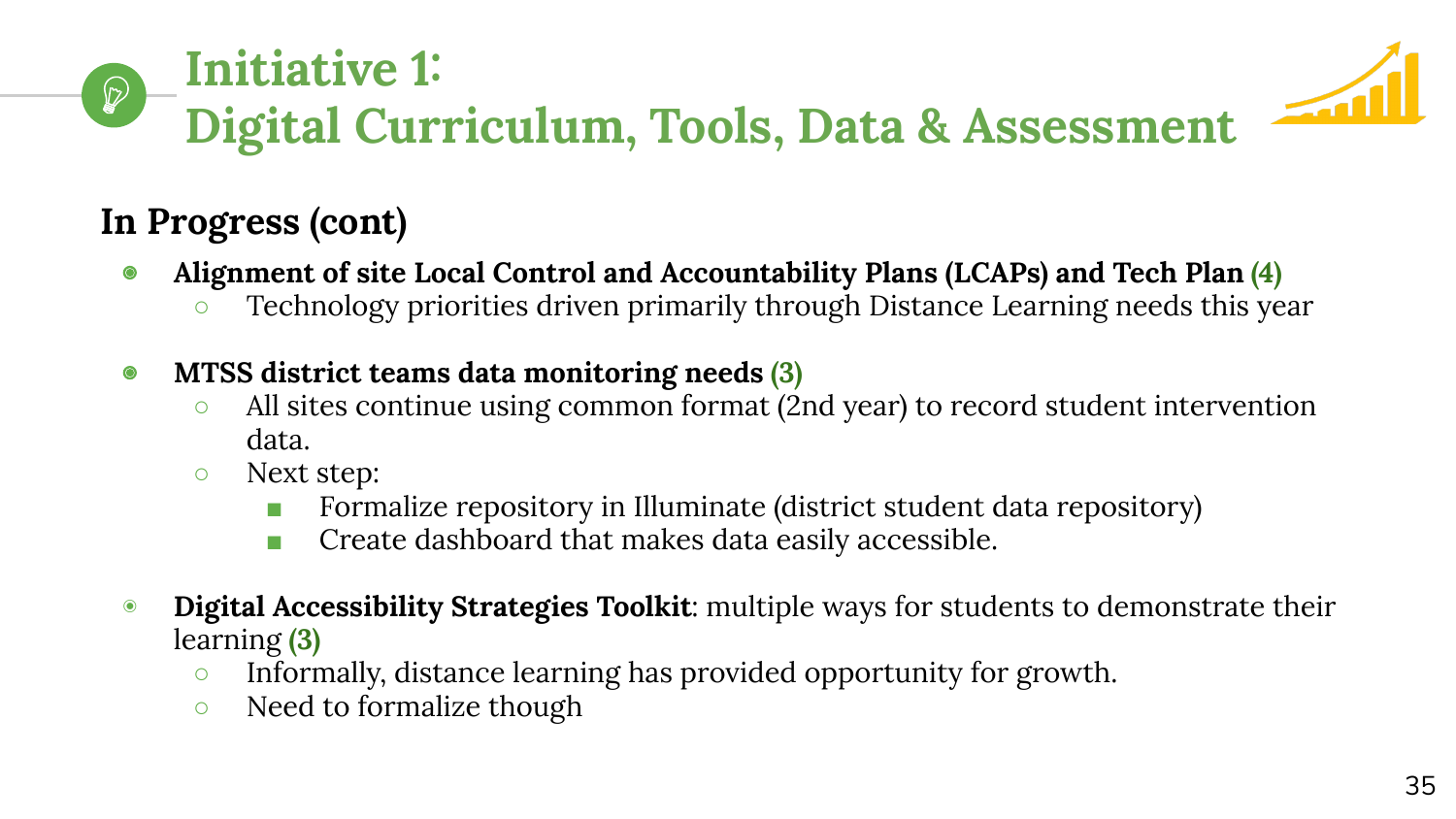#### **Initiative 1:**   $\mathbb{Q}$ **Digital Curriculum, Tools, Data & Assessment**

# **In Progress (cont)**

- ◉ **Alignment of site Local Control and Accountability Plans (LCAPs) and Tech Plan (4)**
	- Technology priorities driven primarily through Distance Learning needs this year
- ◉ **MTSS district teams data monitoring needs (3)**
	- All sites continue using common format (2nd year) to record student intervention data.
	- Next step:
		- Formalize repository in Illuminate (district student data repository)
		- Create dashboard that makes data easily accessible.
- ◉ **Digital Accessibility Strategies Toolkit**: multiple ways for students to demonstrate their learning **(3)**
	- Informally, distance learning has provided opportunity for growth.
	- Need to formalize though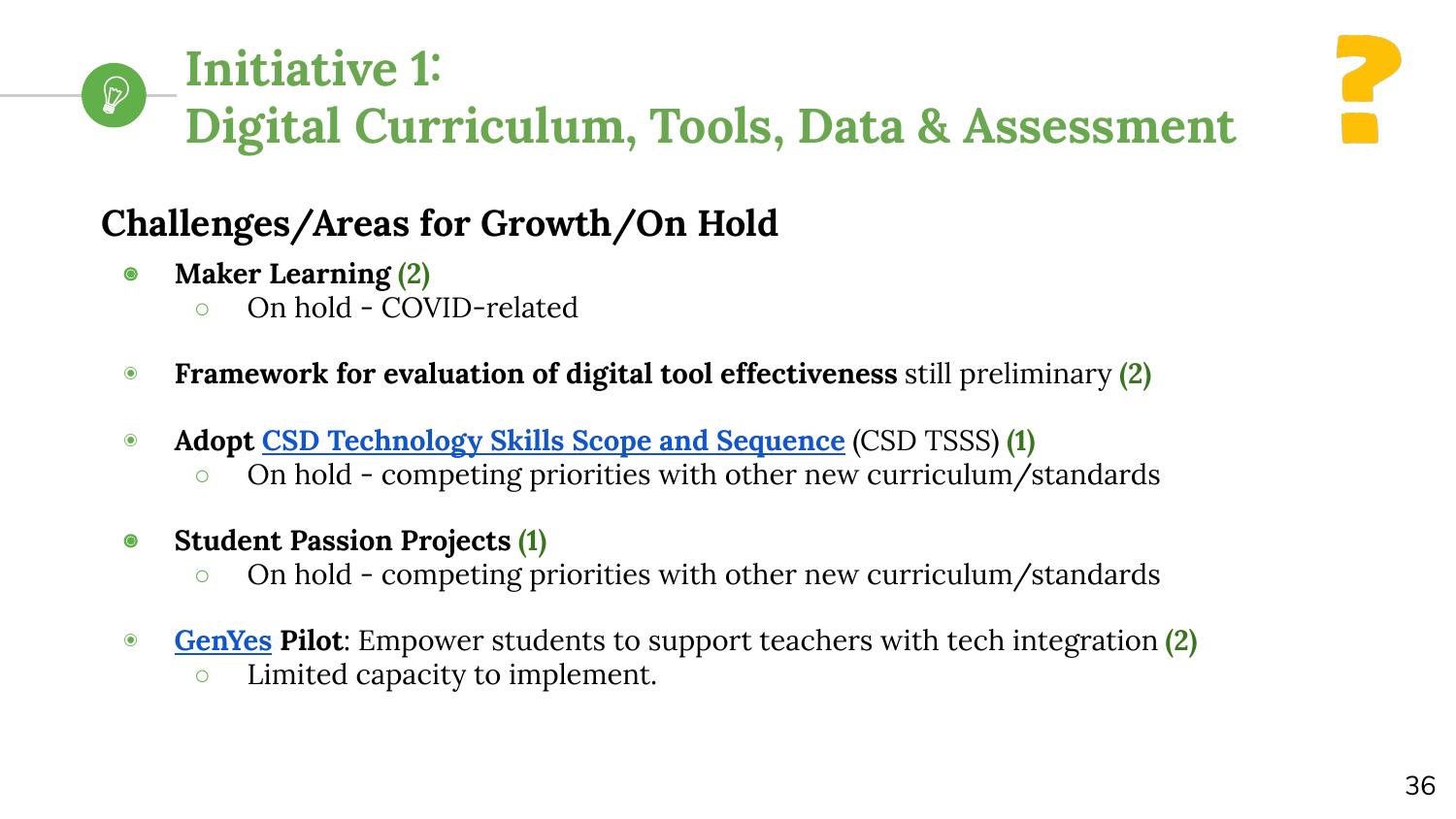#### **Initiative 1:**   $\mathbb{Q}$ **Digital Curriculum, Tools, Data & Assessment**



- ◉ **Maker Learning (2)**
	- On hold COVID-related
- ◉ **Framework for evaluation of digital tool effectiveness** still preliminary **(2)**
- ◉ **Adopt [CSD Technology Skills Scope and Sequence](https://docs.google.com/document/d/1FgzxRRD1SDAcVKqJWNir8Im_lcMsaOdtp68Q-TfZfkw/edit?usp=sharing)** (CSD TSSS) **(1)**
	- On hold competing priorities with other new curriculum/standards
- ◉ **Student Passion Projects (1)**
	- On hold competing priorities with other new curriculum/standards
- ◉ **[GenYes](https://www.genyes.org/) Pilot**: Empower students to support teachers with tech integration **(2)**
	- Limited capacity to implement.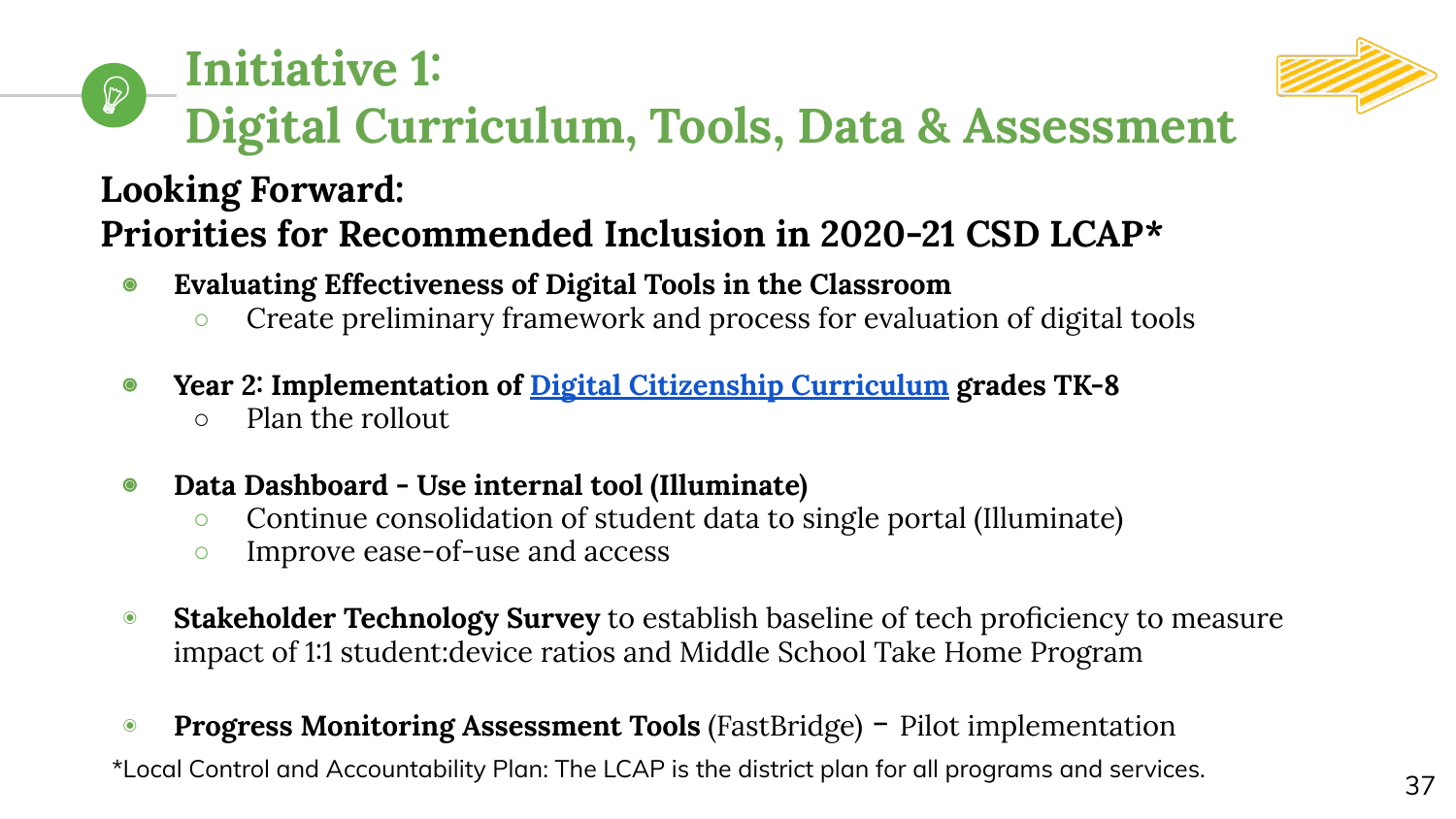#### **Initiative 1:**   $\mathcal{D}$ **Digital Curriculum, Tools, Data & Assessment**

# **Looking Forward: Priorities for Recommended Inclusion in 2020-21 CSD LCAP\***

- ◉ **Evaluating Effectiveness of Digital Tools in the Classroom**
	- Create preliminary framework and process for evaluation of digital tools
- ◉ **Year 2: Implementation of [Digital Citizenship Curriculum](https://www.commonsense.org/education/digital-citizenship) grades TK-8**
	- Plan the rollout
- ◉ **Data Dashboard Use internal tool (Illuminate)** 
	- Continue consolidation of student data to single portal (Illuminate)
	- Improve ease-of-use and access
- ◉ **Stakeholder Technology Survey** to establish baseline of tech proficiency to measure impact of 1:1 student:device ratios and Middle School Take Home Program
- ◉ **Progress Monitoring Assessment Tools** (FastBridge) Pilot implementation \*Local Control and Accountability Plan: The LCAP is the district plan for all programs and services.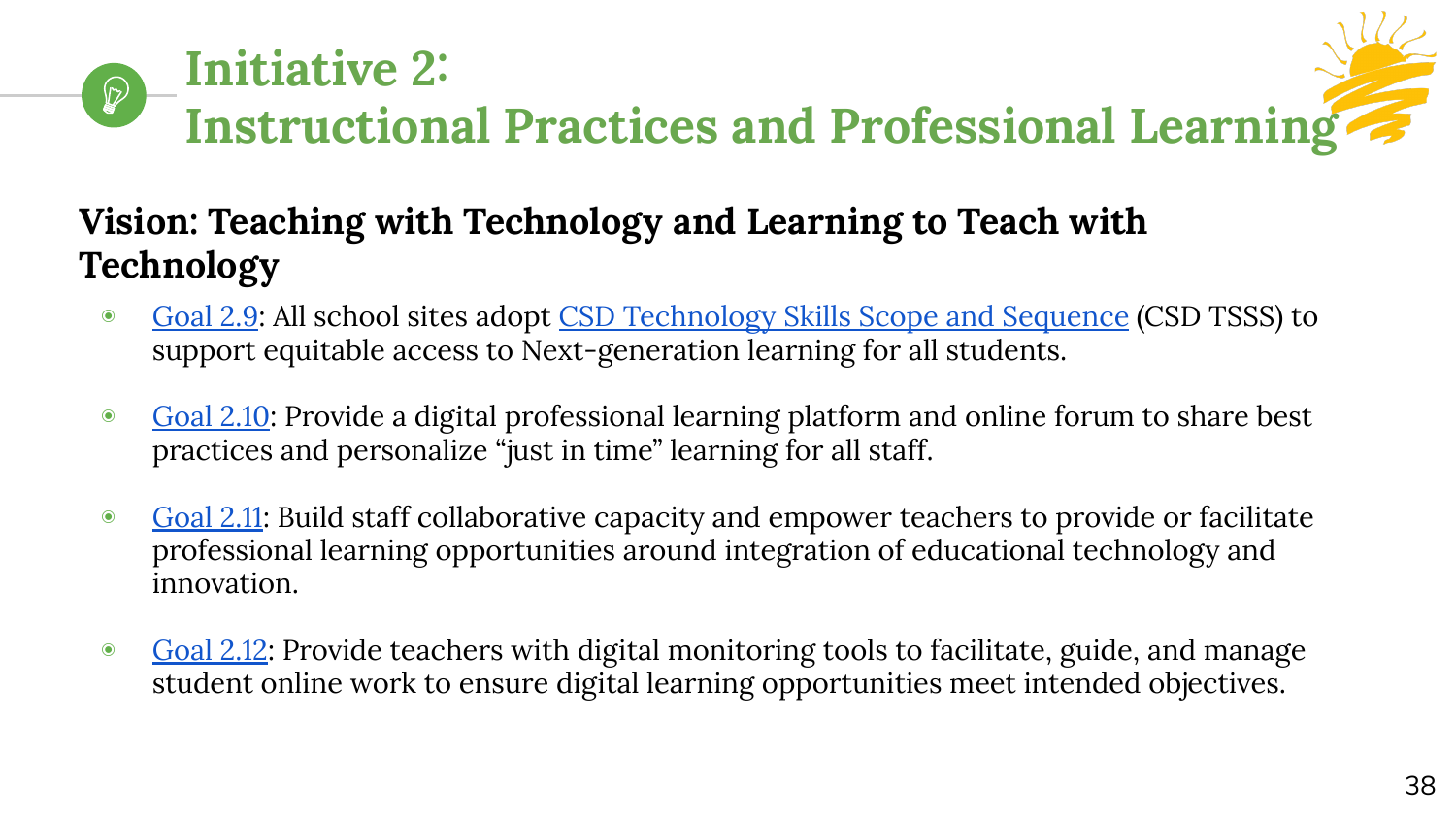# **Initiative 2:**   $\mathbb{D}$ **Instructional Practices and Professional Learning**

# **Vision: Teaching with Technology and Learning to Teach with Technology**

- ◉ [Goal 2.9:](https://www.cambriansd.org/cms/lib/CA01902282/Centricity/Domain/272/Cambrian%20TTF%20Tech%20Plan%202019-24.pdf#page=31) All school sites adopt [CSD Technology Skills Scope and Sequence](https://docs.google.com/document/d/1FgzxRRD1SDAcVKqJWNir8Im_lcMsaOdtp68Q-TfZfkw/edit?usp=sharing) (CSD TSSS) to support equitable access to Next-generation learning for all students.
- [Goal 2.10:](https://www.cambriansd.org/cms/lib/CA01902282/Centricity/Domain/272/Cambrian%20TTF%20Tech%20Plan%202019-24.pdf#page=32) Provide a digital professional learning platform and online forum to share best practices and personalize "just in time" learning for all staff.
- [Goal 2.11:](https://www.cambriansd.org/cms/lib/CA01902282/Centricity/Domain/272/Cambrian%20TTF%20Tech%20Plan%202019-24.pdf#page=32) Build staff collaborative capacity and empower teachers to provide or facilitate professional learning opportunities around integration of educational technology and innovation.
- [Goal 2.12](https://www.cambriansd.org/cms/lib/CA01902282/Centricity/Domain/272/Cambrian%20TTF%20Tech%20Plan%202019-24.pdf#page=34): Provide teachers with digital monitoring tools to facilitate, guide, and manage student online work to ensure digital learning opportunities meet intended objectives.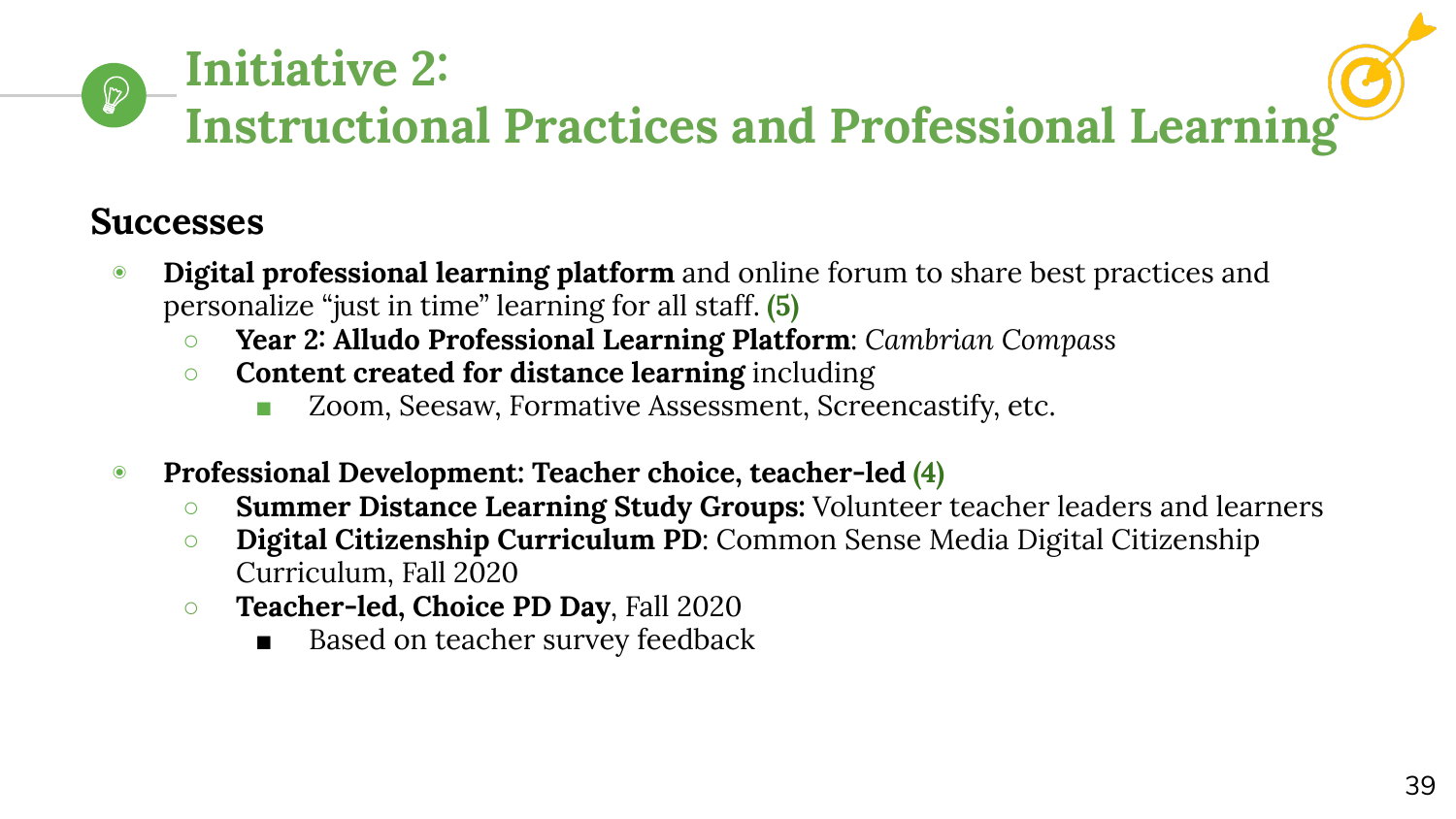# **Initiative 2:**   $\mathcal{D}$ **Instructional Practices and Professional Learning**

# **Successes**

- **Digital professional learning platform** and online forum to share best practices and personalize "just in time" learning for all staff. **(5)**
	- **Year 2: Alludo Professional Learning Platform**: *Cambrian Compass*
	- **Content created for distance learning** including
		- Zoom, Seesaw, Formative Assessment, Screencastify, etc.
- ◉ **Professional Development: Teacher choice, teacher-led (4)**
	- **Summer Distance Learning Study Groups:** Volunteer teacher leaders and learners
	- *O* **Digital Citizenship Curriculum PD**: Common Sense Media Digital Citizenship Curriculum, Fall 2020
	- **Teacher-led, Choice PD Day**, Fall 2020
		- Based on teacher survey feedback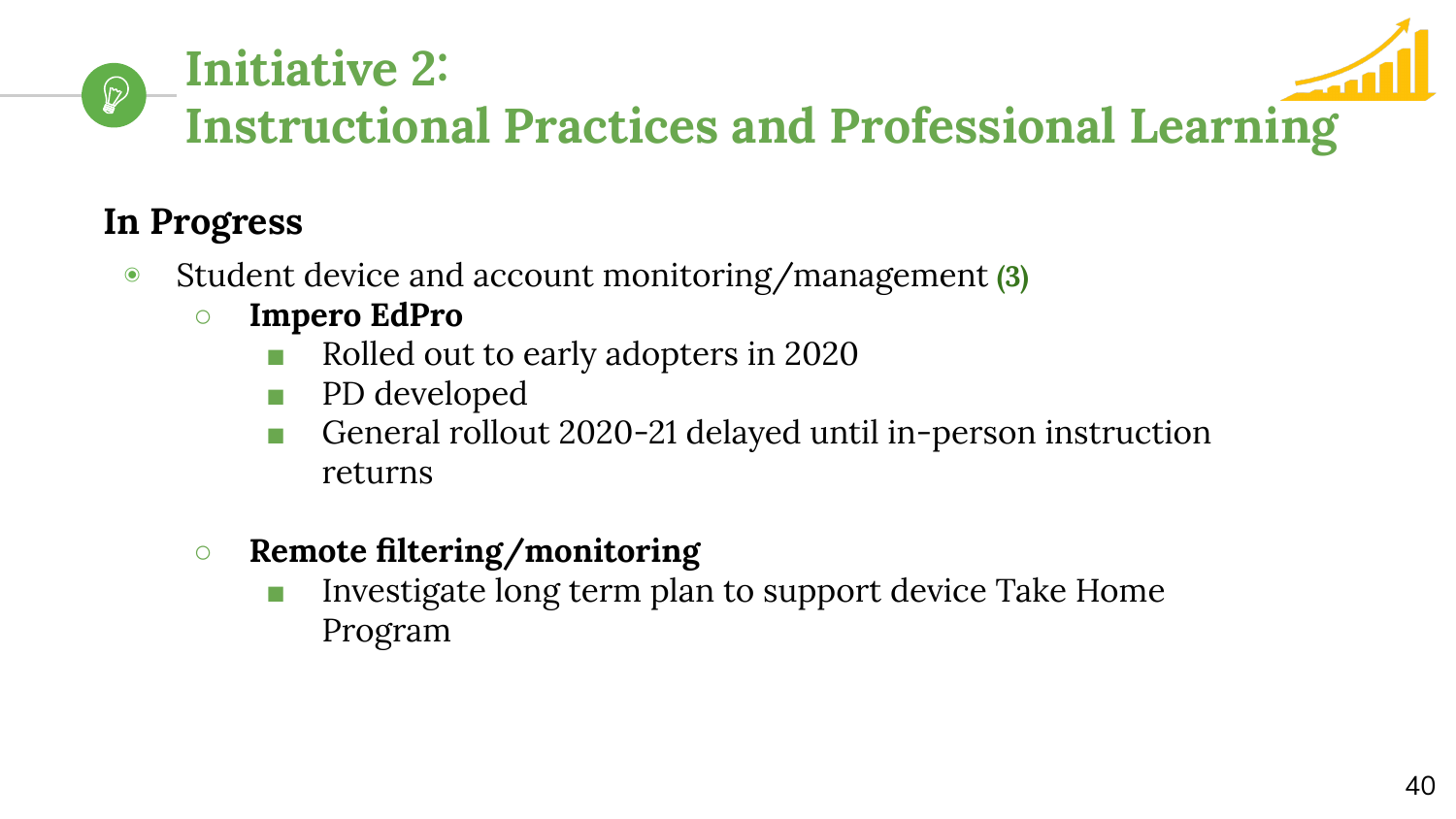

# **Instructional Practices and Professional Learning**

# **In Progress**

 $\mathcal{D}$ 

- ◉ Student device and account monitoring/management **(3)**
	- **○ Impero EdPro**

**Initiative 2:** 

- Rolled out to early adopters in 2020
- PD developed
- General rollout 2020-21 delayed until in-person instruction returns
- **○ Remote filtering/monitoring**
	- Investigate long term plan to support device Take Home Program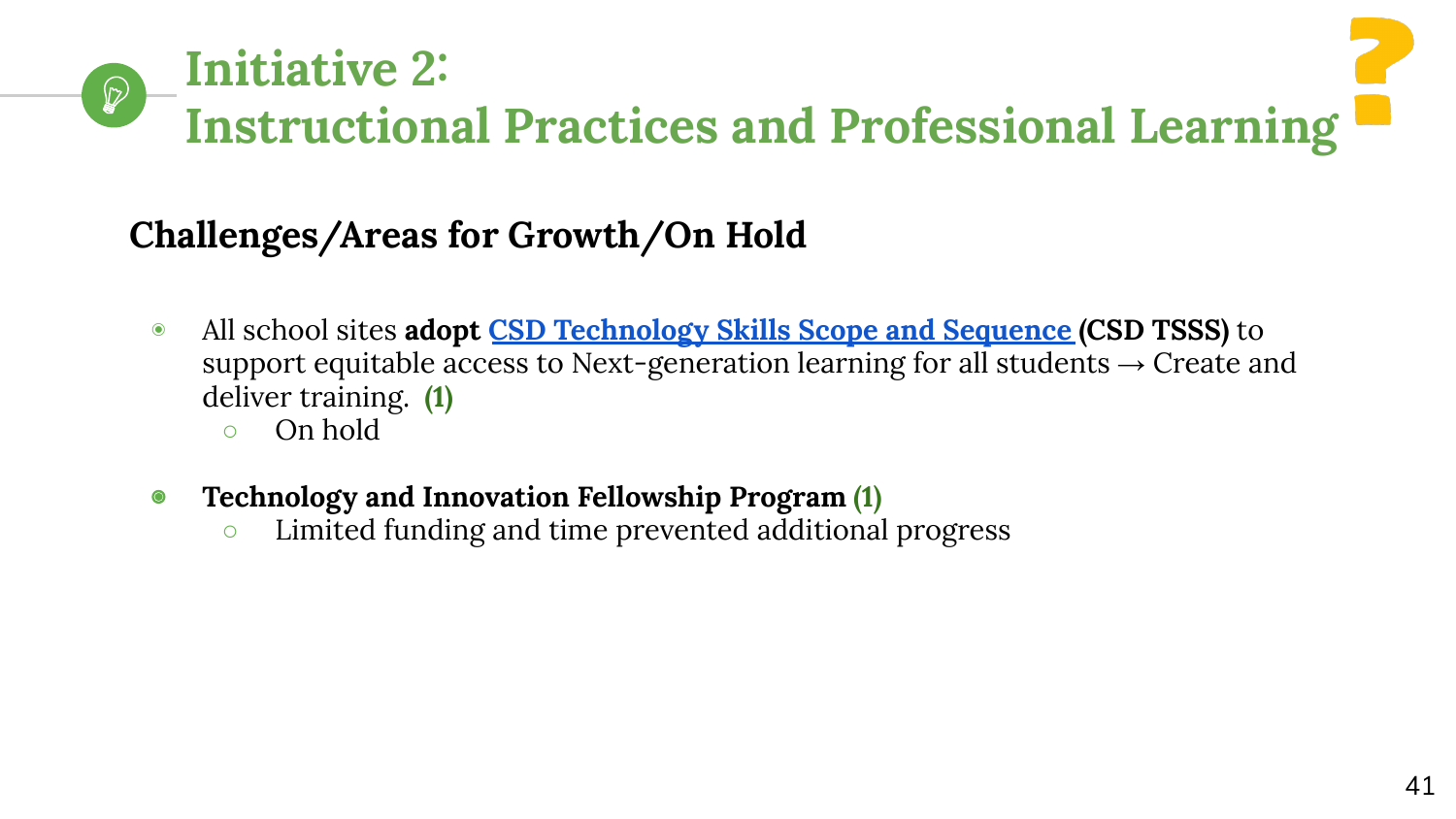# **Initiative 2:**   $\mathcal{D}$ **Instructional Practices and Professional Learning**

# **Challenges/Areas for Growth/On Hold**

- ◉ All school sites **adopt [CSD Technology Skills Scope and Sequence](https://docs.google.com/document/d/1FgzxRRD1SDAcVKqJWNir8Im_lcMsaOdtp68Q-TfZfkw/edit?usp=sharing) (CSD TSSS)** to support equitable access to Next-generation learning for all students  $\rightarrow$  Create and deliver training. **(1)**
	- On hold
- ◉ **Technology and Innovation Fellowship Program (1)**
	- Limited funding and time prevented additional progress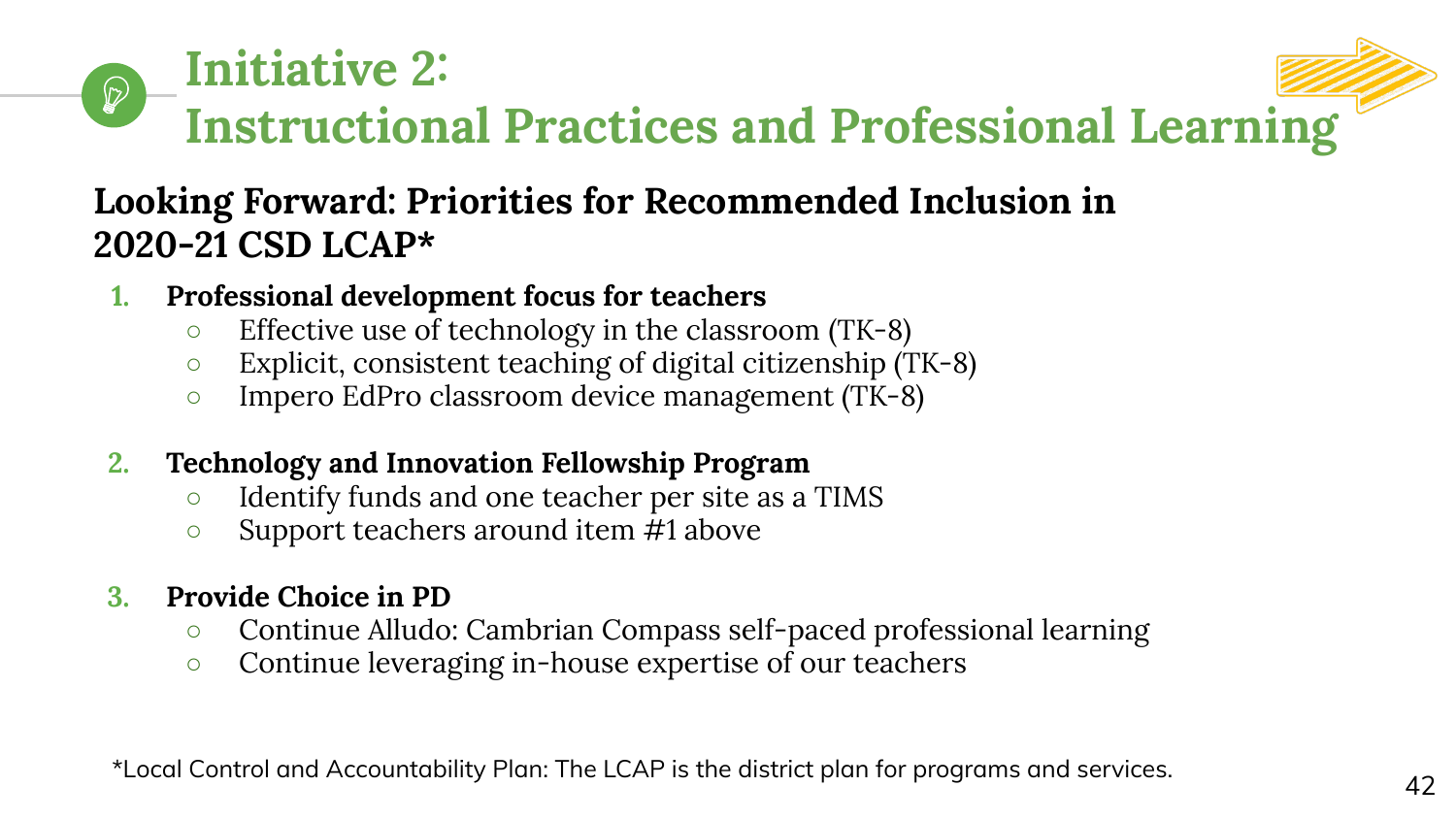

## **Looking Forward: Priorities for Recommended Inclusion in 2020-21 CSD LCAP\***

- **1. Professional development focus for teachers**
	- Effective use of technology in the classroom (TK-8)
	- Explicit, consistent teaching of digital citizenship (TK-8)
	- Impero EdPro classroom device management (TK-8)
- **2. Technology and Innovation Fellowship Program**
	- Identify funds and one teacher per site as a TIMS
	- Support teachers around item #1 above
- **3. Provide Choice in PD**
	- Continue Alludo: Cambrian Compass self-paced professional learning
	- Continue leveraging in-house expertise of our teachers

\*Local Control and Accountability Plan: The LCAP is the district plan for programs and services.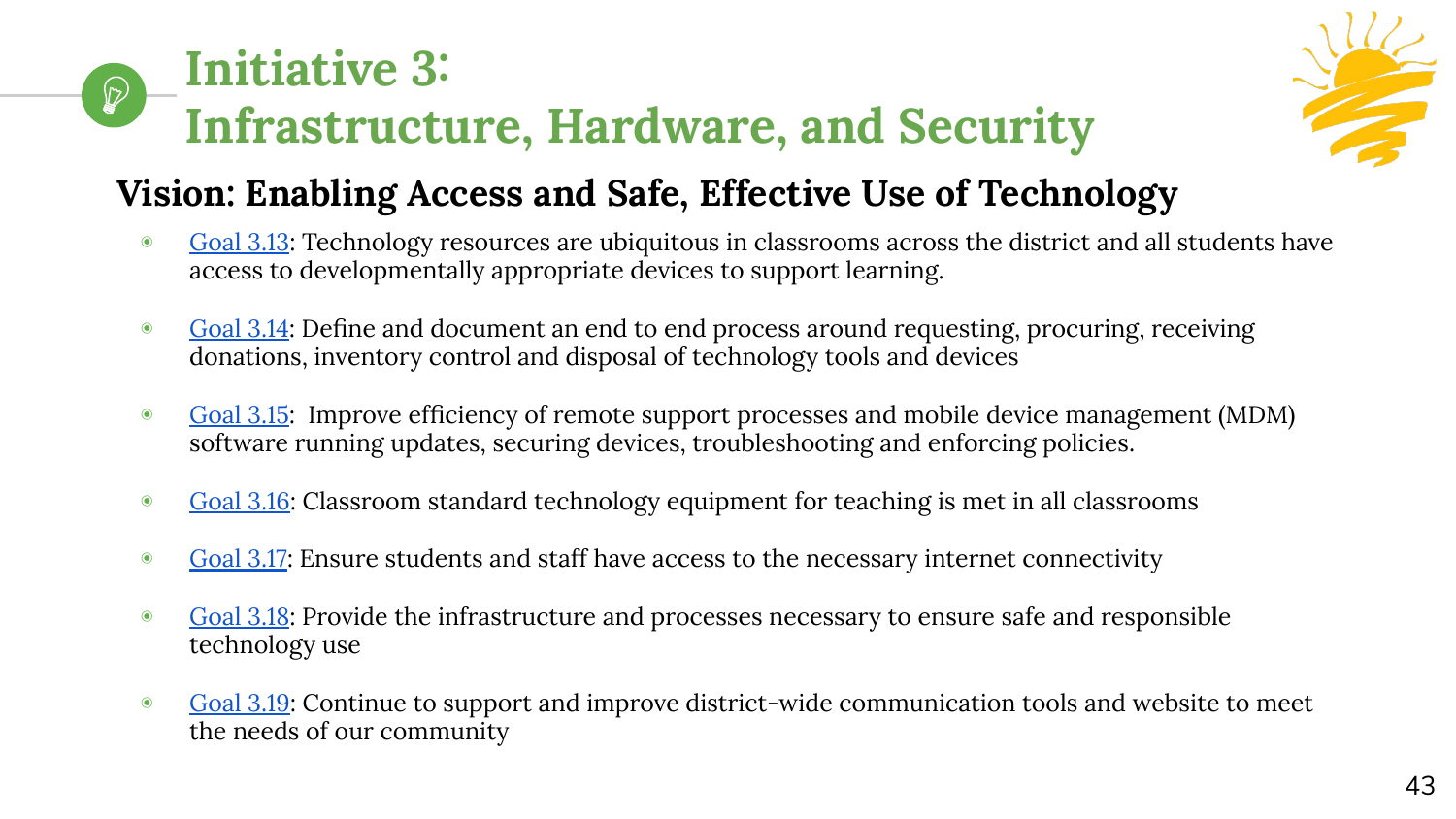#### **Initiative 3:**   $\mathcal{D}$ **Infrastructure, Hardware, and Security**



# **Vision: Enabling Access and Safe, Effective Use of Technology**

- ◉ [Goal 3.13](https://www.cambriansd.org/cms/lib/CA01902282/Centricity/Domain/272/Cambrian%20TTF%20Tech%20Plan%202019-24.pdf#page=39): Technology resources are ubiquitous in classrooms across the district and all students have access to developmentally appropriate devices to support learning.
- [Goal 3.14:](https://www.cambriansd.org/cms/lib/CA01902282/Centricity/Domain/272/Cambrian%20TTF%20Tech%20Plan%202019-24.pdf#page=39) Define and document an end to end process around requesting, procuring, receiving donations, inventory control and disposal of technology tools and devices
- ◉ [Goal 3.15](https://www.cambriansd.org/cms/lib/CA01902282/Centricity/Domain/272/Cambrian%20TTF%20Tech%20Plan%202019-24.pdf#page=40): Improve efficiency of remote support processes and mobile device management (MDM) software running updates, securing devices, troubleshooting and enforcing policies.
- [Goal 3.16](https://www.cambriansd.org/cms/lib/CA01902282/Centricity/Domain/272/Cambrian%20TTF%20Tech%20Plan%202019-24.pdf#page=40): Classroom standard technology equipment for teaching is met in all classrooms
- [Goal 3.17](https://www.cambriansd.org/cms/lib/CA01902282/Centricity/Domain/272/Cambrian%20TTF%20Tech%20Plan%202019-24.pdf#page=41): Ensure students and staff have access to the necessary internet connectivity
- [Goal 3.18](https://www.cambriansd.org/cms/lib/CA01902282/Centricity/Domain/272/Cambrian%20TTF%20Tech%20Plan%202019-24.pdf#page=41): Provide the infrastructure and processes necessary to ensure safe and responsible technology use
- [Goal 3.19](https://www.cambriansd.org/cms/lib/CA01902282/Centricity/Domain/272/Cambrian%20TTF%20Tech%20Plan%202019-24.pdf#page=42): Continue to support and improve district-wide communication tools and website to meet the needs of our community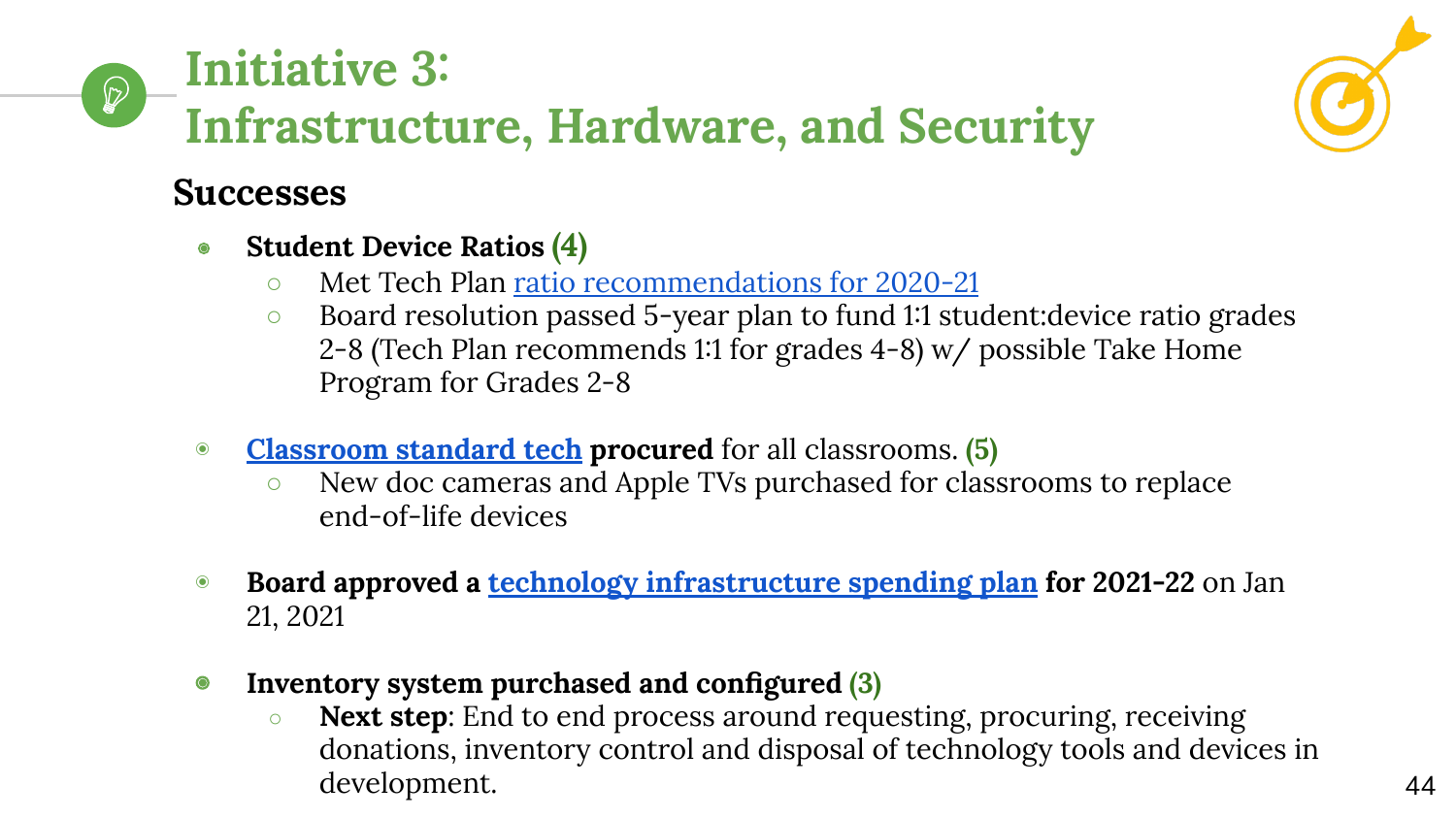#### **Initiative 3:**   $\bigcirc$ **Infrastructure, Hardware, and Security**



#### **Successes**

- ◉ **Student Device Ratios (4)**
	- Met Tech Plan [ratio recommendations for 2020-21](https://www.cambriansd.org/cms/lib/CA01902282/Centricity/Domain/272/Cambrian%20TTF%20Tech%20Plan%202019-24.pdf#page=41)
	- Board resolution passed 5-year plan to fund 1:1 student:device ratio grades 2-8 (Tech Plan recommends 1:1 for grades 4-8) w/ possible Take Home Program for Grades 2-8
- ◉ **[Classroom standard tech](https://www.cambriansd.org/cms/lib/CA01902282/Centricity/Domain/272/Cambrian%20TTF%20Tech%20Plan%202019-24.pdf#page=43) procured** for all classrooms. **(5)**
	- New doc cameras and Apple TVs purchased for classrooms to replace end-of-life devices
- ◉ **Board approved a [technology infrastructure spending plan](https://cambrianpublic.ic-board.com/Attachments/674d63dc-ca28-4f29-8016-43bca60ab898.pdf) for 2021-22** on Jan 21, 2021
- ◉ **Inventory system purchased and configured (3)**
	- **Next step**: End to end process around requesting, procuring, receiving donations, inventory control and disposal of technology tools and devices in development.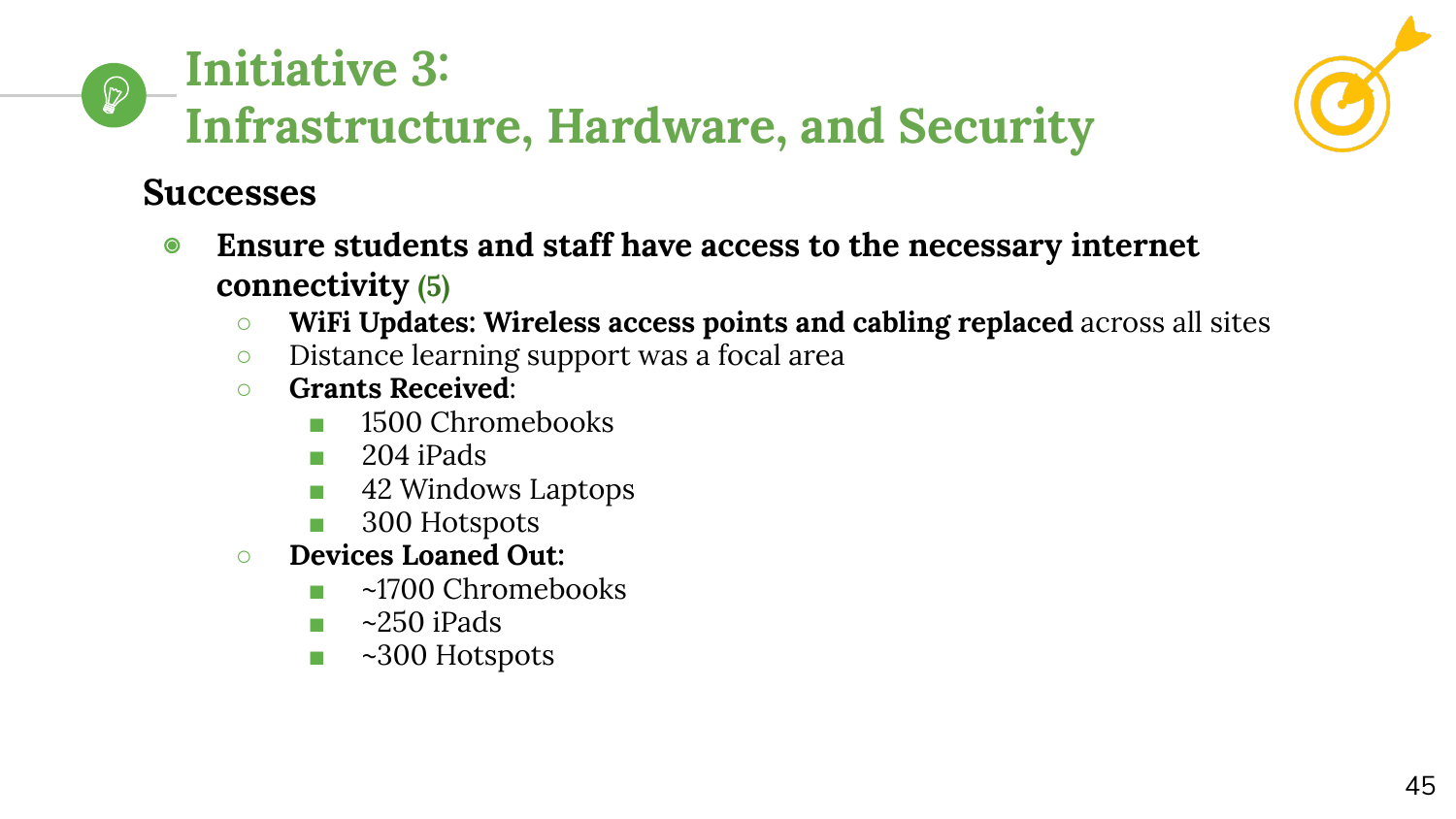#### **Initiative 3:**   $\mathbb{Q}$ **Infrastructure, Hardware, and Security**



#### **Successes**

- ◉ **Ensure students and staff have access to the necessary internet connectivity (5)**
	- **WiFi Updates: Wireless access points and cabling replaced** across all sites
	- Distance learning support was a focal area
	- **Grants Received**:
		- 1500 Chromebooks
		- 204 iPads
		- 42 Windows Laptops
		- 300 Hotspots
	- **○ Devices Loaned Out:**
		- ~1700 Chromebooks
		- $\blacksquare$  ~250 iPads
		- ~300 Hotspots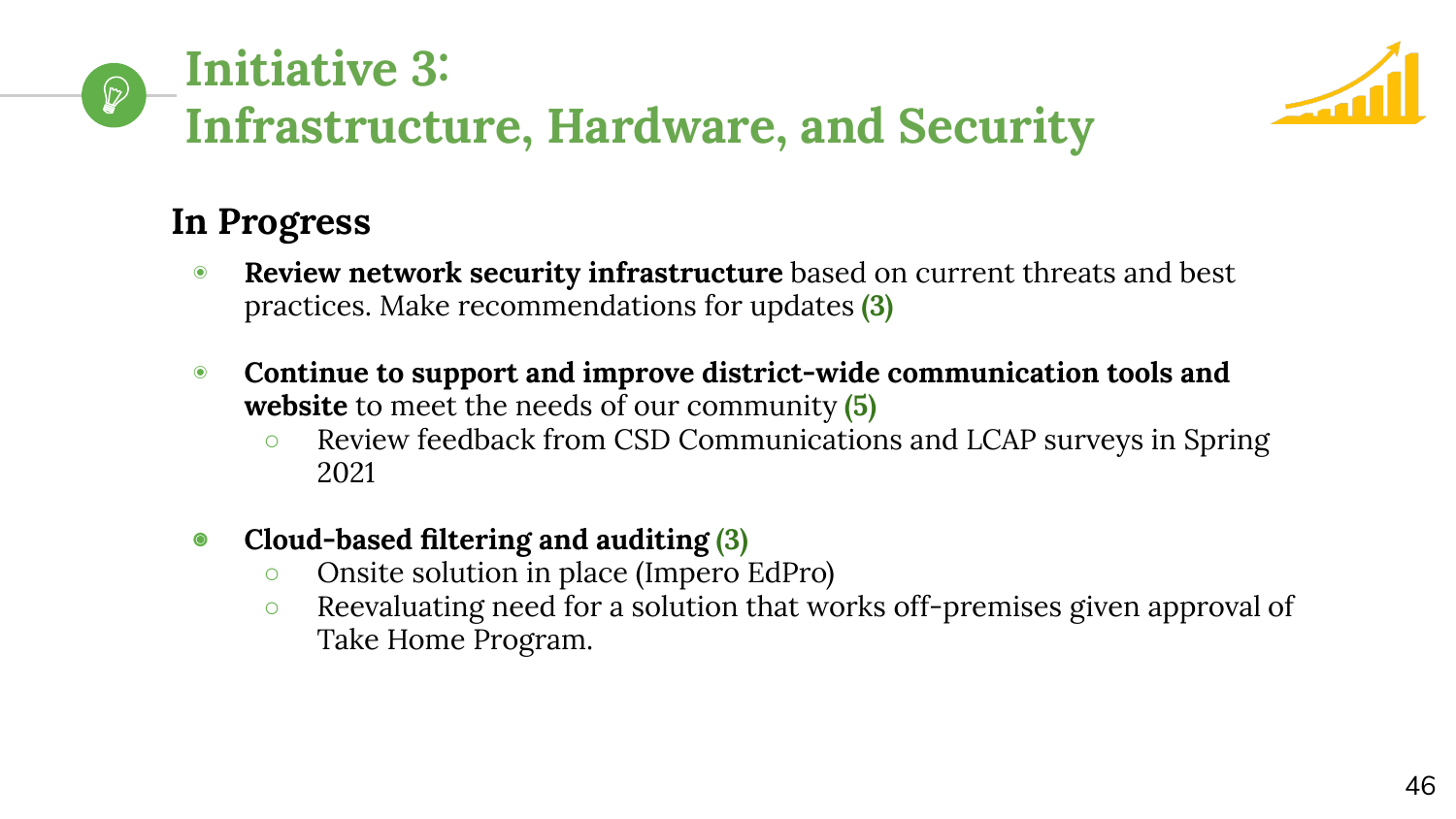#### **Initiative 3:**   $\mathcal{D}$ **Infrastructure, Hardware, and Security**



# **In Progress**

- ◉ **Review network security infrastructure** based on current threats and best practices. Make recommendations for updates **(3)**
- ◉ **Continue to support and improve district-wide communication tools and website** to meet the needs of our community **(5)**
	- Review feedback from CSD Communications and LCAP surveys in Spring 2021

#### ◉ **Cloud-based filtering and auditing (3)**

- Onsite solution in place (Impero EdPro)
- Reevaluating need for a solution that works off-premises given approval of Take Home Program.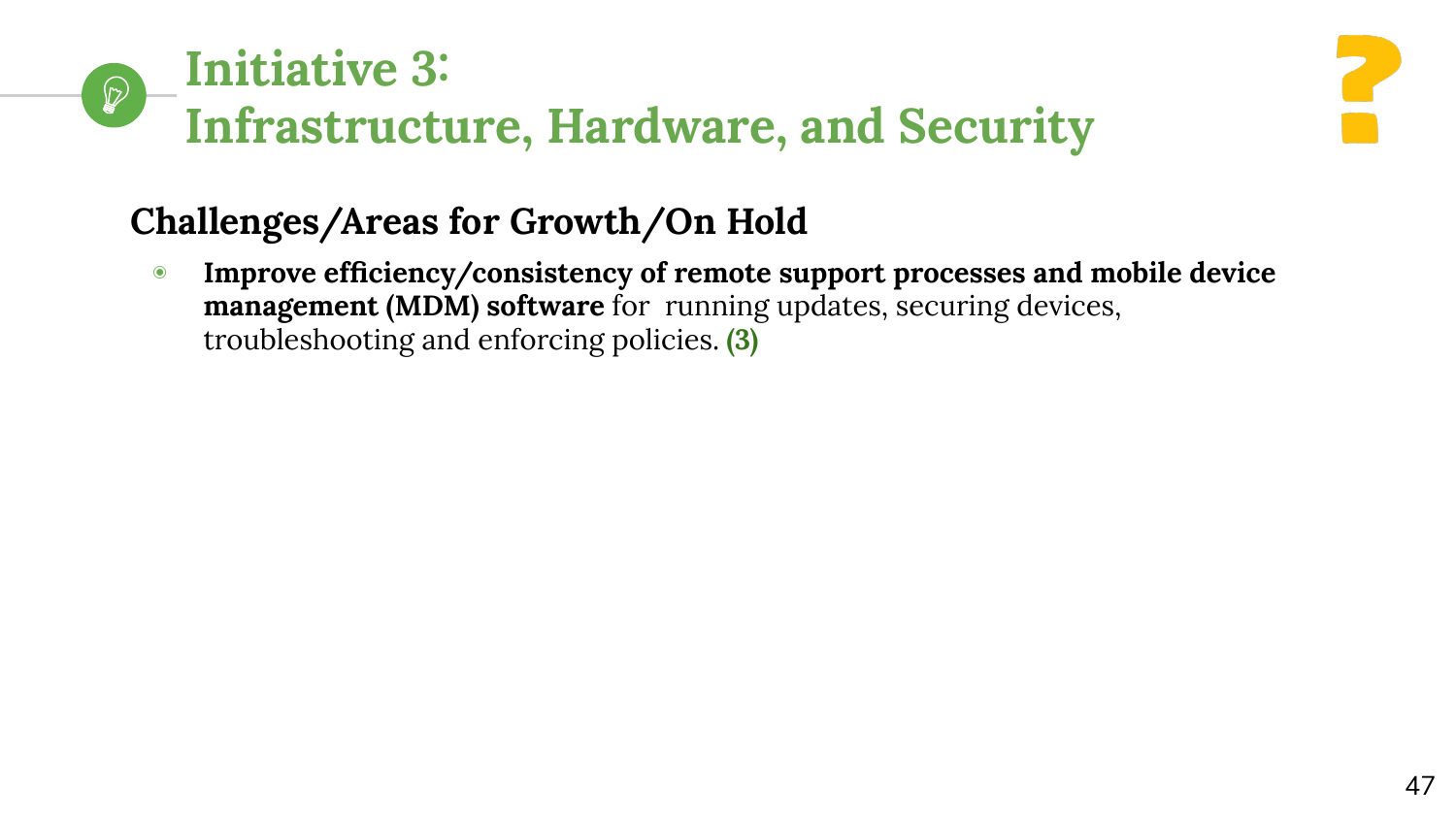#### **Initiative 3:**   $\mathcal{D}$ **Infrastructure, Hardware, and Security**



# **Challenges/Areas for Growth/On Hold**

◉ **Improve efficiency/consistency of remote support processes and mobile device management (MDM) software** for running updates, securing devices, troubleshooting and enforcing policies. **(3)**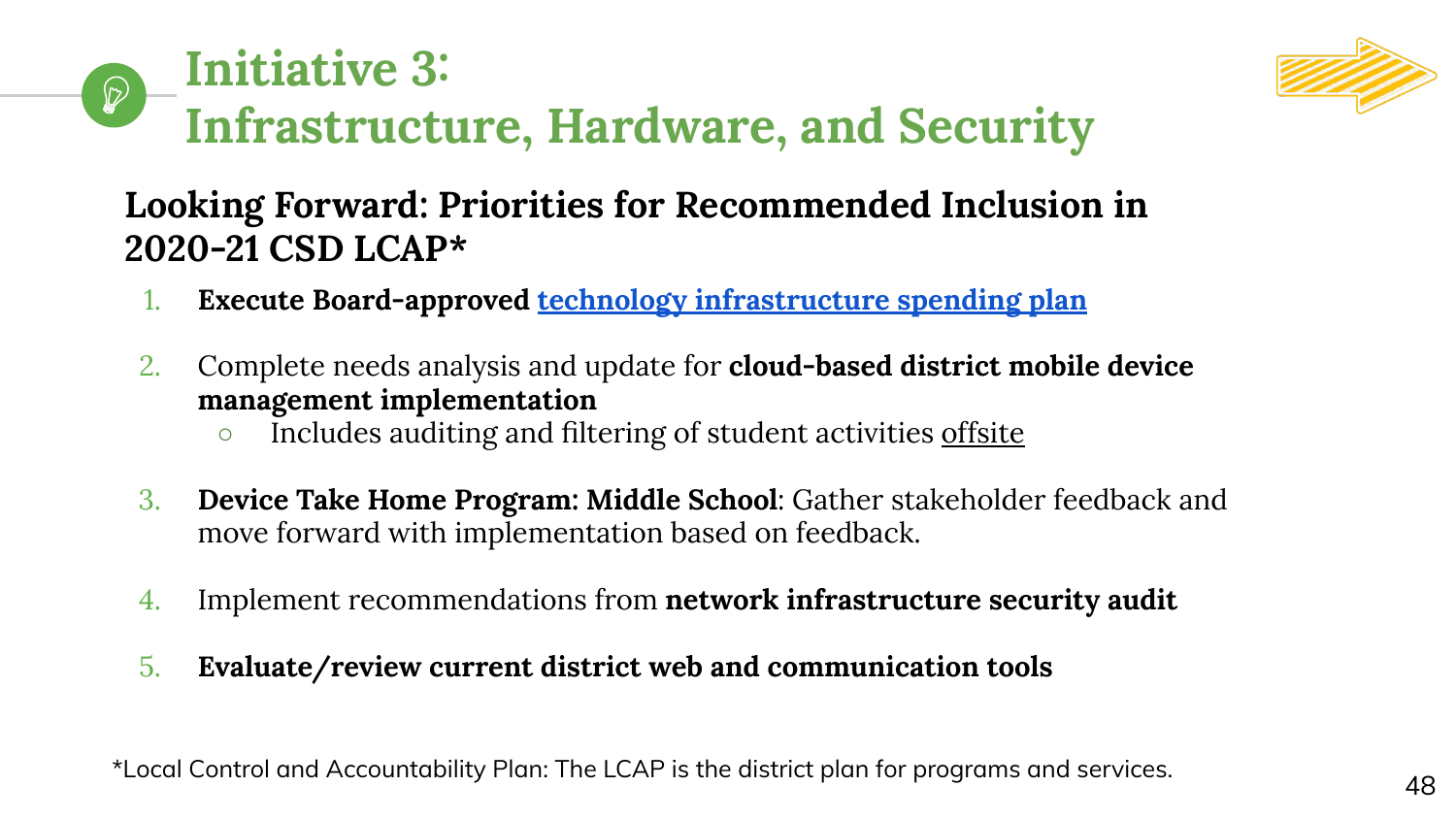



## **Looking Forward: Priorities for Recommended Inclusion in 2020-21 CSD LCAP\***

- 1. **Execute Board-approved [technology infrastructure spending plan](https://cambrianpublic.ic-board.com/Attachments/674d63dc-ca28-4f29-8016-43bca60ab898.pdf)**
- 2. Complete needs analysis and update for **cloud-based district mobile device management implementation**
	- o Includes auditing and filtering of student activities offsite
- 3. **Device Take Home Program: Middle School**: Gather stakeholder feedback and move forward with implementation based on feedback.
- 4. Implement recommendations from **network infrastructure security audit**
- 5. **Evaluate/review current district web and communication tools**

\*Local Control and Accountability Plan: The LCAP is the district plan for programs and services.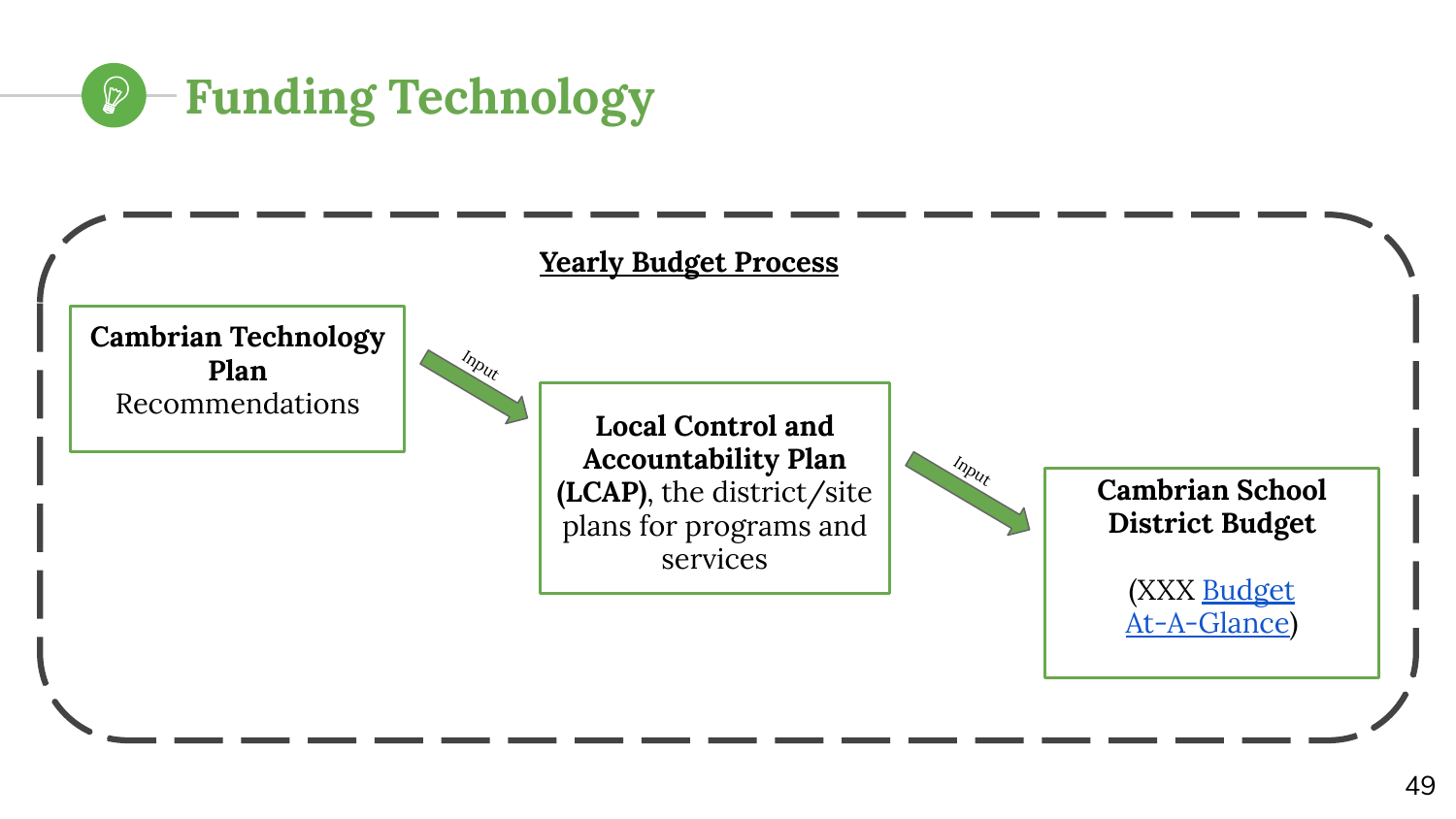

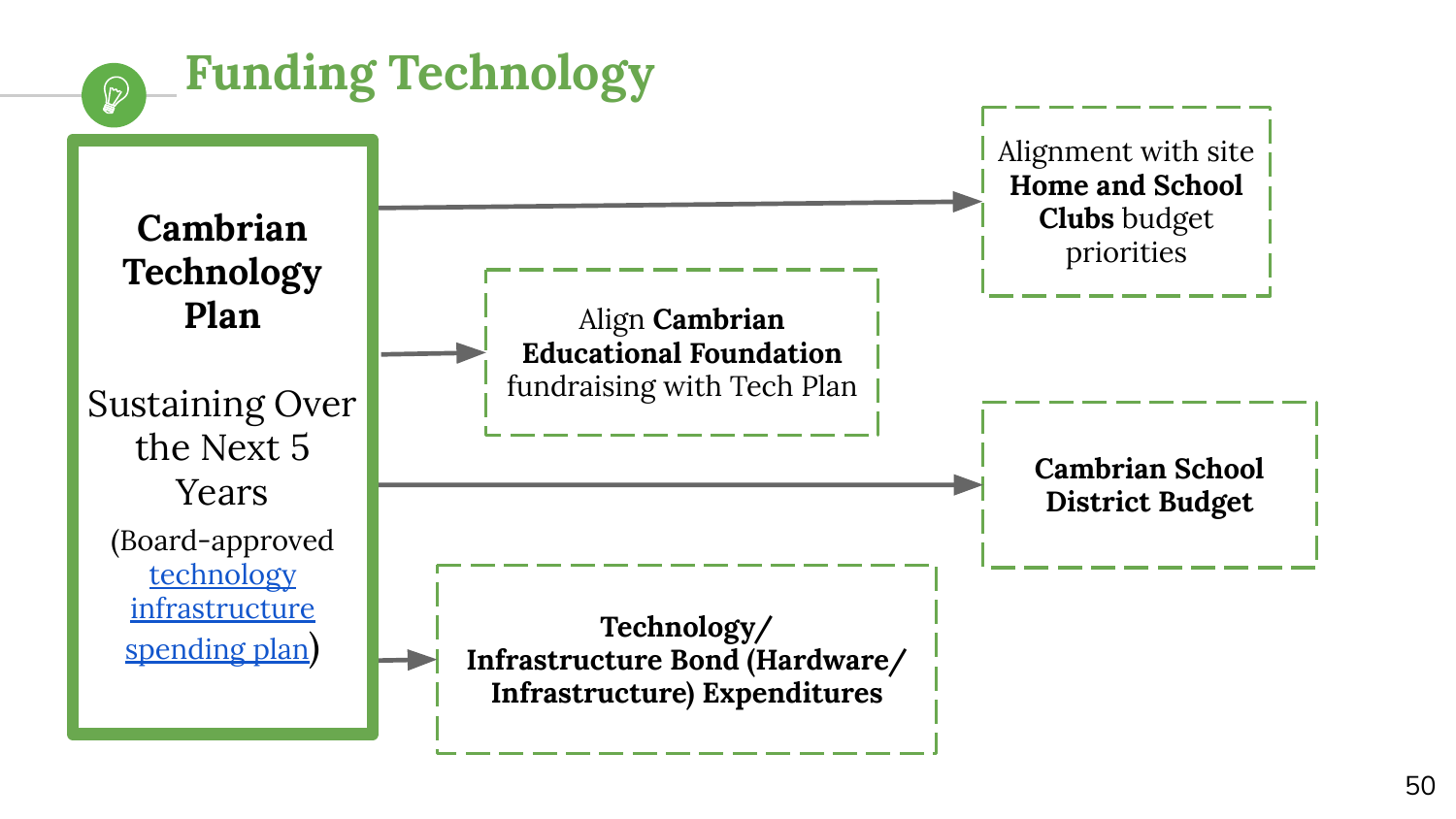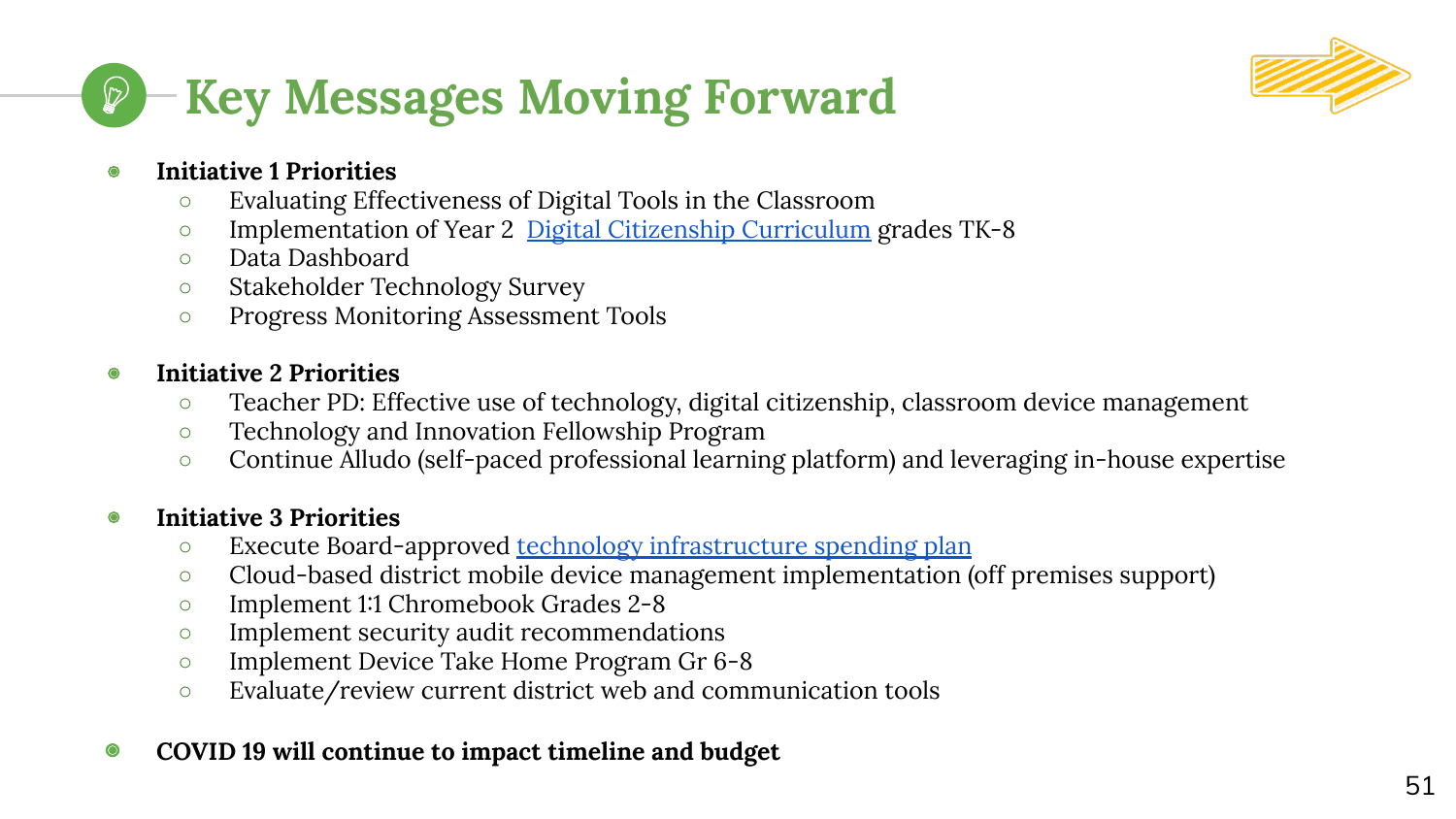



#### ◉ **Initiative 1 Priorities**

- Evaluating Effectiveness of Digital Tools in the Classroom
- Implementation of Year 2 [Digital Citizenship Curriculum](https://www.commonsense.org/education/digital-citizenship) grades TK-8
- Data Dashboard
- Stakeholder Technology Survey
- Progress Monitoring Assessment Tools

#### ◉ **Initiative 2 Priorities**

- Teacher PD: Effective use of technology, digital citizenship, classroom device management
- Technology and Innovation Fellowship Program
- Continue Alludo (self-paced professional learning platform) and leveraging in-house expertise

#### ◉ **Initiative 3 Priorities**

- o Execute Board-approved [technology infrastructure spending plan](https://cambrianpublic.ic-board.com/Attachments/674d63dc-ca28-4f29-8016-43bca60ab898.pdf)
- Cloud-based district mobile device management implementation (off premises support)
- Implement 1:1 Chromebook Grades 2-8
- Implement security audit recommendations
- Implement Device Take Home Program Gr 6-8
- Evaluate/review current district web and communication tools

#### ◉ **COVID 19 will continue to impact timeline and budget**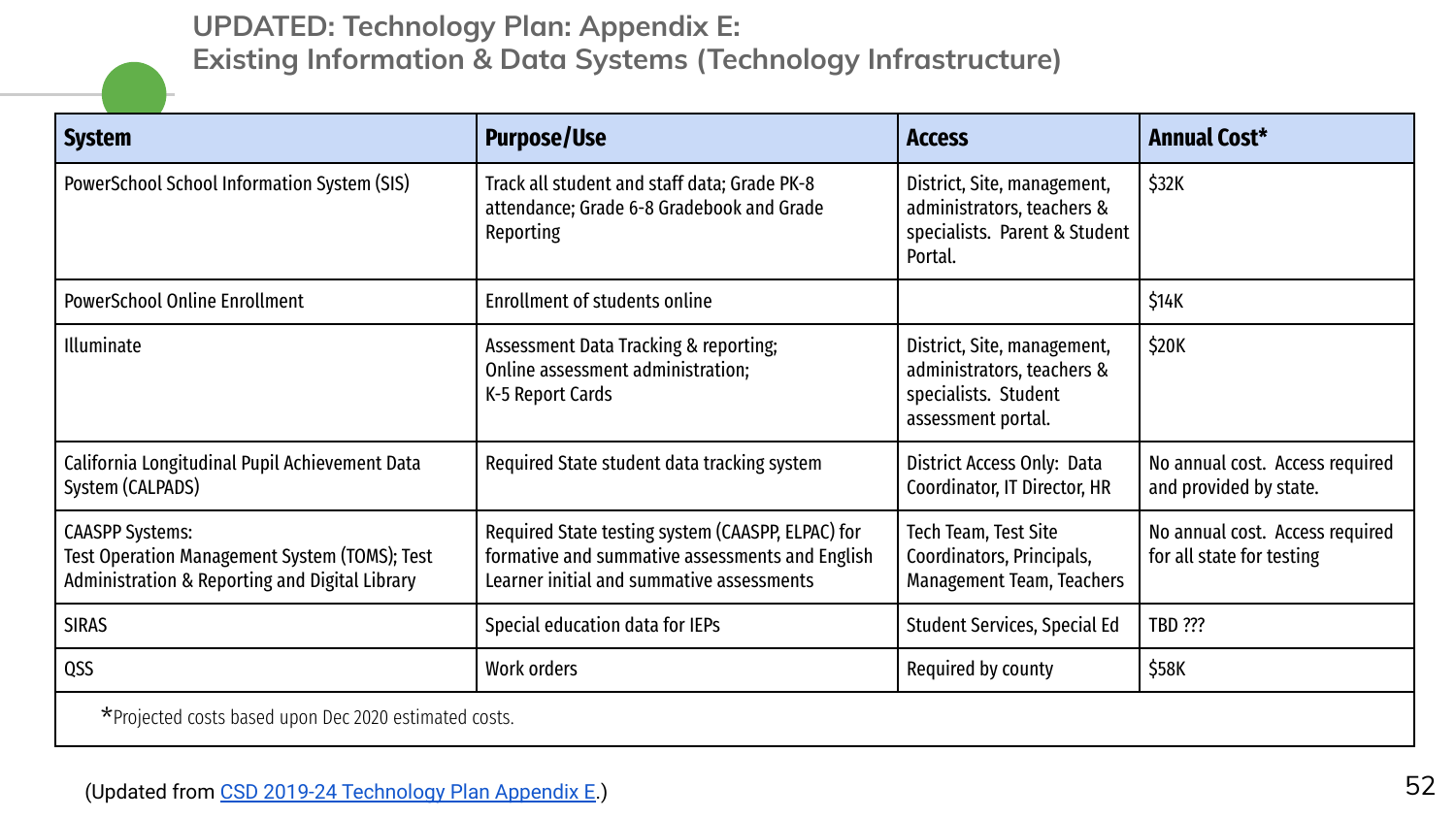**UPDATED: Technology Plan: Appendix E: Existing Information & Data Systems (Technology Infrastructure)**

| <b>System</b>                                                                                                             | <b>Purpose/Use</b>                                                                                                                                | <b>Access</b>                                                                                           | <b>Annual Cost*</b>                                          |
|---------------------------------------------------------------------------------------------------------------------------|---------------------------------------------------------------------------------------------------------------------------------------------------|---------------------------------------------------------------------------------------------------------|--------------------------------------------------------------|
| PowerSchool School Information System (SIS)                                                                               | Track all student and staff data; Grade PK-8<br>attendance; Grade 6-8 Gradebook and Grade<br>Reporting                                            | District, Site, management,<br>administrators, teachers &<br>specialists. Parent & Student<br>Portal.   | \$32K                                                        |
| <b>PowerSchool Online Enrollment</b>                                                                                      | Enrollment of students online                                                                                                                     |                                                                                                         | \$14K                                                        |
| Illuminate                                                                                                                | Assessment Data Tracking & reporting;<br>Online assessment administration;<br>K-5 Report Cards                                                    | District, Site, management,<br>administrators, teachers &<br>specialists. Student<br>assessment portal. | \$20K                                                        |
| California Longitudinal Pupil Achievement Data<br>System (CALPADS)                                                        | Required State student data tracking system                                                                                                       | District Access Only: Data<br>Coordinator, IT Director, HR                                              | No annual cost. Access required<br>and provided by state.    |
| <b>CAASPP Systems:</b><br>Test Operation Management System (TOMS); Test<br>Administration & Reporting and Digital Library | Required State testing system (CAASPP, ELPAC) for<br>formative and summative assessments and English<br>Learner initial and summative assessments | Tech Team, Test Site<br>Coordinators, Principals,<br>Management Team, Teachers                          | No annual cost. Access required<br>for all state for testing |
| <b>SIRAS</b>                                                                                                              | Special education data for IEPs                                                                                                                   | Student Services, Special Ed                                                                            | <b>TBD ???</b>                                               |
| QSS                                                                                                                       | Work orders                                                                                                                                       | Required by county                                                                                      | \$58K                                                        |
| *Projected costs based upon Dec 2020 estimated costs.                                                                     |                                                                                                                                                   |                                                                                                         |                                                              |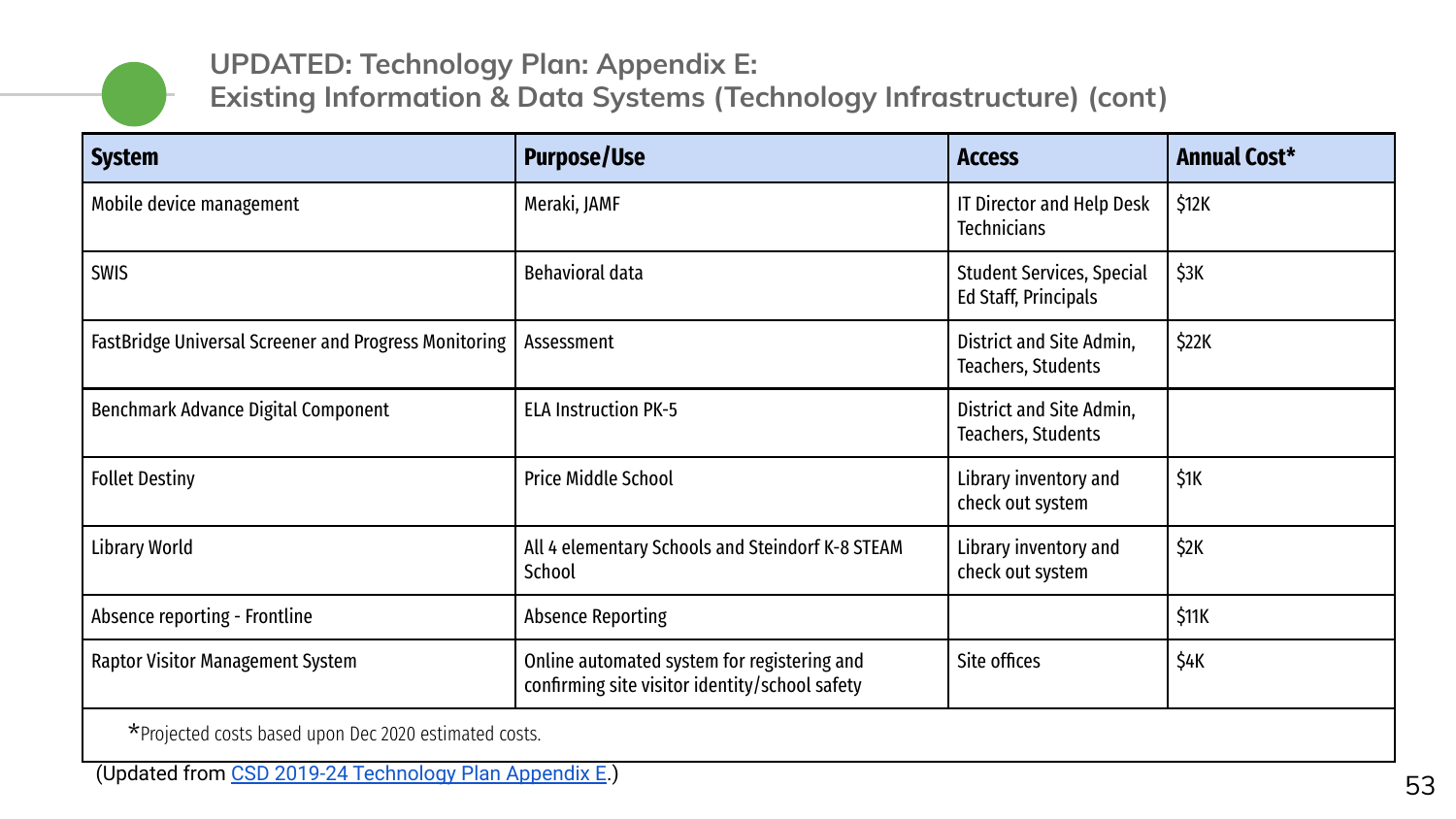

#### **UPDATED: Technology Plan: Appendix E:**

**Existing Information & Data Systems (Technology Infrastructure) (cont)**

| <b>System</b>                                         | <b>Purpose/Use</b>                                                                            | <b>Access</b>                                            | <b>Annual Cost*</b> |
|-------------------------------------------------------|-----------------------------------------------------------------------------------------------|----------------------------------------------------------|---------------------|
| Mobile device management                              | Meraki, JAMF                                                                                  | IT Director and Help Desk<br><b>Technicians</b>          | \$12K               |
| <b>SWIS</b>                                           | Behavioral data                                                                               | <b>Student Services, Special</b><br>Ed Staff, Principals | \$3K                |
| FastBridge Universal Screener and Progress Monitoring | Assessment                                                                                    | District and Site Admin,<br>Teachers, Students           | \$22K               |
| Benchmark Advance Digital Component                   | <b>ELA Instruction PK-5</b>                                                                   | District and Site Admin,<br>Teachers, Students           |                     |
| <b>Follet Destiny</b>                                 | <b>Price Middle School</b>                                                                    | Library inventory and<br>check out system                | \$1K                |
| <b>Library World</b>                                  | All 4 elementary Schools and Steindorf K-8 STEAM<br>School                                    | Library inventory and<br>check out system                | \$2K                |
| Absence reporting - Frontline                         | <b>Absence Reporting</b>                                                                      |                                                          | \$11K               |
| Raptor Visitor Management System                      | Online automated system for registering and<br>confirming site visitor identity/school safety | Site offices                                             | \$4K                |

\*Projected costs based upon Dec 2020 estimated costs.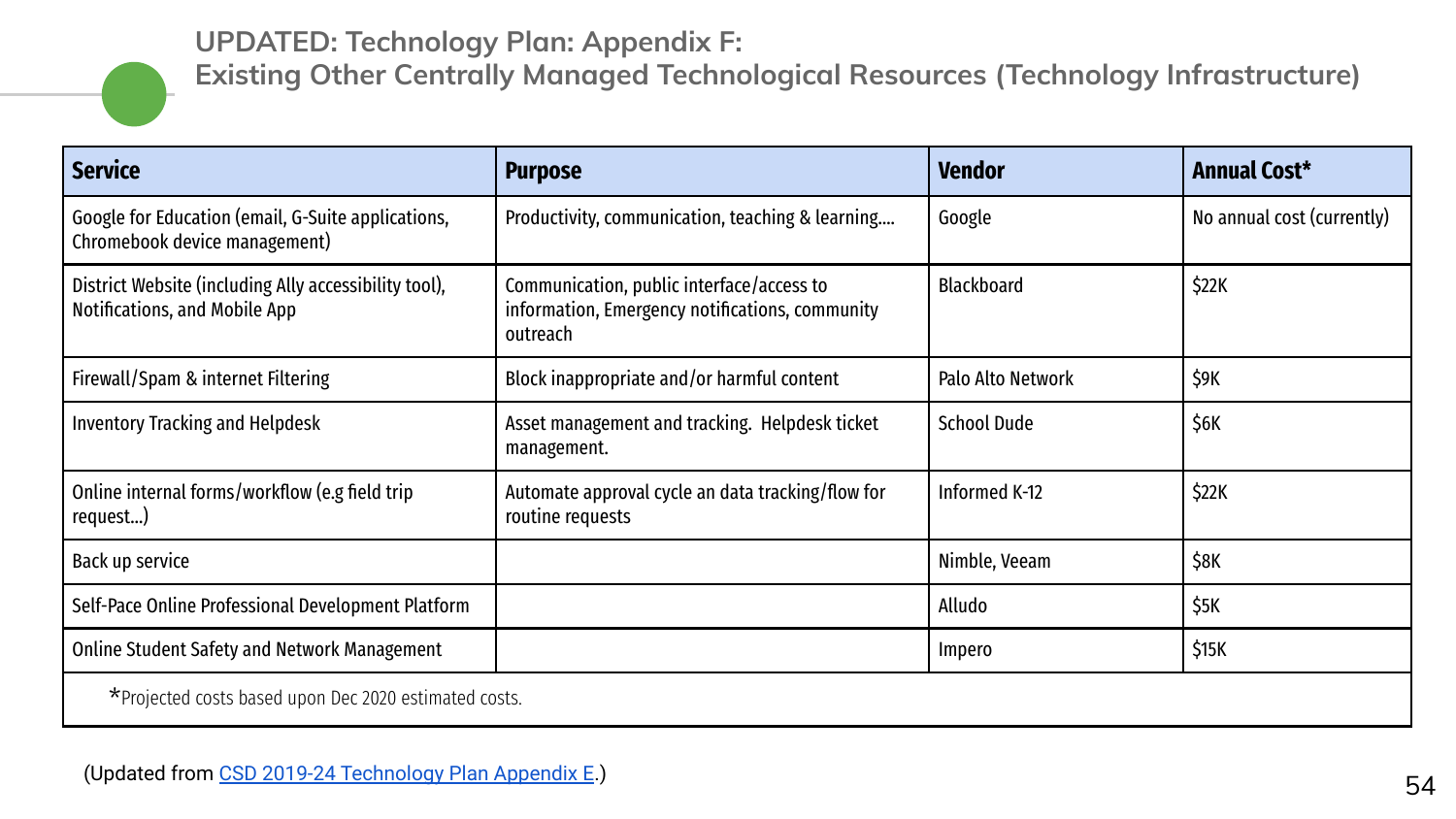#### **UPDATED: Technology Plan: Appendix F:**



**Existing Other Centrally Managed Technological Resources (Technology Infrastructure)**

| <b>Service</b>                                                                         | <b>Purpose</b>                                                                                           | <b>Vendor</b>      | <b>Annual Cost*</b>        |
|----------------------------------------------------------------------------------------|----------------------------------------------------------------------------------------------------------|--------------------|----------------------------|
| Google for Education (email, G-Suite applications,<br>Chromebook device management)    | Productivity, communication, teaching & learning                                                         | Google             | No annual cost (currently) |
| District Website (including Ally accessibility tool),<br>Notifications, and Mobile App | Communication, public interface/access to<br>information, Emergency notifications, community<br>outreach | <b>Blackboard</b>  | \$22K                      |
| Firewall/Spam & internet Filtering                                                     | Block inappropriate and/or harmful content                                                               | Palo Alto Network  | \$9K                       |
| <b>Inventory Tracking and Helpdesk</b>                                                 | Asset management and tracking. Helpdesk ticket<br>management.                                            | <b>School Dude</b> | \$6K                       |
| Online internal forms/workflow (e.g field trip<br>request)                             | Automate approval cycle an data tracking/flow for<br>routine requests                                    | Informed K-12      | \$22K                      |
| Back up service                                                                        |                                                                                                          | Nimble, Veeam      | \$8K                       |
| Self-Pace Online Professional Development Platform                                     |                                                                                                          | Alludo             | \$5K                       |
| <b>Online Student Safety and Network Management</b>                                    |                                                                                                          | Impero             | \$15K                      |
| *Projected costs based upon Dec 2020 estimated costs.                                  |                                                                                                          |                    |                            |